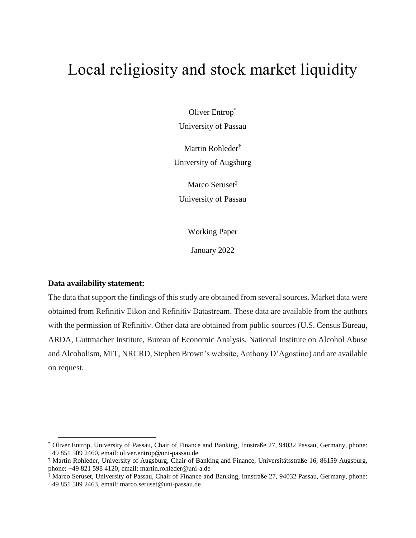# Local religiosity and stock market liquidity

Oliver Entrop\* University of Passau

Martin Rohleder† University of Augsburg

Marco Seruset<sup>‡</sup> University of Passau

Working Paper

January 2022

### **Data availability statement:**

 $\overline{a}$ 

The data that support the findings of this study are obtained from several sources. Market data were obtained from Refinitiv Eikon and Refinitiv Datastream. These data are available from the authors with the permission of Refinitiv. Other data are obtained from public sources (U.S. Census Bureau, ARDA, Guttmacher Institute, Bureau of Economic Analysis, National Institute on Alcohol Abuse and Alcoholism, MIT, NRCRD, Stephen Brown's website, Anthony D'Agostino) and are available on request.

<sup>\*</sup> Oliver Entrop, University of Passau, Chair of Finance and Banking, Innstraße 27, 94032 Passau, Germany, phone: +49 851 509 2460, email: oliver.entrop@uni-passau.de

<sup>†</sup> Martin Rohleder, University of Augsburg, Chair of Banking and Finance, Universitätsstraße 16, 86159 Augsburg, phone: +49 821 598 4120, email: martin.rohleder@uni-a.de

<sup>‡</sup> Marco Seruset, University of Passau, Chair of Finance and Banking, Innstraße 27, 94032 Passau, Germany, phone: +49 851 509 2463, email: marco.seruset@uni-passau.de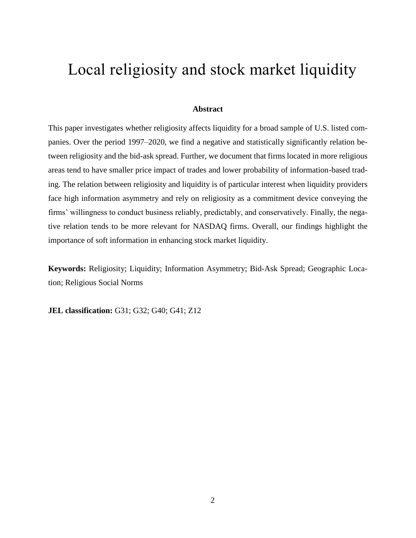# Local religiosity and stock market liquidity

## **Abstract**

This paper investigates whether religiosity affects liquidity for a broad sample of U.S. listed companies. Over the period 1997–2020, we find a negative and statistically significantly relation between religiosity and the bid-ask spread. Further, we document that firms located in more religious areas tend to have smaller price impact of trades and lower probability of information-based trading. The relation between religiosity and liquidity is of particular interest when liquidity providers face high information asymmetry and rely on religiosity as a commitment device conveying the firms' willingness to conduct business reliably, predictably, and conservatively. Finally, the negative relation tends to be more relevant for NASDAQ firms. Overall, our findings highlight the importance of soft information in enhancing stock market liquidity.

**Keywords:** Religiosity; Liquidity; Information Asymmetry; Bid-Ask Spread; Geographic Location; Religious Social Norms

**JEL classification:** G31; G32; G40; G41; Z12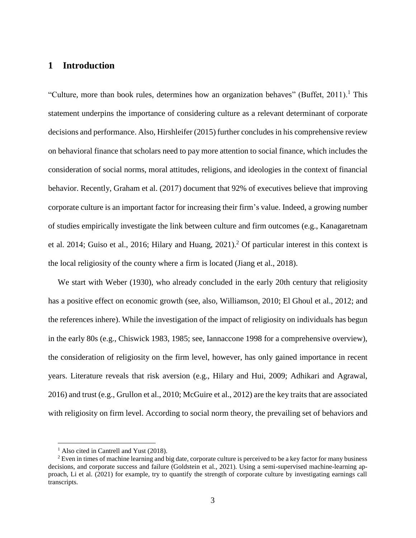# **1 Introduction**

"Culture, more than book rules, determines how an organization behaves" (Buffet, 2011).<sup>1</sup> This statement underpins the importance of considering culture as a relevant determinant of corporate decisions and performance. Also, Hirshleifer (2015) further concludes in his comprehensive review on behavioral finance that scholars need to pay more attention to social finance, which includes the consideration of social norms, moral attitudes, religions, and ideologies in the context of financial behavior. Recently, Graham et al. (2017) document that 92% of executives believe that improving corporate culture is an important factor for increasing their firm's value. Indeed, a growing number of studies empirically investigate the link between culture and firm outcomes (e.g., Kanagaretnam et al. 2014; Guiso et al., 2016; Hilary and Huang, 2021). <sup>2</sup> Of particular interest in this context is the local religiosity of the county where a firm is located (Jiang et al., 2018).

We start with Weber (1930), who already concluded in the early 20th century that religiosity has a positive effect on economic growth (see, also, Williamson, 2010; El Ghoul et al., 2012; and the references inhere). While the investigation of the impact of religiosity on individuals has begun in the early 80s (e.g., Chiswick 1983, 1985; see, Iannaccone 1998 for a comprehensive overview), the consideration of religiosity on the firm level, however, has only gained importance in recent years. Literature reveals that risk aversion (e.g., Hilary and Hui, 2009; Adhikari and Agrawal, 2016) and trust (e.g., Grullon et al., 2010; McGuire et al., 2012) are the key traits that are associated with religiosity on firm level. According to social norm theory, the prevailing set of behaviors and

<sup>&</sup>lt;sup>1</sup> Also cited in Cantrell and Yust (2018).

<sup>&</sup>lt;sup>2</sup> Even in times of machine learning and big date, corporate culture is perceived to be a key factor for many business decisions, and corporate success and failure (Goldstein et al., 2021). Using a semi-supervised machine-learning approach, Li et al. (2021) for example, try to quantify the strength of corporate culture by investigating earnings call transcripts.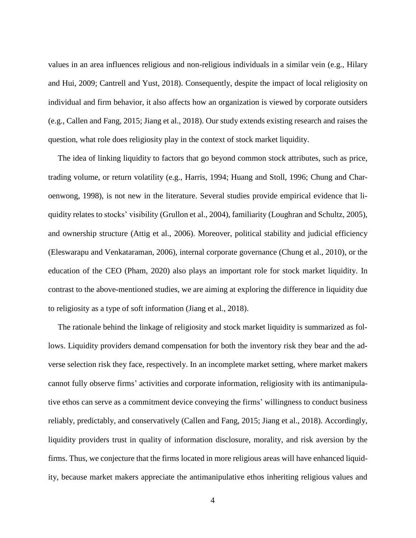values in an area influences religious and non-religious individuals in a similar vein (e.g., Hilary and Hui, 2009; Cantrell and Yust, 2018). Consequently, despite the impact of local religiosity on individual and firm behavior, it also affects how an organization is viewed by corporate outsiders (e.g., Callen and Fang, 2015; Jiang et al., 2018). Our study extends existing research and raises the question, what role does religiosity play in the context of stock market liquidity.

The idea of linking liquidity to factors that go beyond common stock attributes, such as price, trading volume, or return volatility (e.g., Harris, 1994; Huang and Stoll, 1996; Chung and Charoenwong, 1998), is not new in the literature. Several studies provide empirical evidence that liquidity relates to stocks' visibility (Grullon et al., 2004), familiarity (Loughran and Schultz, 2005), and ownership structure (Attig et al., 2006). Moreover, political stability and judicial efficiency (Eleswarapu and Venkataraman, 2006), internal corporate governance (Chung et al., 2010), or the education of the CEO (Pham, 2020) also plays an important role for stock market liquidity. In contrast to the above-mentioned studies, we are aiming at exploring the difference in liquidity due to religiosity as a type of soft information (Jiang et al., 2018).

The rationale behind the linkage of religiosity and stock market liquidity is summarized as follows. Liquidity providers demand compensation for both the inventory risk they bear and the adverse selection risk they face, respectively. In an incomplete market setting, where market makers cannot fully observe firms' activities and corporate information, religiosity with its antimanipulative ethos can serve as a commitment device conveying the firms' willingness to conduct business reliably, predictably, and conservatively (Callen and Fang, 2015; Jiang et al., 2018). Accordingly, liquidity providers trust in quality of information disclosure, morality, and risk aversion by the firms. Thus, we conjecture that the firms located in more religious areas will have enhanced liquidity, because market makers appreciate the antimanipulative ethos inheriting religious values and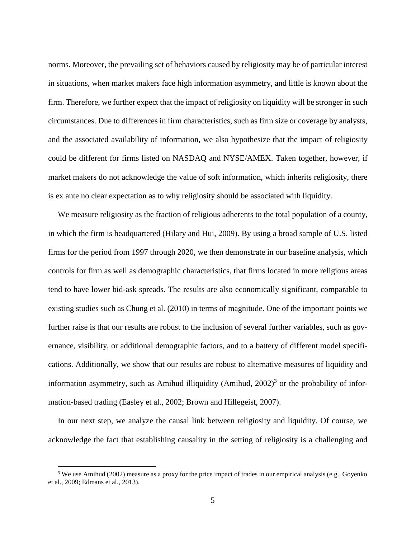norms. Moreover, the prevailing set of behaviors caused by religiosity may be of particular interest in situations, when market makers face high information asymmetry, and little is known about the firm. Therefore, we further expect that the impact of religiosity on liquidity will be stronger in such circumstances. Due to differences in firm characteristics, such as firm size or coverage by analysts, and the associated availability of information, we also hypothesize that the impact of religiosity could be different for firms listed on NASDAQ and NYSE/AMEX. Taken together, however, if market makers do not acknowledge the value of soft information, which inherits religiosity, there is ex ante no clear expectation as to why religiosity should be associated with liquidity.

We measure religiosity as the fraction of religious adherents to the total population of a county, in which the firm is headquartered (Hilary and Hui, 2009). By using a broad sample of U.S. listed firms for the period from 1997 through 2020, we then demonstrate in our baseline analysis, which controls for firm as well as demographic characteristics, that firms located in more religious areas tend to have lower bid-ask spreads. The results are also economically significant, comparable to existing studies such as Chung et al. (2010) in terms of magnitude. One of the important points we further raise is that our results are robust to the inclusion of several further variables, such as governance, visibility, or additional demographic factors, and to a battery of different model specifications. Additionally, we show that our results are robust to alternative measures of liquidity and information asymmetry, such as Amihud illiquidity (Amihud,  $2002$ )<sup>3</sup> or the probability of information-based trading (Easley et al., 2002; Brown and Hillegeist, 2007).

In our next step, we analyze the causal link between religiosity and liquidity. Of course, we acknowledge the fact that establishing causality in the setting of religiosity is a challenging and

<sup>&</sup>lt;sup>3</sup> We use Amihud (2002) measure as a proxy for the price impact of trades in our empirical analysis (e.g., Goyenko et al., 2009; Edmans et al., 2013).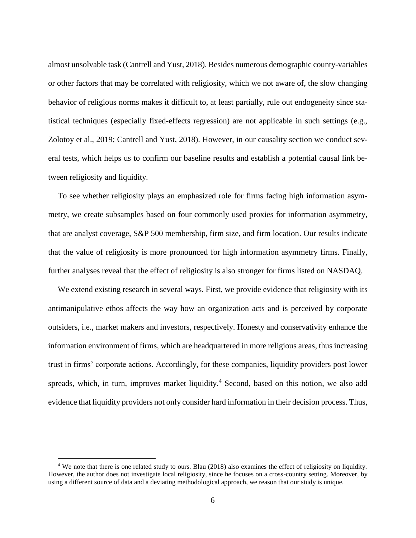almost unsolvable task (Cantrell and Yust, 2018). Besides numerous demographic county-variables or other factors that may be correlated with religiosity, which we not aware of, the slow changing behavior of religious norms makes it difficult to, at least partially, rule out endogeneity since statistical techniques (especially fixed-effects regression) are not applicable in such settings (e.g., Zolotoy et al., 2019; Cantrell and Yust, 2018). However, in our causality section we conduct several tests, which helps us to confirm our baseline results and establish a potential causal link between religiosity and liquidity.

To see whether religiosity plays an emphasized role for firms facing high information asymmetry, we create subsamples based on four commonly used proxies for information asymmetry, that are analyst coverage, S&P 500 membership, firm size, and firm location. Our results indicate that the value of religiosity is more pronounced for high information asymmetry firms. Finally, further analyses reveal that the effect of religiosity is also stronger for firms listed on NASDAQ.

We extend existing research in several ways. First, we provide evidence that religiosity with its antimanipulative ethos affects the way how an organization acts and is perceived by corporate outsiders, i.e., market makers and investors, respectively. Honesty and conservativity enhance the information environment of firms, which are headquartered in more religious areas, thus increasing trust in firms' corporate actions. Accordingly, for these companies, liquidity providers post lower spreads, which, in turn, improves market liquidity.<sup>4</sup> Second, based on this notion, we also add evidence that liquidity providers not only consider hard information in their decision process. Thus,

<sup>4</sup> We note that there is one related study to ours. Blau (2018) also examines the effect of religiosity on liquidity. However, the author does not investigate local religiosity, since he focuses on a cross-country setting. Moreover, by using a different source of data and a deviating methodological approach, we reason that our study is unique.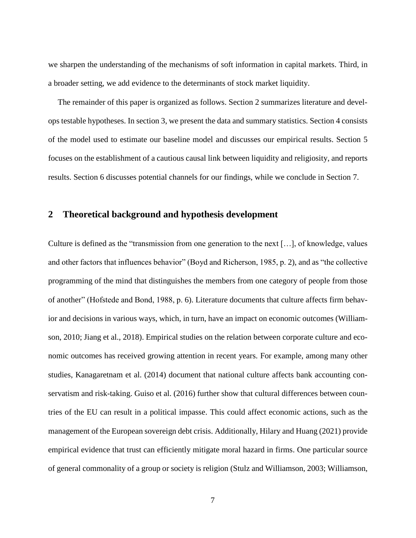we sharpen the understanding of the mechanisms of soft information in capital markets. Third, in a broader setting, we add evidence to the determinants of stock market liquidity.

The remainder of this paper is organized as follows. Section [2](#page-6-0) summarizes literature and develops testable hypotheses. In section [3,](#page-10-0) we present the data and summary statistics. Sectio[n 4](#page-19-0) consists of the model used to estimate our baseline model and discusses our empirical results. Section [5](#page-32-0) focuses on the establishment of a cautious causal link between liquidity and religiosity, and reports results. Section [6](#page-40-0) discusses potential channels for our findings, while we conclude in Section [7.](#page-45-0)

# <span id="page-6-0"></span>**2 Theoretical background and hypothesis development**

Culture is defined as the "transmission from one generation to the next […], of knowledge, values and other factors that influences behavior" (Boyd and Richerson, 1985, p. 2), and as "the collective programming of the mind that distinguishes the members from one category of people from those of another" (Hofstede and Bond, 1988, p. 6). Literature documents that culture affects firm behavior and decisions in various ways, which, in turn, have an impact on economic outcomes (Williamson, 2010; Jiang et al., 2018). Empirical studies on the relation between corporate culture and economic outcomes has received growing attention in recent years. For example, among many other studies, Kanagaretnam et al. (2014) document that national culture affects bank accounting conservatism and risk-taking. Guiso et al. (2016) further show that cultural differences between countries of the EU can result in a political impasse. This could affect economic actions, such as the management of the European sovereign debt crisis. Additionally, Hilary and Huang (2021) provide empirical evidence that trust can efficiently mitigate moral hazard in firms. One particular source of general commonality of a group or society is religion (Stulz and Williamson, 2003; Williamson,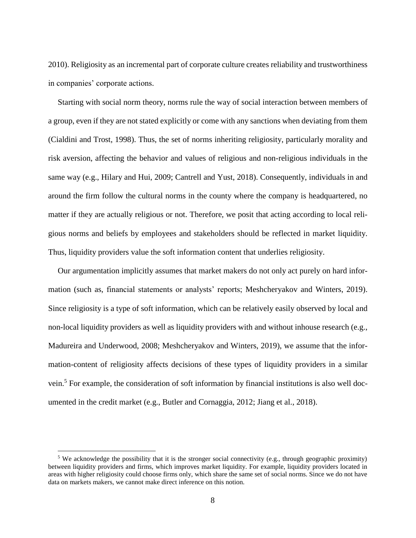2010). Religiosity as an incremental part of corporate culture creates reliability and trustworthiness in companies' corporate actions.

Starting with social norm theory, norms rule the way of social interaction between members of a group, even if they are not stated explicitly or come with any sanctions when deviating from them (Cialdini and Trost, 1998). Thus, the set of norms inheriting religiosity, particularly morality and risk aversion, affecting the behavior and values of religious and non-religious individuals in the same way (e.g., Hilary and Hui, 2009; Cantrell and Yust, 2018). Consequently, individuals in and around the firm follow the cultural norms in the county where the company is headquartered, no matter if they are actually religious or not. Therefore, we posit that acting according to local religious norms and beliefs by employees and stakeholders should be reflected in market liquidity. Thus, liquidity providers value the soft information content that underlies religiosity.

Our argumentation implicitly assumes that market makers do not only act purely on hard information (such as, financial statements or analysts' reports; Meshcheryakov and Winters, 2019). Since religiosity is a type of soft information, which can be relatively easily observed by local and non-local liquidity providers as well as liquidity providers with and without inhouse research (e.g., Madureira and Underwood, 2008; Meshcheryakov and Winters, 2019), we assume that the information-content of religiosity affects decisions of these types of liquidity providers in a similar vein.<sup>5</sup> For example, the consideration of soft information by financial institutions is also well documented in the credit market (e.g., Butler and Cornaggia, 2012; Jiang et al., 2018).

<sup>&</sup>lt;sup>5</sup> We acknowledge the possibility that it is the stronger social connectivity (e.g., through geographic proximity) between liquidity providers and firms, which improves market liquidity. For example, liquidity providers located in areas with higher religiosity could choose firms only, which share the same set of social norms. Since we do not have data on markets makers, we cannot make direct inference on this notion.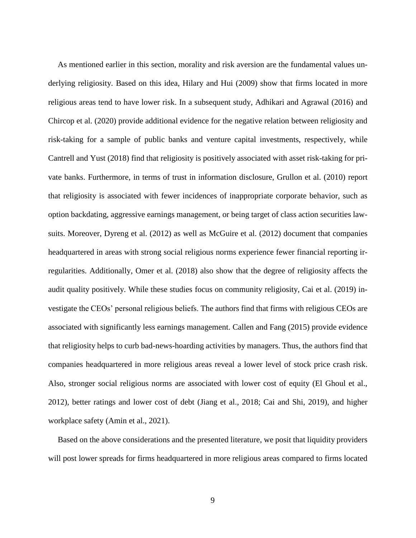As mentioned earlier in this section, morality and risk aversion are the fundamental values underlying religiosity. Based on this idea, Hilary and Hui (2009) show that firms located in more religious areas tend to have lower risk. In a subsequent study, Adhikari and Agrawal (2016) and Chircop et al. (2020) provide additional evidence for the negative relation between religiosity and risk-taking for a sample of public banks and venture capital investments, respectively, while Cantrell and Yust (2018) find that religiosity is positively associated with asset risk-taking for private banks. Furthermore, in terms of trust in information disclosure, Grullon et al. (2010) report that religiosity is associated with fewer incidences of inappropriate corporate behavior, such as option backdating, aggressive earnings management, or being target of class action securities lawsuits. Moreover, Dyreng et al. (2012) as well as McGuire et al. (2012) document that companies headquartered in areas with strong social religious norms experience fewer financial reporting irregularities. Additionally, Omer et al. (2018) also show that the degree of religiosity affects the audit quality positively. While these studies focus on community religiosity, Cai et al. (2019) investigate the CEOs' personal religious beliefs. The authors find that firms with religious CEOs are associated with significantly less earnings management. Callen and Fang (2015) provide evidence that religiosity helps to curb bad-news-hoarding activities by managers. Thus, the authors find that companies headquartered in more religious areas reveal a lower level of stock price crash risk. Also, stronger social religious norms are associated with lower cost of equity (El Ghoul et al., 2012), better ratings and lower cost of debt (Jiang et al., 2018; Cai and Shi, 2019), and higher workplace safety (Amin et al., 2021).

Based on the above considerations and the presented literature, we posit that liquidity providers will post lower spreads for firms headquartered in more religious areas compared to firms located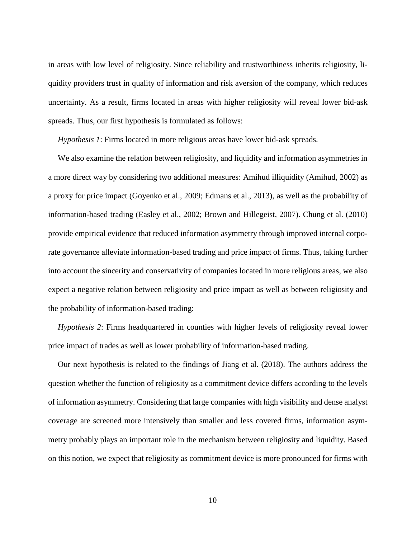in areas with low level of religiosity. Since reliability and trustworthiness inherits religiosity, liquidity providers trust in quality of information and risk aversion of the company, which reduces uncertainty. As a result, firms located in areas with higher religiosity will reveal lower bid-ask spreads. Thus, our first hypothesis is formulated as follows:

*Hypothesis 1*: Firms located in more religious areas have lower bid-ask spreads.

We also examine the relation between religiosity, and liquidity and information asymmetries in a more direct way by considering two additional measures: Amihud illiquidity (Amihud, 2002) as a proxy for price impact (Goyenko et al., 2009; Edmans et al., 2013), as well as the probability of information-based trading (Easley et al., 2002; Brown and Hillegeist, 2007). Chung et al. (2010) provide empirical evidence that reduced information asymmetry through improved internal corporate governance alleviate information-based trading and price impact of firms. Thus, taking further into account the sincerity and conservativity of companies located in more religious areas, we also expect a negative relation between religiosity and price impact as well as between religiosity and the probability of information-based trading:

*Hypothesis 2*: Firms headquartered in counties with higher levels of religiosity reveal lower price impact of trades as well as lower probability of information-based trading.

Our next hypothesis is related to the findings of Jiang et al. (2018). The authors address the question whether the function of religiosity as a commitment device differs according to the levels of information asymmetry. Considering that large companies with high visibility and dense analyst coverage are screened more intensively than smaller and less covered firms, information asymmetry probably plays an important role in the mechanism between religiosity and liquidity. Based on this notion, we expect that religiosity as commitment device is more pronounced for firms with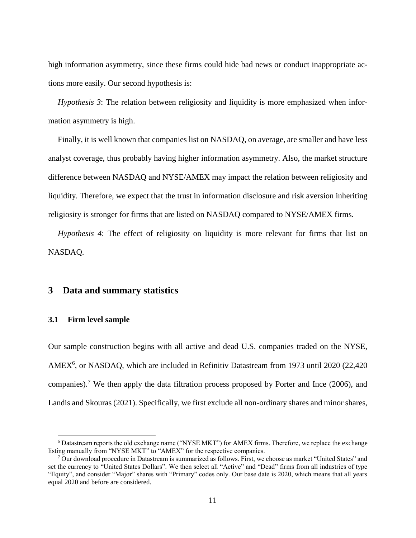high information asymmetry, since these firms could hide bad news or conduct inappropriate actions more easily. Our second hypothesis is:

*Hypothesis 3*: The relation between religiosity and liquidity is more emphasized when information asymmetry is high.

Finally, it is well known that companies list on NASDAQ, on average, are smaller and have less analyst coverage, thus probably having higher information asymmetry. Also, the market structure difference between NASDAQ and NYSE/AMEX may impact the relation between religiosity and liquidity. Therefore, we expect that the trust in information disclosure and risk aversion inheriting religiosity is stronger for firms that are listed on NASDAQ compared to NYSE/AMEX firms.

*Hypothesis 4*: The effect of religiosity on liquidity is more relevant for firms that list on NASDAQ.

# <span id="page-10-0"></span>**3 Data and summary statistics**

#### <span id="page-10-1"></span>**3.1 Firm level sample**

 $\overline{a}$ 

Our sample construction begins with all active and dead U.S. companies traded on the NYSE, AMEX<sup>6</sup>, or NASDAQ, which are included in Refinitiv Datastream from 1973 until 2020 (22,420 companies).<sup>7</sup> We then apply the data filtration process proposed by Porter and Ince (2006), and Landis and Skouras (2021). Specifically, we first exclude all non-ordinary shares and minor shares,

<sup>6</sup> Datastream reports the old exchange name ("NYSE MKT") for AMEX firms. Therefore, we replace the exchange listing manually from "NYSE MKT" to "AMEX" for the respective companies.

 $7$  Our download procedure in Datastream is summarized as follows. First, we choose as market "United States" and set the currency to "United States Dollars". We then select all "Active" and "Dead" firms from all industries of type "Equity", and consider "Major" shares with "Primary" codes only. Our base date is 2020, which means that all years equal 2020 and before are considered.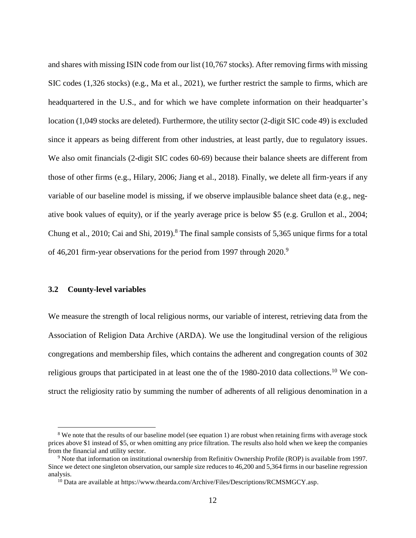and shares with missing ISIN code from our list (10,767 stocks). After removing firms with missing SIC codes (1,326 stocks) (e.g., Ma et al., 2021), we further restrict the sample to firms, which are headquartered in the U.S., and for which we have complete information on their headquarter's location (1,049 stocks are deleted). Furthermore, the utility sector (2-digit SIC code 49) is excluded since it appears as being different from other industries, at least partly, due to regulatory issues. We also omit financials (2-digit SIC codes 60-69) because their balance sheets are different from those of other firms (e.g., Hilary, 2006; Jiang et al., 2018). Finally, we delete all firm-years if any variable of our baseline model is missing, if we observe implausible balance sheet data (e.g., negative book values of equity), or if the yearly average price is below \$5 (e.g. Grullon et al., 2004; Chung et al., 2010; Cai and Shi, 2019).<sup>8</sup> The final sample consists of 5,365 unique firms for a total of 46,201 firm-year observations for the period from 1997 through 2020.<sup>9</sup>

#### <span id="page-11-0"></span>**3.2 County-level variables**

 $\overline{a}$ 

We measure the strength of local religious norms, our variable of interest, retrieving data from the Association of Religion Data Archive (ARDA). We use the longitudinal version of the religious congregations and membership files, which contains the adherent and congregation counts of 302 religious groups that participated in at least one the of the  $1980-2010$  data collections.<sup>10</sup> We construct the religiosity ratio by summing the number of adherents of all religious denomination in a

<sup>&</sup>lt;sup>8</sup> We note that the results of our baseline model (see equation 1) are robust when retaining firms with average stock prices above \$1 instead of \$5, or when omitting any price filtration. The results also hold when we keep the companies from the financial and utility sector.

<sup>9</sup> Note that information on institutional ownership from Refinitiv Ownership Profile (ROP) is available from 1997. Since we detect one singleton observation, our sample size reduces to 46,200 and 5,364 firms in our baseline regression analysis.

 $10$  Data are available at https://www.thearda.com/Archive/Files/Descriptions/RCMSMGCY.asp.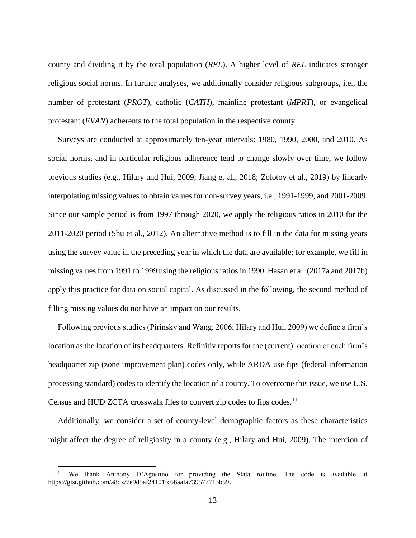county and dividing it by the total population (*REL*). A higher level of *REL* indicates stronger religious social norms. In further analyses, we additionally consider religious subgroups, i.e., the number of protestant (*PROT*), catholic (*CATH*), mainline protestant (*MPRT*), or evangelical protestant (*EVAN*) adherents to the total population in the respective county.

Surveys are conducted at approximately ten-year intervals: 1980, 1990, 2000, and 2010. As social norms, and in particular religious adherence tend to change slowly over time, we follow previous studies (e.g., Hilary and Hui, 2009; Jiang et al., 2018; Zolotoy et al., 2019) by linearly interpolating missing values to obtain values for non-survey years, i.e., 1991-1999, and 2001-2009. Since our sample period is from 1997 through 2020, we apply the religious ratios in 2010 for the 2011-2020 period (Shu et al., 2012). An alternative method is to fill in the data for missing years using the survey value in the preceding year in which the data are available; for example, we fill in missing values from 1991 to 1999 using the religious ratios in 1990. Hasan et al. (2017a and 2017b) apply this practice for data on social capital. As discussed in the following, the second method of filling missing values do not have an impact on our results.

Following previous studies (Pirinsky and Wang, 2006; Hilary and Hui, 2009) we define a firm's location as the location of its headquarters. Refinitiv reports for the (current) location of each firm's headquarter zip (zone improvement plan) codes only, while ARDA use fips (federal information processing standard) codes to identify the location of a county. To overcome this issue, we use U.S. Census and HUD ZCTA crosswalk files to convert zip codes to fips codes.<sup>11</sup>

Additionally, we consider a set of county-level demographic factors as these characteristics might affect the degree of religiosity in a county (e.g., Hilary and Hui, 2009). The intention of

<sup>&</sup>lt;sup>11</sup> We thank Anthony D'Agostino for providing the Stata routine. The code is available at https://gist.github.com/a8dx/7e9d5af24101fc66aafa739577713b59.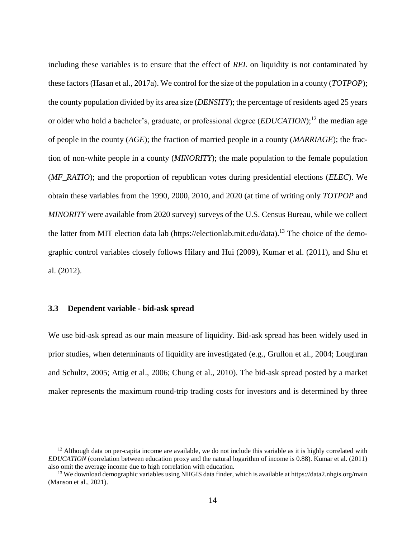including these variables is to ensure that the effect of *REL* on liquidity is not contaminated by these factors (Hasan et al., 2017a). We control for the size of the population in a county (*TOTPOP*); the county population divided by its area size (*DENSITY*); the percentage of residents aged 25 years or older who hold a bachelor's, graduate, or professional degree *(EDUCATION*);<sup>12</sup> the median age of people in the county (*AGE*); the fraction of married people in a county (*MARRIAGE*); the fraction of non-white people in a county (*MINORITY*); the male population to the female population (*MF\_RATIO*); and the proportion of republican votes during presidential elections (*ELEC*). We obtain these variables from the 1990, 2000, 2010, and 2020 (at time of writing only *TOTPOP* and *MINORITY* were available from 2020 survey) surveys of the U.S. Census Bureau, while we collect the latter from MIT election data lab (https://electionlab.mit.edu/data).<sup>13</sup> The choice of the demographic control variables closely follows Hilary and Hui (2009), Kumar et al. (2011), and Shu et al. (2012).

#### <span id="page-13-0"></span>**3.3 Dependent variable - bid-ask spread**

 $\overline{a}$ 

We use bid-ask spread as our main measure of liquidity. Bid-ask spread has been widely used in prior studies, when determinants of liquidity are investigated (e.g., Grullon et al., 2004; Loughran and Schultz, 2005; Attig et al., 2006; Chung et al., 2010). The bid-ask spread posted by a market maker represents the maximum round-trip trading costs for investors and is determined by three

 $12$  Although data on per-capita income are available, we do not include this variable as it is highly correlated with *EDUCATION* (correlation between education proxy and the natural logarithm of income is 0.88). Kumar et al. (2011) also omit the average income due to high correlation with education.

<sup>&</sup>lt;sup>13</sup> We download demographic variables using NHGIS data finder, which is available at https://data2.nhgis.org/main (Manson et al., 2021).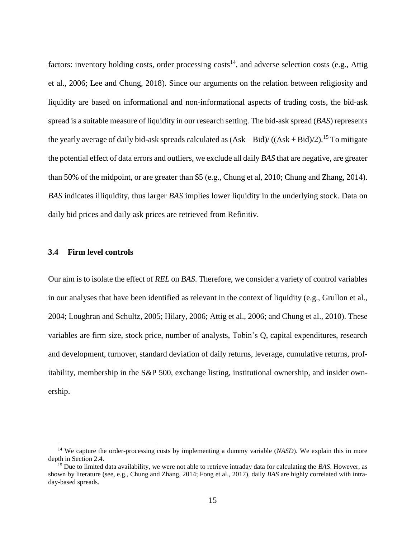factors: inventory holding costs, order processing costs<sup>14</sup>, and adverse selection costs (e.g., Attig et al., 2006; Lee and Chung, 2018). Since our arguments on the relation between religiosity and liquidity are based on informational and non-informational aspects of trading costs, the bid-ask spread is a suitable measure of liquidity in our research setting. The bid-ask spread (*BAS*) represents the yearly average of daily bid-ask spreads calculated as  $(Ask-Bid)/( (Ask+Bid)/2).$ <sup>15</sup> To mitigate the potential effect of data errors and outliers, we exclude all daily *BAS* that are negative, are greater than 50% of the midpoint, or are greater than \$5 (e.g., Chung et al, 2010; Chung and Zhang, 2014). *BAS* indicates illiquidity, thus larger *BAS* implies lower liquidity in the underlying stock. Data on daily bid prices and daily ask prices are retrieved from Refinitiv.

#### <span id="page-14-0"></span>**3.4 Firm level controls**

 $\overline{a}$ 

Our aim is to isolate the effect of *REL* on *BAS*. Therefore, we consider a variety of control variables in our analyses that have been identified as relevant in the context of liquidity (e.g., Grullon et al., 2004; Loughran and Schultz, 2005; Hilary, 2006; Attig et al., 2006; and Chung et al., 2010). These variables are firm size, stock price, number of analysts, Tobin's Q, capital expenditures, research and development, turnover, standard deviation of daily returns, leverage, cumulative returns, profitability, membership in the S&P 500, exchange listing, institutional ownership, and insider ownership.

<sup>&</sup>lt;sup>14</sup> We capture the order-processing costs by implementing a dummy variable (*NASD*). We explain this in more depth in Section 2.4.

<sup>15</sup> Due to limited data availability, we were not able to retrieve intraday data for calculating the *BAS*. However, as shown by literature (see, e.g., Chung and Zhang, 2014; Fong et al., 2017), daily *BAS* are highly correlated with intraday-based spreads.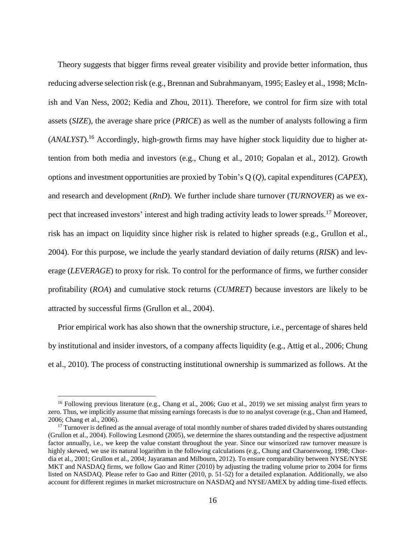Theory suggests that bigger firms reveal greater visibility and provide better information, thus reducing adverse selection risk (e.g., Brennan and Subrahmanyam, 1995; Easley et al., 1998; McInish and Van Ness, 2002; Kedia and Zhou, 2011). Therefore, we control for firm size with total assets (*SIZE*), the average share price (*PRICE*) as well as the number of analysts following a firm (*ANALYST*). <sup>16</sup> Accordingly, high-growth firms may have higher stock liquidity due to higher attention from both media and investors (e.g., Chung et al., 2010; Gopalan et al., 2012). Growth options and investment opportunities are proxied by Tobin's Q (*Q*), capital expenditures (*CAPEX*), and research and development (*RnD*). We further include share turnover (*TURNOVER*) as we expect that increased investors' interest and high trading activity leads to lower spreads.<sup>17</sup> Moreover, risk has an impact on liquidity since higher risk is related to higher spreads (e.g., Grullon et al., 2004). For this purpose, we include the yearly standard deviation of daily returns (*RISK*) and leverage (*LEVERAGE*) to proxy for risk. To control for the performance of firms, we further consider profitability (*ROA*) and cumulative stock returns (*CUMRET*) because investors are likely to be attracted by successful firms (Grullon et al., 2004).

Prior empirical work has also shown that the ownership structure, i.e., percentage of shares held by institutional and insider investors, of a company affects liquidity (e.g., Attig et al., 2006; Chung et al., 2010). The process of constructing institutional ownership is summarized as follows. At the

<sup>&</sup>lt;sup>16</sup> Following previous literature (e.g., Chang et al., 2006; Guo et al., 2019) we set missing analyst firm years to zero. Thus, we implicitly assume that missing earnings forecasts is due to no analyst coverage (e.g., Chan and Hameed, 2006; Chang et al., 2006).

 $17$  Turnover is defined as the annual average of total monthly number of shares traded divided by shares outstanding (Grullon et al., 2004). Following Lesmond (2005), we determine the shares outstanding and the respective adjustment factor annually, i.e., we keep the value constant throughout the year. Since our winsorized raw turnover measure is highly skewed, we use its natural logarithm in the following calculations (e.g., Chung and Charoenwong, 1998; Chordia et al., 2001; Grullon et al., 2004; Jayaraman and Milbourn, 2012). To ensure comparability between NYSE/NYSE MKT and NASDAQ firms, we follow Gao and Ritter (2010) by adjusting the trading volume prior to 2004 for firms listed on NASDAQ. Please refer to Gao and Ritter (2010, p. 51-52) for a detailed explanation. Additionally, we also account for different regimes in market microstructure on NASDAQ and NYSE/AMEX by adding time-fixed effects.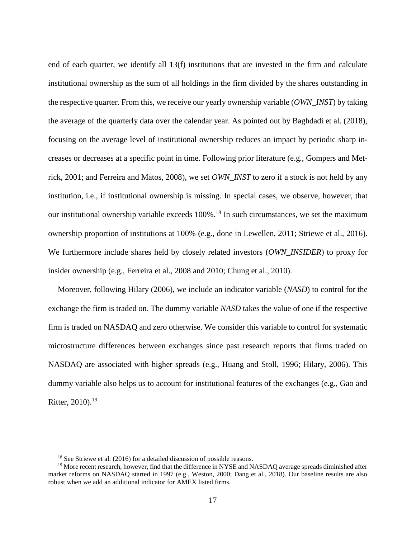end of each quarter, we identify all 13(f) institutions that are invested in the firm and calculate institutional ownership as the sum of all holdings in the firm divided by the shares outstanding in the respective quarter. From this, we receive our yearly ownership variable (*OWN\_INST*) by taking the average of the quarterly data over the calendar year. As pointed out by Baghdadi et al. (2018), focusing on the average level of institutional ownership reduces an impact by periodic sharp increases or decreases at a specific point in time. Following prior literature (e.g., Gompers and Metrick, 2001; and Ferreira and Matos, 2008), we set *OWN\_INST* to zero if a stock is not held by any institution, i.e., if institutional ownership is missing. In special cases, we observe, however, that our institutional ownership variable exceeds  $100\%$ .<sup>18</sup> In such circumstances, we set the maximum ownership proportion of institutions at 100% (e.g., done in Lewellen, 2011; Striewe et al., 2016). We furthermore include shares held by closely related investors (*OWN\_INSIDER*) to proxy for insider ownership (e.g., Ferreira et al., 2008 and 2010; Chung et al., 2010).

Moreover, following Hilary (2006), we include an indicator variable (*NASD*) to control for the exchange the firm is traded on. The dummy variable *NASD* takes the value of one if the respective firm is traded on NASDAQ and zero otherwise. We consider this variable to control for systematic microstructure differences between exchanges since past research reports that firms traded on NASDAQ are associated with higher spreads (e.g., Huang and Stoll, 1996; Hilary, 2006). This dummy variable also helps us to account for institutional features of the exchanges (e.g., Gao and Ritter, 2010).<sup>19</sup>

<sup>&</sup>lt;sup>18</sup> See Striewe et al. (2016) for a detailed discussion of possible reasons.

<sup>&</sup>lt;sup>19</sup> More recent research, however, find that the difference in NYSE and NASDAQ average spreads diminished after market reforms on NASDAQ started in 1997 (e.g., Weston, 2000; Dang et al., 2018). Our baseline results are also robust when we add an additional indicator for AMEX listed firms.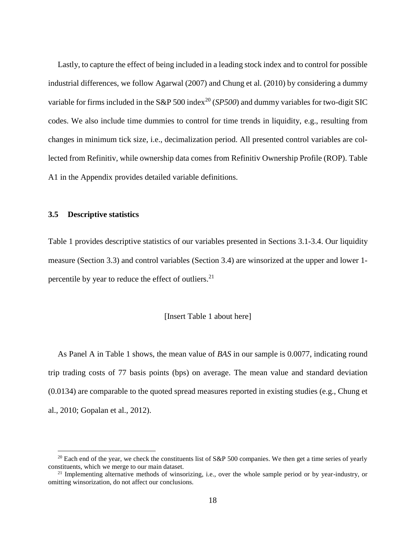Lastly, to capture the effect of being included in a leading stock index and to control for possible industrial differences, we follow Agarwal (2007) and Chung et al. (2010) by considering a dummy variable for firms included in the S&P 500 index<sup>20</sup> (*SP500*) and dummy variables for two-digit SIC codes. We also include time dummies to control for time trends in liquidity, e.g., resulting from changes in minimum tick size, i.e., decimalization period. All presented control variables are collected from Refinitiv, while ownership data comes from Refinitiv Ownership Profile (ROP). [Table](#page-47-0)  [A1](#page-47-0) in the Appendix provides detailed variable definitions.

#### <span id="page-17-0"></span>**3.5 Descriptive statistics**

 $\overline{a}$ 

[Table 1](#page-66-0) provides descriptive statistics of our variables presented in Sections [3.1](#page-10-1)[-3.4.](#page-14-0) Our liquidity measure (Section [3.3\)](#page-13-0) and control variables (Section [3.4\)](#page-14-0) are winsorized at the upper and lower 1 percentile by year to reduce the effect of outliers.<sup>21</sup>

#### [Insert [Table 1](#page-66-0) about here]

As Panel A in [Table 1](#page-66-0) shows, the mean value of *BAS* in our sample is 0.0077, indicating round trip trading costs of 77 basis points (bps) on average. The mean value and standard deviation (0.0134) are comparable to the quoted spread measures reported in existing studies (e.g., Chung et al., 2010; Gopalan et al., 2012).

<sup>&</sup>lt;sup>20</sup> Each end of the year, we check the constituents list of  $S\&P 500$  companies. We then get a time series of yearly constituents, which we merge to our main dataset.

 $21$  Implementing alternative methods of winsorizing, i.e., over the whole sample period or by year-industry, or omitting winsorization, do not affect our conclusions.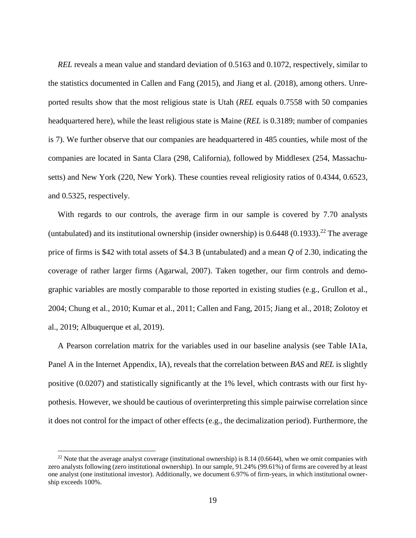*REL* reveals a mean value and standard deviation of 0.5163 and 0.1072, respectively, similar to the statistics documented in Callen and Fang (2015), and Jiang et al. (2018), among others. Unreported results show that the most religious state is Utah (*REL* equals 0.7558 with 50 companies headquartered here), while the least religious state is Maine (*REL* is 0.3189; number of companies is 7). We further observe that our companies are headquartered in 485 counties, while most of the companies are located in Santa Clara (298, California), followed by Middlesex (254, Massachusetts) and New York (220, New York). These counties reveal religiosity ratios of 0.4344, 0.6523, and 0.5325, respectively.

With regards to our controls, the average firm in our sample is covered by 7.70 analysts (untabulated) and its institutional ownership (insider ownership) is  $0.6448$  (0.1933).<sup>22</sup> The average price of firms is \$42 with total assets of \$4.3 B (untabulated) and a mean *Q* of 2.30, indicating the coverage of rather larger firms (Agarwal, 2007). Taken together, our firm controls and demographic variables are mostly comparable to those reported in existing studies (e.g., Grullon et al., 2004; Chung et al., 2010; Kumar et al., 2011; Callen and Fang, 2015; Jiang et al., 2018; Zolotoy et al., 2019; Albuquerque et al, 2019).

A Pearson correlation matrix for the variables used in our baseline analysis (see Table IA1a, Panel A in the Internet Appendix, IA), reveals that the correlation between *BAS* and *REL* is slightly positive (0.0207) and statistically significantly at the 1% level, which contrasts with our first hypothesis. However, we should be cautious of overinterpreting this simple pairwise correlation since it does not control for the impact of other effects (e.g., the decimalization period). Furthermore, the

<sup>&</sup>lt;sup>22</sup> Note that the average analyst coverage (institutional ownership) is 8.14 (0.6644), when we omit companies with zero analysts following (zero institutional ownership). In our sample, 91.24% (99.61%) of firms are covered by at least one analyst (one institutional investor). Additionally, we document 6.97% of firm-years, in which institutional ownership exceeds 100%.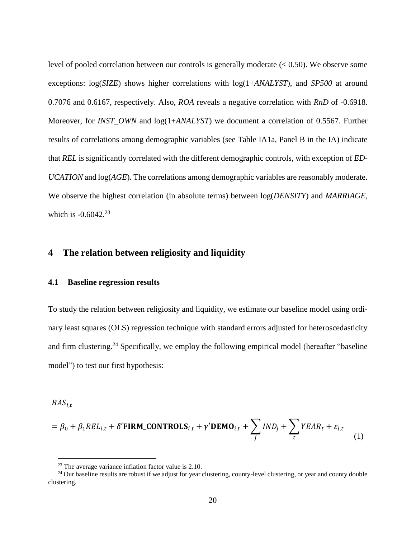level of pooled correlation between our controls is generally moderate (< 0.50). We observe some exceptions: log(*SIZE*) shows higher correlations with log(1+*ANALYST*), and *SP500* at around 0.7076 and 0.6167, respectively. Also, *ROA* reveals a negative correlation with *RnD* of -0.6918. Moreover, for *INST\_OWN* and log(1+*ANALYST*) we document a correlation of 0.5567. Further results of correlations among demographic variables (see Table IA1a, Panel B in the IA) indicate that *REL* is significantly correlated with the different demographic controls, with exception of *ED-UCATION* and log(*AGE*)*.* The correlations among demographic variables are reasonably moderate. We observe the highest correlation (in absolute terms) between log(*DENSITY*) and *MARRIAGE*, which is -0.6042.<sup>23</sup>

# <span id="page-19-0"></span>**4 The relation between religiosity and liquidity**

#### <span id="page-19-1"></span>**4.1 Baseline regression results**

To study the relation between religiosity and liquidity, we estimate our baseline model using ordinary least squares (OLS) regression technique with standard errors adjusted for heteroscedasticity and firm clustering.<sup>24</sup> Specifically, we employ the following empirical model (hereafter "baseline") model") to test our first hypothesis:

 $BAS_{i,t}$ 

$$
= \beta_0 + \beta_1 REL_{i,t} + \delta' \text{FIRM\_CONTROLS}_{i,t} + \gamma' \text{DEMO}_{i,t} + \sum_j IND_j + \sum_t YEAR_t + \varepsilon_{i,t}
$$
\n(1)

<sup>23</sup> The average variance inflation factor value is 2.10.

 $24$  Our baseline results are robust if we adjust for year clustering, county-level clustering, or year and county double clustering.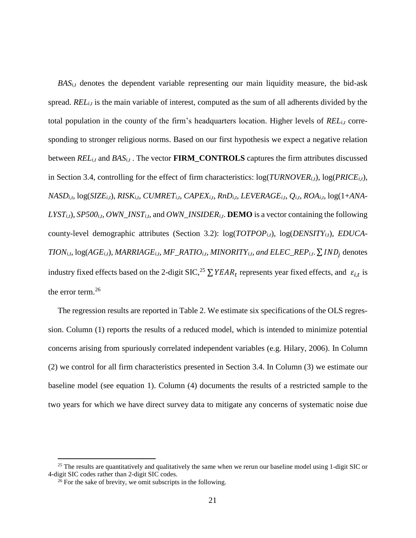*BASi,t* denotes the dependent variable representing our main liquidity measure, the bid-ask spread. *REL*<sub>*it*</sub> is the main variable of interest, computed as the sum of all adherents divided by the total population in the county of the firm's headquarters location. Higher levels of *RELi,t* corresponding to stronger religious norms. Based on our first hypothesis we expect a negative relation between *RELi,t* and *BASi,t* . The vector **FIRM\_CONTROLS** captures the firm attributes discussed in Section [3.4,](#page-14-0) controlling for the effect of firm characteristics:  $log(TURNOVER_{i,t}), log(PRICE_{i,t}),$  $NASD_{i,t}$ ,  $log(SIZE_{i,t})$ ,  $RISK_{i,t}$ ,  $CUMRET_{i,t}$ ,  $CAPEX_{i,t}$ ,  $RnD_{i,t}$ ,  $LEVERAGE_{i,t}$ ,  $Q_{i,t}$ ,  $ROA_{i,t}$ ,  $log(1+ANA-$ *LYSTi,t*), *SP500i,t*, *OWN\_INSTi,t*, and *OWN\_INSIDERi,t*. **DEMO** is a vector containing the following county-level demographic attributes (Section [3.2\)](#page-11-0): log(*TOTPOPi,t*), log(*DENSITYi,*t), *EDUCA-* $TION_{i,t}$ ,  $log(AGE_{i,t})$ ,  $MARRIAGE_{i,t}$ ,  $MF\_RATIO_{i,t}$ ,  $MINORITY_{i,t}$ , and  $ELEC\_REP_{i,t}$ .  $\sum IND_j$  denotes industry fixed effects based on the 2-digit SIC,<sup>25</sup>  $\sum$  YEAR<sub>t</sub> represents year fixed effects, and  $\varepsilon_{i,t}$  is the error term.<sup>26</sup>

The regression results are reported in [Table 2.](#page-68-0) We estimate six specifications of the OLS regression. Column (1) reports the results of a reduced model, which is intended to minimize potential concerns arising from spuriously correlated independent variables (e.g. Hilary, 2006). In Column (2) we control for all firm characteristics presented in Section [3.4.](#page-14-0) In Column (3) we estimate our baseline model (see equation 1). Column (4) documents the results of a restricted sample to the two years for which we have direct survey data to mitigate any concerns of systematic noise due

 $25$  The results are quantitatively and qualitatively the same when we rerun our baseline model using 1-digit SIC or 4-digit SIC codes rather than 2-digit SIC codes.

 $^{26}$  For the sake of brevity, we omit subscripts in the following.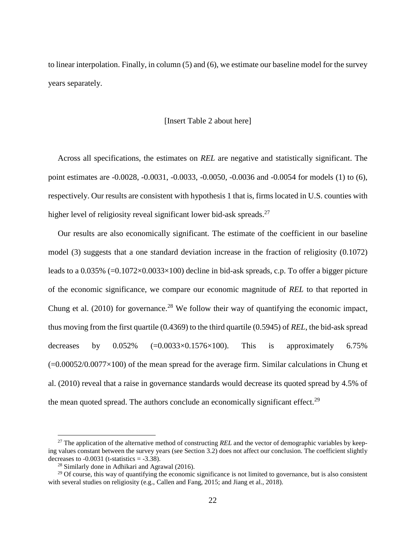to linear interpolation. Finally, in column (5) and (6), we estimate our baseline model for the survey years separately.

#### [Insert [Table 2](#page-68-0) about here]

Across all specifications, the estimates on *REL* are negative and statistically significant. The point estimates are -0.0028, -0.0031, -0.0033, -0.0050, -0.0036 and -0.0054 for models (1) to (6), respectively. Our results are consistent with hypothesis 1 that is, firms located in U.S. counties with higher level of religiosity reveal significant lower bid-ask spreads.<sup>27</sup>

Our results are also economically significant. The estimate of the coefficient in our baseline model (3) suggests that a one standard deviation increase in the fraction of religiosity (0.1072) leads to a  $0.035\%$  (= $0.1072\times0.0033\times100$ ) decline in bid-ask spreads, c.p. To offer a bigger picture of the economic significance, we compare our economic magnitude of *REL* to that reported in Chung et al.  $(2010)$  for governance.<sup>28</sup> We follow their way of quantifying the economic impact, thus moving from the first quartile (0.4369) to the third quartile (0.5945) of *REL*, the bid-ask spread decreases by  $0.052\%$  (=0.0033×0.1576×100). This is approximately 6.75%  $(=0.00052/0.0077\times100)$  of the mean spread for the average firm. Similar calculations in Chung et al. (2010) reveal that a raise in governance standards would decrease its quoted spread by 4.5% of the mean quoted spread. The authors conclude an economically significant effect.<sup>29</sup>

<sup>&</sup>lt;sup>27</sup> The application of the alternative method of constructing *REL* and the vector of demographic variables by keeping values constant between the survey years (see Section [3.2\)](#page-11-0) does not affect our conclusion. The coefficient slightly decreases to  $-0.0031$  (t-statistics  $= -3.38$ ).

<sup>28</sup> Similarly done in Adhikari and Agrawal (2016).

 $29$  Of course, this way of quantifying the economic significance is not limited to governance, but is also consistent with several studies on religiosity (e.g., Callen and Fang, 2015; and Jiang et al., 2018).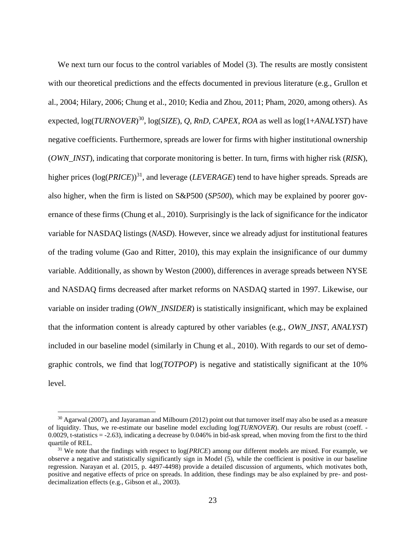We next turn our focus to the control variables of Model (3). The results are mostly consistent with our theoretical predictions and the effects documented in previous literature (e.g., Grullon et al., 2004; Hilary, 2006; Chung et al., 2010; Kedia and Zhou, 2011; Pham, 2020, among others). As expected, log(*TURNOVER*) 30 , log(*SIZE*), *Q*, *RnD*, *CAPEX*, *ROA* as well as log(1+*ANALYST*) have negative coefficients. Furthermore, spreads are lower for firms with higher institutional ownership (*OWN\_INST*), indicating that corporate monitoring is better. In turn, firms with higher risk (*RISK*), higher prices (log(*PRICE*))<sup>31</sup>, and leverage (*LEVERAGE*) tend to have higher spreads. Spreads are also higher, when the firm is listed on S&P500 (*SP500*), which may be explained by poorer governance of these firms (Chung et al., 2010). Surprisingly is the lack of significance for the indicator variable for NASDAQ listings (*NASD*). However, since we already adjust for institutional features of the trading volume (Gao and Ritter, 2010), this may explain the insignificance of our dummy variable. Additionally, as shown by Weston (2000), differences in average spreads between NYSE and NASDAQ firms decreased after market reforms on NASDAQ started in 1997. Likewise, our variable on insider trading (*OWN\_INSIDER*) is statistically insignificant, which may be explained that the information content is already captured by other variables (e.g., *OWN\_INST*, *ANALYST*) included in our baseline model (similarly in Chung et al., 2010). With regards to our set of demographic controls, we find that log(*TOTPOP*) is negative and statistically significant at the 10% level.

<sup>&</sup>lt;sup>30</sup> Agarwal (2007), and Jayaraman and Milbourn (2012) point out that turnover itself may also be used as a measure of liquidity. Thus, we re-estimate our baseline model excluding log(*TURNOVER*). Our results are robust (coeff. - 0.0029, t-statistics  $= -2.63$ ), indicating a decrease by 0.046% in bid-ask spread, when moving from the first to the third quartile of REL.

<sup>31</sup> We note that the findings with respect to log(*PRICE*) among our different models are mixed. For example, we observe a negative and statistically significantly sign in Model (5), while the coefficient is positive in our baseline regression. Narayan et al. (2015, p. 4497-4498) provide a detailed discussion of arguments, which motivates both, positive and negative effects of price on spreads. In addition, these findings may be also explained by pre- and postdecimalization effects (e.g., Gibson et al., 2003).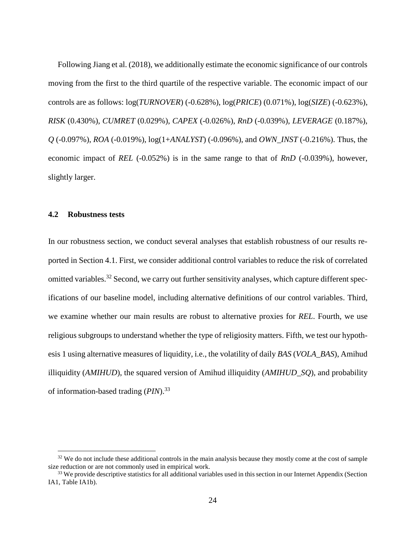Following Jiang et al. (2018), we additionally estimate the economic significance of our controls moving from the first to the third quartile of the respective variable. The economic impact of our controls are as follows: log(*TURNOVER*) (-0.628%), log(*PRICE*) (0.071%), log(*SIZE*) (-0.623%), *RISK* (0.430%), *CUMRET* (0.029%), *CAPEX* (-0.026%), *RnD* (-0.039%), *LEVERAGE* (0.187%), *Q* (-0.097%), *ROA* (-0.019%), log(1+*ANALYST*) (-0.096%), and *OWN\_INST* (-0.216%). Thus, the economic impact of *REL* (-0.052%) is in the same range to that of *RnD* (-0.039%), however, slightly larger.

## <span id="page-23-0"></span>**4.2 Robustness tests**

 $\overline{a}$ 

In our robustness section, we conduct several analyses that establish robustness of our results reported in Section [4.1.](#page-19-1) First, we consider additional control variables to reduce the risk of correlated omitted variables.<sup>32</sup> Second, we carry out further sensitivity analyses, which capture different specifications of our baseline model, including alternative definitions of our control variables. Third, we examine whether our main results are robust to alternative proxies for *REL*. Fourth, we use religious subgroups to understand whether the type of religiosity matters. Fifth, we test our hypothesis 1 using alternative measures of liquidity, i.e., the volatility of daily *BAS* (*VOLA\_BAS*), Amihud illiquidity (*AMIHUD*), the squared version of Amihud illiquidity (*AMIHUD\_SQ*), and probability of information-based trading (*PIN*).<sup>33</sup>

 $32$  We do not include these additional controls in the main analysis because they mostly come at the cost of sample size reduction or are not commonly used in empirical work.

 $33$  We provide descriptive statistics for all additional variables used in this section in our Internet Appendix (Section IA1, Table IA1b).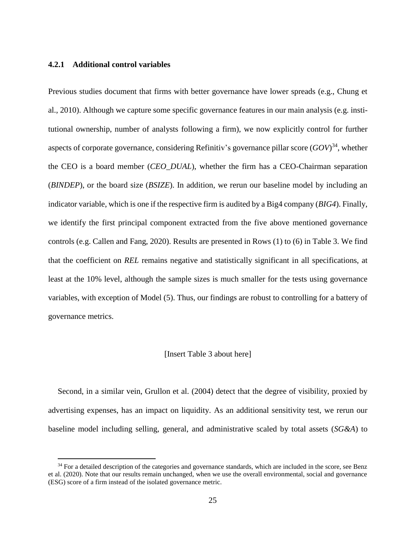## **4.2.1 Additional control variables**

 $\overline{a}$ 

Previous studies document that firms with better governance have lower spreads (e.g., Chung et al., 2010). Although we capture some specific governance features in our main analysis (e.g. institutional ownership, number of analysts following a firm), we now explicitly control for further aspects of corporate governance, considering Refinitiv's governance pillar score (*GOV*) <sup>34</sup>, whether the CEO is a board member (*CEO\_DUAL*), whether the firm has a CEO-Chairman separation (*BINDEP*), or the board size (*BSIZE*). In addition, we rerun our baseline model by including an indicator variable, which is one if the respective firm is audited by a Big4 company (*BIG4*). Finally, we identify the first principal component extracted from the five above mentioned governance controls (e.g. Callen and Fang, 2020). Results are presented in Rows (1) to (6) in [Table 3.](#page-70-0) We find that the coefficient on *REL* remains negative and statistically significant in all specifications, at least at the 10% level, although the sample sizes is much smaller for the tests using governance variables, with exception of Model (5). Thus, our findings are robust to controlling for a battery of governance metrics.

#### [Insert [Table 3](#page-70-0) about here]

Second, in a similar vein, Grullon et al. (2004) detect that the degree of visibility, proxied by advertising expenses, has an impact on liquidity. As an additional sensitivity test, we rerun our baseline model including selling, general, and administrative scaled by total assets (*SG&A*) to

<sup>&</sup>lt;sup>34</sup> For a detailed description of the categories and governance standards, which are included in the score, see Benz et al. (2020). Note that our results remain unchanged, when we use the overall environmental, social and governance (ESG) score of a firm instead of the isolated governance metric.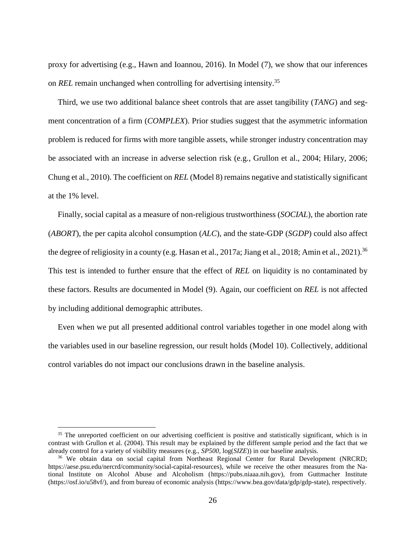proxy for advertising (e.g., Hawn and Ioannou, 2016). In Model (7), we show that our inferences on *REL* remain unchanged when controlling for advertising intensity.<sup>35</sup>

Third, we use two additional balance sheet controls that are asset tangibility (*TANG*) and segment concentration of a firm (*COMPLEX*). Prior studies suggest that the asymmetric information problem is reduced for firms with more tangible assets, while stronger industry concentration may be associated with an increase in adverse selection risk (e.g., Grullon et al., 2004; Hilary, 2006; Chung et al., 2010). The coefficient on *REL* (Model 8) remains negative and statistically significant at the 1% level.

Finally, social capital as a measure of non-religious trustworthiness (*SOCIAL*), the abortion rate (*ABORT*), the per capita alcohol consumption (*ALC*), and the state-GDP (*SGDP*) could also affect the degree of religiosity in a county (e.g. Hasan et al., 2017a; Jiang et al., 2018; Amin et al., 2021).<sup>36</sup> This test is intended to further ensure that the effect of *REL* on liquidity is no contaminated by these factors. Results are documented in Model (9). Again, our coefficient on *REL* is not affected by including additional demographic attributes.

Even when we put all presented additional control variables together in one model along with the variables used in our baseline regression, our result holds (Model 10). Collectively, additional control variables do not impact our conclusions drawn in the baseline analysis.

<sup>&</sup>lt;sup>35</sup> The unreported coefficient on our advertising coefficient is positive and statistically significant, which is in contrast with Grullon et al. (2004). This result may be explained by the different sample period and the fact that we already control for a variety of visibility measures (e.g., *SP500*, log(*SIZE*)) in our baseline analysis.

<sup>&</sup>lt;sup>36</sup> We obtain data on social capital from Northeast Regional Center for Rural Development (NRCRD; https://aese.psu.edu/nercrd/community/social-capital-resources), while we receive the other measures from the National Institute on Alcohol Abuse and Alcoholism (https://pubs.niaaa.nih.gov), from Guttmacher Institute (https://osf.io/u58vf/), and from bureau of economic analysis (https://www.bea.gov/data/gdp/gdp-state), respectively.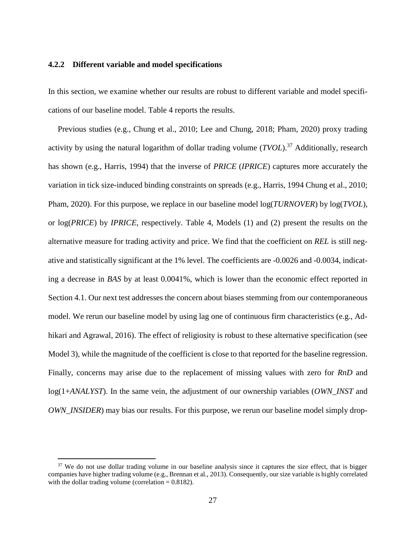#### <span id="page-26-0"></span>**4.2.2 Different variable and model specifications**

In this section, we examine whether our results are robust to different variable and model specifications of our baseline model. [Table 4](#page-71-0) reports the results.

Previous studies (e.g., Chung et al., 2010; Lee and Chung, 2018; Pham, 2020) proxy trading activity by using the natural logarithm of dollar trading volume (*TVOL*). <sup>37</sup> Additionally, research has shown (e.g., Harris, 1994) that the inverse of *PRICE* (*IPRICE*) captures more accurately the variation in tick size-induced binding constraints on spreads (e.g., Harris, 1994 Chung et al., 2010; Pham, 2020). For this purpose, we replace in our baseline model log(*TURNOVER*) by log(*TVOL*), or log(*PRICE*) by *IPRICE*, respectively. [Table 4,](#page-71-0) Models (1) and (2) present the results on the alternative measure for trading activity and price. We find that the coefficient on *REL* is still negative and statistically significant at the 1% level. The coefficients are -0.0026 and -0.0034, indicating a decrease in *BAS* by at least 0.0041%, which is lower than the economic effect reported in Section [4.1.](#page-19-1) Our next test addresses the concern about biases stemming from our contemporaneous model. We rerun our baseline model by using lag one of continuous firm characteristics (e.g., Adhikari and Agrawal, 2016). The effect of religiosity is robust to these alternative specification (see Model 3), while the magnitude of the coefficient is close to that reported for the baseline regression. Finally, concerns may arise due to the replacement of missing values with zero for *RnD* and log(1+*ANALYST*). In the same vein, the adjustment of our ownership variables (*OWN\_INST* and *OWN\_INSIDER*) may bias our results. For this purpose, we rerun our baseline model simply drop-

<sup>&</sup>lt;sup>37</sup> We do not use dollar trading volume in our baseline analysis since it captures the size effect, that is bigger companies have higher trading volume (e.g., Brennan et al., 2013). Consequently, our size variable is highly correlated with the dollar trading volume (correlation  $= 0.8182$ ).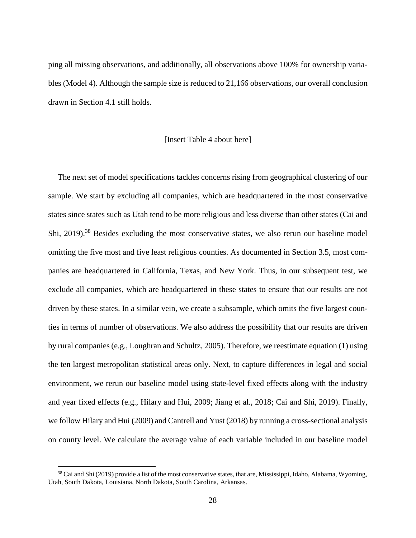ping all missing observations, and additionally, all observations above 100% for ownership variables (Model 4). Although the sample size is reduced to 21,166 observations, our overall conclusion drawn in Section [4.1](#page-19-1) still holds.

#### [Insert [Table 4](#page-71-0) about here]

The next set of model specifications tackles concerns rising from geographical clustering of our sample. We start by excluding all companies, which are headquartered in the most conservative states since states such as Utah tend to be more religious and less diverse than other states (Cai and Shi, 2019).<sup>38</sup> Besides excluding the most conservative states, we also rerun our baseline model omitting the five most and five least religious counties. As documented in Section [3.5,](#page-17-0) most companies are headquartered in California, Texas, and New York. Thus, in our subsequent test, we exclude all companies, which are headquartered in these states to ensure that our results are not driven by these states. In a similar vein, we create a subsample, which omits the five largest counties in terms of number of observations. We also address the possibility that our results are driven by rural companies (e.g., Loughran and Schultz, 2005). Therefore, we reestimate equation (1) using the ten largest metropolitan statistical areas only. Next, to capture differences in legal and social environment, we rerun our baseline model using state-level fixed effects along with the industry and year fixed effects (e.g., Hilary and Hui, 2009; Jiang et al., 2018; Cai and Shi, 2019). Finally, we follow Hilary and Hui (2009) and Cantrell and Yust (2018) by running a cross-sectional analysis on county level. We calculate the average value of each variable included in our baseline model

<sup>&</sup>lt;sup>38</sup> Cai and Shi (2019) provide a list of the most conservative states, that are, Mississippi, Idaho, Alabama, Wyoming, Utah, South Dakota, Louisiana, North Dakota, South Carolina, Arkansas.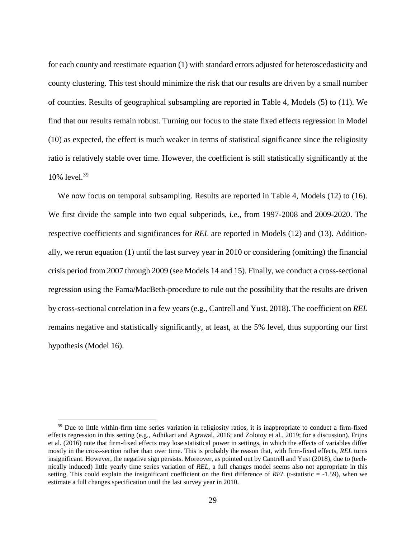for each county and reestimate equation (1) with standard errors adjusted for heteroscedasticity and county clustering. This test should minimize the risk that our results are driven by a small number of counties. Results of geographical subsampling are reported in [Table 4,](#page-71-0) Models (5) to (11). We find that our results remain robust. Turning our focus to the state fixed effects regression in Model (10) as expected, the effect is much weaker in terms of statistical significance since the religiosity ratio is relatively stable over time. However, the coefficient is still statistically significantly at the 10% level.<sup>39</sup>

We now focus on temporal subsampling. Results are reported in [Table 4,](#page-71-0) Models (12) to (16). We first divide the sample into two equal subperiods, i.e., from 1997-2008 and 2009-2020. The respective coefficients and significances for *REL* are reported in Models (12) and (13). Additionally, we rerun equation (1) until the last survey year in 2010 or considering (omitting) the financial crisis period from 2007 through 2009 (see Models 14 and 15). Finally, we conduct a cross-sectional regression using the Fama/MacBeth-procedure to rule out the possibility that the results are driven by cross-sectional correlation in a few years (e.g., Cantrell and Yust, 2018). The coefficient on *REL* remains negative and statistically significantly, at least, at the 5% level, thus supporting our first hypothesis (Model 16).

<sup>&</sup>lt;sup>39</sup> Due to little within-firm time series variation in religiosity ratios, it is inappropriate to conduct a firm-fixed effects regression in this setting (e.g., Adhikari and Agrawal, 2016; and Zolotoy et al., 2019; for a discussion). Frijns et al. (2016) note that firm-fixed effects may lose statistical power in settings, in which the effects of variables differ mostly in the cross-section rather than over time. This is probably the reason that, with firm-fixed effects, *REL* turns insignificant. However, the negative sign persists. Moreover, as pointed out by Cantrell and Yust (2018), due to (technically induced) little yearly time series variation of *REL*, a full changes model seems also not appropriate in this setting. This could explain the insignificant coefficient on the first difference of *REL* (t-statistic = -1.59), when we estimate a full changes specification until the last survey year in 2010.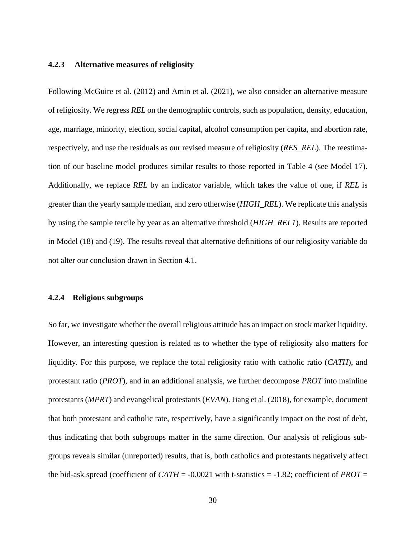# **4.2.3 Alternative measures of religiosity**

Following McGuire et al. (2012) and Amin et al. (2021), we also consider an alternative measure of religiosity. We regress *REL* on the demographic controls, such as population, density, education, age, marriage, minority, election, social capital, alcohol consumption per capita, and abortion rate, respectively, and use the residuals as our revised measure of religiosity (*RES\_REL*). The reestimation of our baseline model produces similar results to those reported in [Table 4](#page-71-0) (see Model 17). Additionally, we replace *REL* by an indicator variable, which takes the value of one, if *REL* is greater than the yearly sample median, and zero otherwise (*HIGH\_REL*). We replicate this analysis by using the sample tercile by year as an alternative threshold (*HIGH\_REL1*). Results are reported in Model (18) and (19). The results reveal that alternative definitions of our religiosity variable do not alter our conclusion drawn in Section [4.1.](#page-19-1)

#### **4.2.4 Religious subgroups**

So far, we investigate whether the overall religious attitude has an impact on stock market liquidity. However, an interesting question is related as to whether the type of religiosity also matters for liquidity. For this purpose, we replace the total religiosity ratio with catholic ratio (*CATH*), and protestant ratio (*PROT*), and in an additional analysis, we further decompose *PROT* into mainline protestants (*MPRT*) and evangelical protestants (*EVAN*). Jiang et al. (2018), for example, document that both protestant and catholic rate, respectively, have a significantly impact on the cost of debt, thus indicating that both subgroups matter in the same direction. Our analysis of religious subgroups reveals similar (unreported) results, that is, both catholics and protestants negatively affect the bid-ask spread (coefficient of  $CATH = -0.0021$  with t-statistics  $= -1.82$ ; coefficient of *PROT* =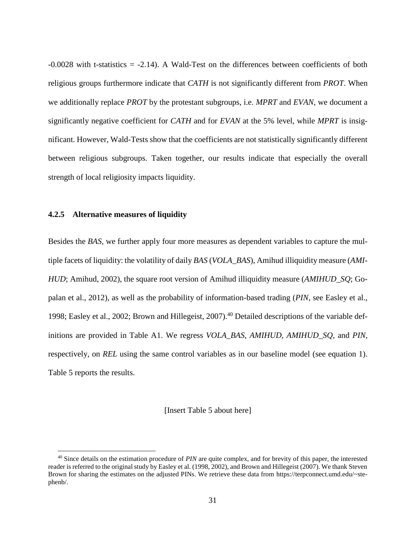-0.0028 with t-statistics = -2.14). A Wald-Test on the differences between coefficients of both religious groups furthermore indicate that *CATH* is not significantly different from *PROT*. When we additionally replace *PROT* by the protestant subgroups, i.e. *MPRT* and *EVAN*, we document a significantly negative coefficient for *CATH* and for *EVAN* at the 5% level, while *MPRT* is insignificant. However, Wald-Tests show that the coefficients are not statistically significantly different between religious subgroups. Taken together, our results indicate that especially the overall strength of local religiosity impacts liquidity.

#### **4.2.5 Alternative measures of liquidity**

 $\overline{a}$ 

Besides the *BAS*, we further apply four more measures as dependent variables to capture the multiple facets of liquidity: the volatility of daily *BAS* (*VOLA\_BAS*), Amihud illiquidity measure (*AMI-HUD*; Amihud, 2002), the square root version of Amihud illiquidity measure (*AMIHUD\_SQ*; Gopalan et al., 2012), as well as the probability of information-based trading (*PIN*, see Easley et al., 1998; Easley et al., 2002; Brown and Hillegeist, 2007).<sup>40</sup> Detailed descriptions of the variable definitions are provided in [Table A1.](#page-47-0) We regress *VOLA\_BAS*, *AMIHUD*, *AMIHUD\_SQ*, and *PIN*, respectively, on *REL* using the same control variables as in our baseline model (see equation 1). [Table 5](#page-72-0) reports the results.

[Insert [Table 5](#page-72-0) about here]

<sup>40</sup> Since details on the estimation procedure of *PIN* are quite complex, and for brevity of this paper, the interested reader is referred to the original study by Easley et al. (1998, 2002), and Brown and Hillegeist (2007). We thank Steven Brown for sharing the estimates on the adjusted PINs. We retrieve these data from https://terpconnect.umd.edu/~stephenb/.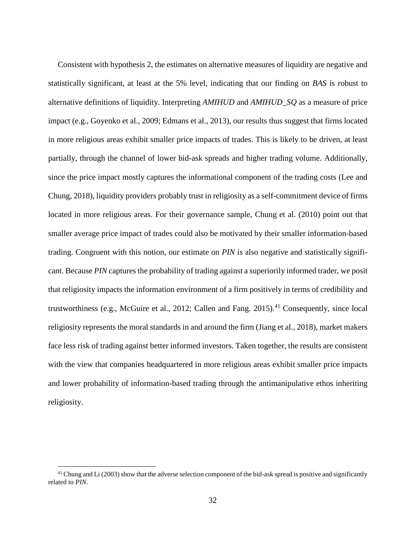Consistent with hypothesis 2, the estimates on alternative measures of liquidity are negative and statistically significant, at least at the 5% level, indicating that our finding on *BAS* is robust to alternative definitions of liquidity. Interpreting *AMIHUD* and *AMIHUD\_SQ* as a measure of price impact (e.g., Goyenko et al., 2009; Edmans et al., 2013), our results thus suggest that firms located in more religious areas exhibit smaller price impacts of trades. This is likely to be driven, at least partially, through the channel of lower bid-ask spreads and higher trading volume. Additionally, since the price impact mostly captures the informational component of the trading costs (Lee and Chung, 2018), liquidity providers probably trust in religiosity as a self-commitment device of firms located in more religious areas. For their governance sample, Chung et al. (2010) point out that smaller average price impact of trades could also be motivated by their smaller information-based trading. Congruent with this notion, our estimate on *PIN* is also negative and statistically significant. Because *PIN* captures the probability of trading against a superiorily informed trader, we posit that religiosity impacts the information environment of a firm positively in terms of credibility and trustworthiness (e.g., McGuire et al., 2012; Callen and Fang. 2015). <sup>41</sup> Consequently, since local religiosity represents the moral standards in and around the firm (Jiang et al., 2018), market makers face less risk of trading against better informed investors. Taken together, the results are consistent with the view that companies headquartered in more religious areas exhibit smaller price impacts and lower probability of information-based trading through the antimanipulative ethos inheriting religiosity.

<sup>&</sup>lt;sup>41</sup> Chung and Li (2003) show that the adverse selection component of the bid-ask spread is positive and significantly related to *PIN*.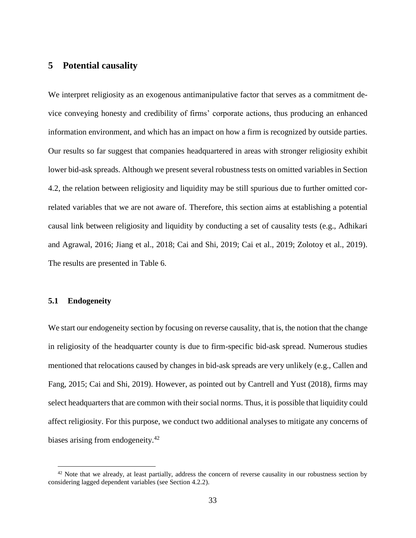# <span id="page-32-0"></span>**5 Potential causality**

We interpret religiosity as an exogenous antimanipulative factor that serves as a commitment device conveying honesty and credibility of firms' corporate actions, thus producing an enhanced information environment, and which has an impact on how a firm is recognized by outside parties. Our results so far suggest that companies headquartered in areas with stronger religiosity exhibit lower bid-ask spreads. Although we present several robustness tests on omitted variables in Section [4.2,](#page-23-0) the relation between religiosity and liquidity may be still spurious due to further omitted correlated variables that we are not aware of. Therefore, this section aims at establishing a potential causal link between religiosity and liquidity by conducting a set of causality tests (e.g., Adhikari and Agrawal, 2016; Jiang et al., 2018; Cai and Shi, 2019; Cai et al., 2019; Zolotoy et al., 2019). The results are presented in [Table 6.](#page-73-0)

## **5.1 Endogeneity**

 $\overline{a}$ 

We start our endogeneity section by focusing on reverse causality, that is, the notion that the change in religiosity of the headquarter county is due to firm-specific bid-ask spread. Numerous studies mentioned that relocations caused by changes in bid-ask spreads are very unlikely (e.g., Callen and Fang, 2015; Cai and Shi, 2019). However, as pointed out by Cantrell and Yust (2018), firms may select headquarters that are common with their social norms. Thus, it is possible that liquidity could affect religiosity. For this purpose, we conduct two additional analyses to mitigate any concerns of biases arising from endogeneity.<sup>42</sup>

<sup>&</sup>lt;sup>42</sup> Note that we already, at least partially, address the concern of reverse causality in our robustness section by considering lagged dependent variables (see Section [4.2.2\)](#page-26-0).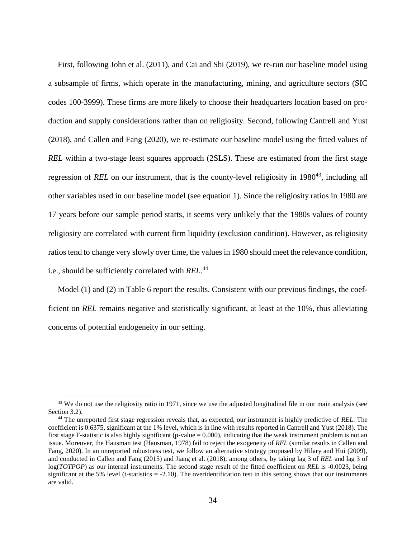First, following John et al. (2011), and Cai and Shi (2019), we re-run our baseline model using a subsample of firms, which operate in the manufacturing, mining, and agriculture sectors (SIC codes 100-3999). These firms are more likely to choose their headquarters location based on production and supply considerations rather than on religiosity. Second, following Cantrell and Yust (2018), and Callen and Fang (2020), we re-estimate our baseline model using the fitted values of *REL* within a two-stage least squares approach (2SLS). These are estimated from the first stage regression of *REL* on our instrument, that is the county-level religiosity in 1980<sup>43</sup>, including all other variables used in our baseline model (see equation 1). Since the religiosity ratios in 1980 are 17 years before our sample period starts, it seems very unlikely that the 1980s values of county religiosity are correlated with current firm liquidity (exclusion condition). However, as religiosity ratios tend to change very slowly over time, the values in 1980 should meet the relevance condition, i.e., should be sufficiently correlated with *REL*. 44

Model (1) and (2) in [Table 6](#page-73-0) report the results. Consistent with our previous findings, the coefficient on *REL* remains negative and statistically significant, at least at the 10%, thus alleviating concerns of potential endogeneity in our setting.

 $43$  We do not use the religiosity ratio in 1971, since we use the adjusted longitudinal file in our main analysis (see Section [3.2\)](#page-11-0).

<sup>44</sup> The unreported first stage regression reveals that, as expected, our instrument is highly predictive of *REL*. The coefficient is 0.6375, significant at the 1% level, which is in line with results reported in Cantrell and Yust (2018). The first stage F-statistic is also highly significant (p-value = 0.000), indicating that the weak instrument problem is not an issue. Moreover, the Hausman test (Hausman, 1978) fail to reject the exogeneity of *REL* (similar results in Callen and Fang, 2020). In an unreported robustness test, we follow an alternative strategy proposed by Hilary and Hui (2009), and conducted in Callen and Fang (2015) and Jiang et al. (2018), among others, by taking lag 3 of *REL* and lag 3 of log(*TOTPOP*) as our internal instruments. The second stage result of the fitted coefficient on *REL* is -0.0023, being significant at the 5% level (t-statistics  $= -2.10$ ). The overidentification test in this setting shows that our instruments are valid.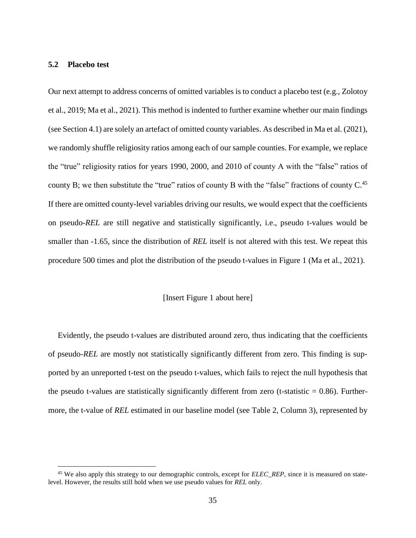## **5.2 Placebo test**

 $\overline{a}$ 

Our next attempt to address concerns of omitted variables is to conduct a placebo test (e.g., Zolotoy et al., 2019; Ma et al., 2021). This method is indented to further examine whether our main findings (see Section [4.1\)](#page-19-1) are solely an artefact of omitted county variables. As described in Ma et al. (2021), we randomly shuffle religiosity ratios among each of our sample counties. For example, we replace the "true" religiosity ratios for years 1990, 2000, and 2010 of county A with the "false" ratios of county B; we then substitute the "true" ratios of county B with the "false" fractions of county  $C<sup>45</sup>$ If there are omitted county-level variables driving our results, we would expect that the coefficients on pseudo-*REL* are still negative and statistically significantly, i.e., pseudo t-values would be smaller than  $-1.65$ , since the distribution of *REL* itself is not altered with this test. We repeat this procedure 500 times and plot the distribution of the pseudo t-values in Figure 1 (Ma et al., 2021).

#### [Insert [Figure 1](#page-65-0) about here]

Evidently, the pseudo t-values are distributed around zero, thus indicating that the coefficients of pseudo-*REL* are mostly not statistically significantly different from zero. This finding is supported by an unreported t-test on the pseudo t-values, which fails to reject the null hypothesis that the pseudo t-values are statistically significantly different from zero (t-statistic  $= 0.86$ ). Furthermore, the t-value of *REL* estimated in our baseline model (see [Table 2,](#page-68-0) Column 3), represented by

<sup>45</sup> We also apply this strategy to our demographic controls, except for *ELEC\_REP*, since it is measured on statelevel. However, the results still hold when we use pseudo values for *REL* only.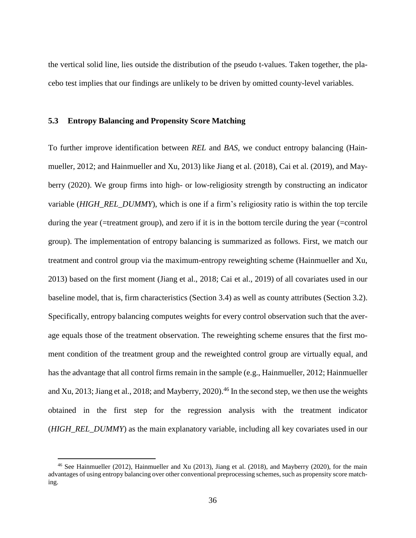the vertical solid line, lies outside the distribution of the pseudo t-values. Taken together, the placebo test implies that our findings are unlikely to be driven by omitted county-level variables.

#### **5.3 Entropy Balancing and Propensity Score Matching**

To further improve identification between *REL* and *BAS*, we conduct entropy balancing (Hainmueller, 2012; and Hainmueller and Xu, 2013) like Jiang et al. (2018), Cai et al. (2019), and Mayberry (2020). We group firms into high- or low-religiosity strength by constructing an indicator variable (*HIGH\_REL\_DUMMY*), which is one if a firm's religiosity ratio is within the top tercile during the year (=treatment group), and zero if it is in the bottom tercile during the year (=control group). The implementation of entropy balancing is summarized as follows. First, we match our treatment and control group via the maximum-entropy reweighting scheme (Hainmueller and Xu, 2013) based on the first moment (Jiang et al., 2018; Cai et al., 2019) of all covariates used in our baseline model, that is, firm characteristics (Section [3.4\)](#page-14-0) as well as county attributes (Section [3.2\)](#page-11-0). Specifically, entropy balancing computes weights for every control observation such that the average equals those of the treatment observation. The reweighting scheme ensures that the first moment condition of the treatment group and the reweighted control group are virtually equal, and has the advantage that all control firms remain in the sample (e.g., Hainmueller, 2012; Hainmueller and Xu, 2013; Jiang et al., 2018; and Mayberry, 2020).<sup>46</sup> In the second step, we then use the weights obtained in the first step for the regression analysis with the treatment indicator (*HIGH\_REL\_DUMMY*) as the main explanatory variable, including all key covariates used in our

<sup>46</sup> See Hainmueller (2012), Hainmueller and Xu (2013), Jiang et al. (2018), and Mayberry (2020), for the main advantages of using entropy balancing over other conventional preprocessing schemes, such as propensity score matching.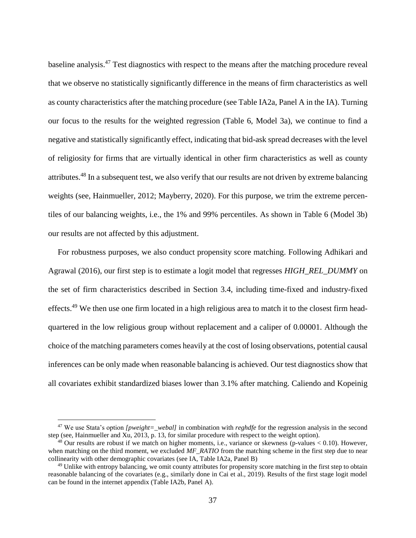baseline analysis.<sup>47</sup> Test diagnostics with respect to the means after the matching procedure reveal that we observe no statistically significantly difference in the means of firm characteristics as well as county characteristics after the matching procedure (see Table IA2a, Panel A in the IA). Turning our focus to the results for the weighted regression [\(Table 6,](#page-73-0) Model 3a), we continue to find a negative and statistically significantly effect, indicating that bid-ask spread decreases with the level of religiosity for firms that are virtually identical in other firm characteristics as well as county attributes.<sup>48</sup> In a subsequent test, we also verify that our results are not driven by extreme balancing weights (see, Hainmueller, 2012; Mayberry, 2020). For this purpose, we trim the extreme percentiles of our balancing weights, i.e., the 1% and 99% percentiles. As shown in [Table 6](#page-73-0) (Model 3b) our results are not affected by this adjustment.

For robustness purposes, we also conduct propensity score matching. Following Adhikari and Agrawal (2016), our first step is to estimate a logit model that regresses *HIGH\_REL\_DUMMY* on the set of firm characteristics described in Section [3.4,](#page-14-0) including time-fixed and industry-fixed effects.<sup>49</sup> We then use one firm located in a high religious area to match it to the closest firm headquartered in the low religious group without replacement and a caliper of 0.00001. Although the choice of the matching parameters comes heavily at the cost of losing observations, potential causal inferences can be only made when reasonable balancing is achieved. Our test diagnostics show that all covariates exhibit standardized biases lower than 3.1% after matching. Caliendo and Kopeinig

<sup>&</sup>lt;sup>47</sup> We use Stata's option *[pweight=\_webal]* in combination with *reghdfe* for the regression analysis in the second step (see, Hainmueller and Xu, 2013, p. 13, for similar procedure with respect to the weight option).

<sup>&</sup>lt;sup>48</sup> Our results are robust if we match on higher moments, i.e., variance or skewness (p-values  $< 0.10$ ). However, when matching on the third moment, we excluded *MF\_RATIO* from the matching scheme in the first step due to near collinearity with other demographic covariates (see IA, Table IA2a, Panel B)

<sup>49</sup> Unlike with entropy balancing, we omit county attributes for propensity score matching in the first step to obtain reasonable balancing of the covariates (e.g., similarly done in Cai et al., 2019). Results of the first stage logit model can be found in the internet appendix (Table IA2b, Panel A).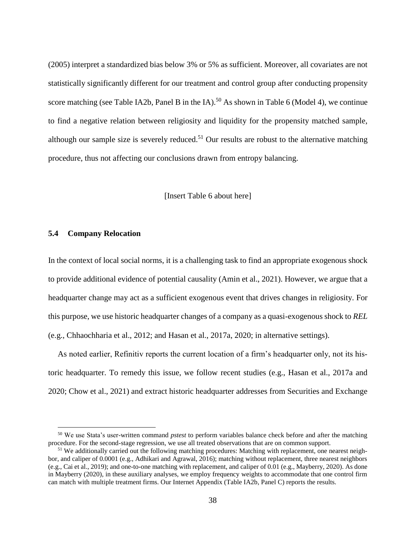(2005) interpret a standardized bias below 3% or 5% as sufficient. Moreover, all covariates are not statistically significantly different for our treatment and control group after conducting propensity score matching (see Table IA2b, Panel B in the IA).<sup>50</sup> As shown i[n Table 6](#page-73-0) (Model 4), we continue to find a negative relation between religiosity and liquidity for the propensity matched sample, although our sample size is severely reduced.<sup>51</sup> Our results are robust to the alternative matching procedure, thus not affecting our conclusions drawn from entropy balancing.

[Insert [Table 6](#page-73-0) about here]

### **5.4 Company Relocation**

 $\overline{a}$ 

In the context of local social norms, it is a challenging task to find an appropriate exogenous shock to provide additional evidence of potential causality (Amin et al., 2021). However, we argue that a headquarter change may act as a sufficient exogenous event that drives changes in religiosity. For this purpose, we use historic headquarter changes of a company as a quasi-exogenous shock to *REL* (e.g., Chhaochharia et al., 2012; and Hasan et al., 2017a, 2020; in alternative settings).

As noted earlier, Refinitiv reports the current location of a firm's headquarter only, not its historic headquarter. To remedy this issue, we follow recent studies (e.g., Hasan et al., 2017a and 2020; Chow et al., 2021) and extract historic headquarter addresses from Securities and Exchange

<sup>50</sup> We use Stata's user-written command *pstest* to perform variables balance check before and after the matching procedure. For the second-stage regression, we use all treated observations that are on common support.

<sup>&</sup>lt;sup>51</sup> We additionally carried out the following matching procedures: Matching with replacement, one nearest neighbor, and caliper of 0.0001 (e.g., Adhikari and Agrawal, 2016); matching without replacement, three nearest neighbors (e.g., Cai et al., 2019); and one-to-one matching with replacement, and caliper of 0.01 (e.g., Mayberry, 2020). As done in Mayberry (2020), in these auxiliary analyses, we employ frequency weights to accommodate that one control firm can match with multiple treatment firms. Our Internet Appendix (Table IA2b, Panel C) reports the results.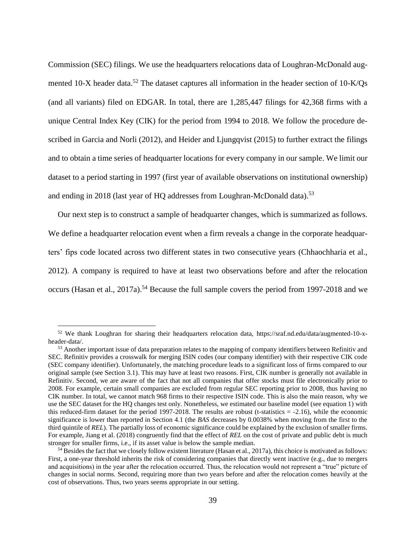Commission (SEC) filings. We use the headquarters relocations data of Loughran-McDonald augmented 10-X header data.<sup>52</sup> The dataset captures all information in the header section of 10-K/Qs (and all variants) filed on EDGAR. In total, there are 1,285,447 filings for 42,368 firms with a unique Central Index Key (CIK) for the period from 1994 to 2018. We follow the procedure described in Garcia and Norli (2012), and Heider and Ljungqvist (2015) to further extract the filings and to obtain a time series of headquarter locations for every company in our sample. We limit our dataset to a period starting in 1997 (first year of available observations on institutional ownership) and ending in 2018 (last year of HQ addresses from Loughran-McDonald data).<sup>53</sup>

Our next step is to construct a sample of headquarter changes, which is summarized as follows. We define a headquarter relocation event when a firm reveals a change in the corporate headquarters' fips code located across two different states in two consecutive years (Chhaochharia et al., 2012). A company is required to have at least two observations before and after the relocation occurs (Hasan et al., 2017a).<sup>54</sup> Because the full sample covers the period from 1997-2018 and we

<sup>52</sup> We thank Loughran for sharing their headquarters relocation data, https://sraf.nd.edu/data/augmented-10-xheader-data/.

<sup>&</sup>lt;sup>53</sup> Another important issue of data preparation relates to the mapping of company identifiers between Refinitiv and SEC. Refinitiv provides a crosswalk for merging ISIN codes (our company identifier) with their respective CIK code (SEC company identifier). Unfortunately, the matching procedure leads to a significant loss of firms compared to our original sample (see Section [3.1\)](#page-10-0). This may have at least two reasons. First, CIK number is generally not available in Refinitiv. Second, we are aware of the fact that not all companies that offer stocks must file electronically prior to 2008. For example, certain small companies are excluded from regular SEC reporting prior to 2008, thus having no CIK number. In total, we cannot match 968 firms to their respective ISIN code. This is also the main reason, why we use the SEC dataset for the HQ changes test only. Nonetheless, we estimated our baseline model (see equation 1) with this reduced-firm dataset for the period 1997-2018. The results are robust (t-statistics  $= -2.16$ ), while the economic significance is lower than reported in Section [4.1](#page-19-0) (the *BAS* decreases by 0.0038% when moving from the first to the third quintile of *REL*). The partially loss of economic significance could be explained by the exclusion of smaller firms. For example, Jiang et al. (2018) congruently find that the effect of *REL* on the cost of private and public debt is much stronger for smaller firms, i.e., if its asset value is below the sample median.

 $54$  Besides the fact that we closely follow existent literature (Hasan et al., 2017a), this choice is motivated as follows: First, a one-year threshold inherits the risk of considering companies that directly went inactive (e.g., due to mergers and acquisitions) in the year after the relocation occurred. Thus, the relocation would not represent a "true" picture of changes in social norms. Second, requiring more than two years before and after the relocation comes heavily at the cost of observations. Thus, two years seems appropriate in our setting.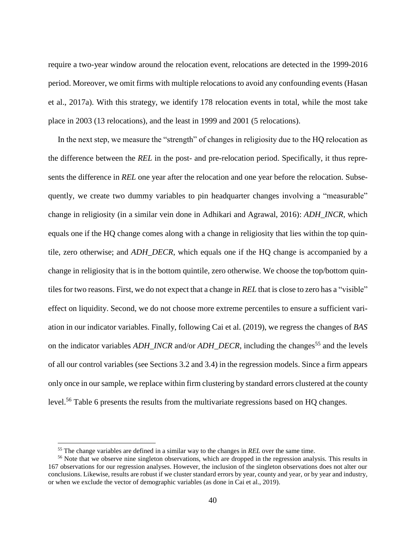require a two-year window around the relocation event, relocations are detected in the 1999-2016 period. Moreover, we omit firms with multiple relocations to avoid any confounding events (Hasan et al., 2017a). With this strategy, we identify 178 relocation events in total, while the most take place in 2003 (13 relocations), and the least in 1999 and 2001 (5 relocations).

In the next step, we measure the "strength" of changes in religiosity due to the HQ relocation as the difference between the *REL* in the post- and pre-relocation period. Specifically, it thus represents the difference in *REL* one year after the relocation and one year before the relocation. Subsequently, we create two dummy variables to pin headquarter changes involving a "measurable" change in religiosity (in a similar vein done in Adhikari and Agrawal, 2016): *ADH\_INCR*, which equals one if the HQ change comes along with a change in religiosity that lies within the top quintile, zero otherwise; and *ADH\_DECR*, which equals one if the HQ change is accompanied by a change in religiosity that is in the bottom quintile, zero otherwise. We choose the top/bottom quintiles for two reasons. First, we do not expect that a change in *REL* that is close to zero has a "visible" effect on liquidity. Second, we do not choose more extreme percentiles to ensure a sufficient variation in our indicator variables. Finally, following Cai et al. (2019), we regress the changes of *BAS* on the indicator variables *ADH\_INCR* and/or *ADH\_DECR*, including the changes<sup>55</sup> and the levels of all our control variables (see Sections [3.2](#page-11-0) and [3.4\)](#page-14-0) in the regression models. Since a firm appears only once in our sample, we replace within firm clustering by standard errors clustered at the county level.<sup>56</sup> [Table 6](#page-73-0) presents the results from the multivariate regressions based on HQ changes.

<sup>55</sup> The change variables are defined in a similar way to the changes in *REL* over the same time.

<sup>&</sup>lt;sup>56</sup> Note that we observe nine singleton observations, which are dropped in the regression analysis. This results in 167 observations for our regression analyses. However, the inclusion of the singleton observations does not alter our conclusions. Likewise, results are robust if we cluster standard errors by year, county and year, or by year and industry, or when we exclude the vector of demographic variables (as done in Cai et al., 2019).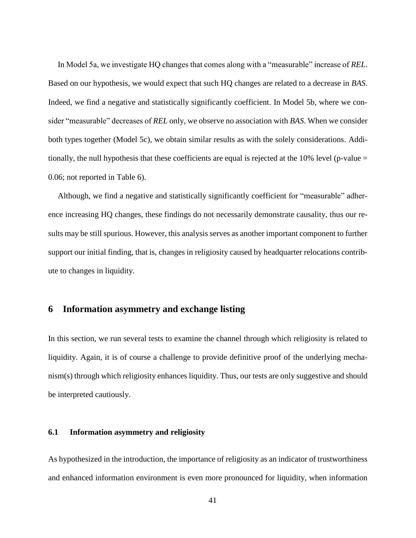In Model 5a, we investigate HQ changes that comes along with a "measurable" increase of *REL*. Based on our hypothesis, we would expect that such HQ changes are related to a decrease in *BAS*. Indeed, we find a negative and statistically significantly coefficient. In Model 5b, where we consider "measurable" decreases of *REL* only, we observe no association with *BAS*. When we consider both types together (Model 5c), we obtain similar results as with the solely considerations. Additionally, the null hypothesis that these coefficients are equal is rejected at the 10% level (p-value  $=$ 0.06; not reported in [Table 6\)](#page-73-0).

Although, we find a negative and statistically significantly coefficient for "measurable" adherence increasing HQ changes, these findings do not necessarily demonstrate causality, thus our results may be still spurious. However, this analysis serves as another important component to further support our initial finding, that is, changes in religiosity caused by headquarter relocations contribute to changes in liquidity.

### **6 Information asymmetry and exchange listing**

In this section, we run several tests to examine the channel through which religiosity is related to liquidity. Again, it is of course a challenge to provide definitive proof of the underlying mechanism(s) through which religiosity enhances liquidity. Thus, our tests are only suggestive and should be interpreted cautiously.

### <span id="page-40-0"></span>**6.1 Information asymmetry and religiosity**

As hypothesized in the introduction, the importance of religiosity as an indicator of trustworthiness and enhanced information environment is even more pronounced for liquidity, when information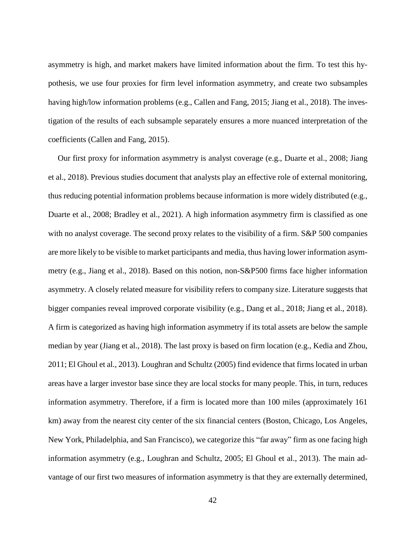asymmetry is high, and market makers have limited information about the firm. To test this hypothesis, we use four proxies for firm level information asymmetry, and create two subsamples having high/low information problems (e.g., Callen and Fang, 2015; Jiang et al., 2018). The investigation of the results of each subsample separately ensures a more nuanced interpretation of the coefficients (Callen and Fang, 2015).

Our first proxy for information asymmetry is analyst coverage (e.g., Duarte et al., 2008; Jiang et al., 2018). Previous studies document that analysts play an effective role of external monitoring, thus reducing potential information problems because information is more widely distributed (e.g., Duarte et al., 2008; Bradley et al., 2021). A high information asymmetry firm is classified as one with no analyst coverage. The second proxy relates to the visibility of a firm. S&P 500 companies are more likely to be visible to market participants and media, thus having lower information asymmetry (e.g., Jiang et al., 2018). Based on this notion, non-S&P500 firms face higher information asymmetry. A closely related measure for visibility refers to company size. Literature suggests that bigger companies reveal improved corporate visibility (e.g., Dang et al., 2018; Jiang et al., 2018). A firm is categorized as having high information asymmetry if its total assets are below the sample median by year (Jiang et al., 2018). The last proxy is based on firm location (e.g., Kedia and Zhou, 2011; El Ghoul et al., 2013). Loughran and Schultz (2005) find evidence that firms located in urban areas have a larger investor base since they are local stocks for many people. This, in turn, reduces information asymmetry. Therefore, if a firm is located more than 100 miles (approximately 161 km) away from the nearest city center of the six financial centers (Boston, Chicago, Los Angeles, New York, Philadelphia, and San Francisco), we categorize this "far away" firm as one facing high information asymmetry (e.g., Loughran and Schultz, 2005; El Ghoul et al., 2013). The main advantage of our first two measures of information asymmetry is that they are externally determined,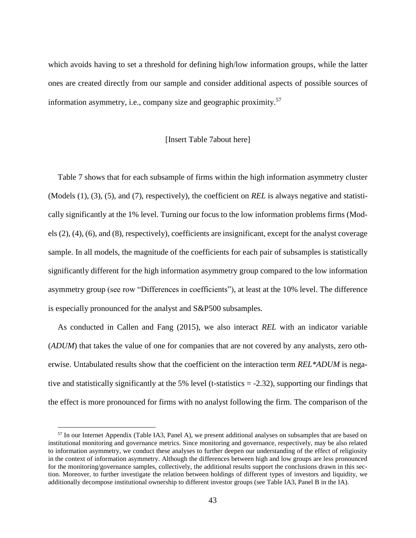which avoids having to set a threshold for defining high/low information groups, while the latter ones are created directly from our sample and consider additional aspects of possible sources of information asymmetry, i.e., company size and geographic proximity. 57

### [Insert [Table 7a](#page-74-0)bout here]

[Table 7](#page-74-0) shows that for each subsample of firms within the high information asymmetry cluster (Models (1), (3), (5), and (7), respectively), the coefficient on *REL* is always negative and statistically significantly at the 1% level. Turning our focus to the low information problems firms (Models (2), (4), (6), and (8), respectively), coefficients are insignificant, except for the analyst coverage sample. In all models, the magnitude of the coefficients for each pair of subsamples is statistically significantly different for the high information asymmetry group compared to the low information asymmetry group (see row "Differences in coefficients"), at least at the 10% level. The difference is especially pronounced for the analyst and S&P500 subsamples.

As conducted in Callen and Fang (2015), we also interact *REL* with an indicator variable (*ADUM*) that takes the value of one for companies that are not covered by any analysts, zero otherwise. Untabulated results show that the coefficient on the interaction term *REL\*ADUM* is negative and statistically significantly at the 5% level (t-statistics = -2.32), supporting our findings that the effect is more pronounced for firms with no analyst following the firm. The comparison of the

<sup>&</sup>lt;sup>57</sup> In our Internet Appendix (Table IA3, Panel A), we present additional analyses on subsamples that are based on institutional monitoring and governance metrics. Since monitoring and governance, respectively, may be also related to information asymmetry, we conduct these analyses to further deepen our understanding of the effect of religiosity in the context of information asymmetry. Although the differences between high and low groups are less pronounced for the monitoring/governance samples, collectively, the additional results support the conclusions drawn in this section. Moreover, to further investigate the relation between holdings of different types of investors and liquidity, we additionally decompose institutional ownership to different investor groups (see Table IA3, Panel B in the IA).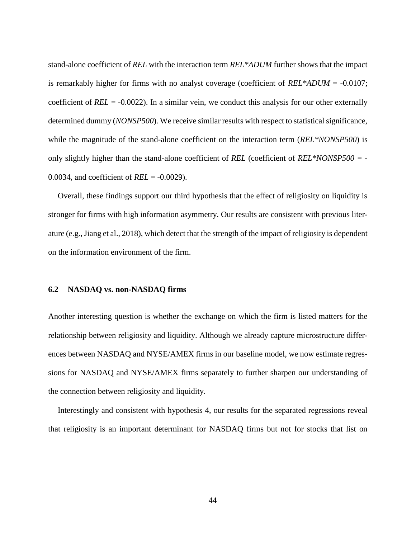stand-alone coefficient of *REL* with the interaction term *REL\*ADUM* further shows that the impact is remarkably higher for firms with no analyst coverage (coefficient of *REL\*ADUM* = -0.0107; coefficient of *REL* = -0.0022). In a similar vein, we conduct this analysis for our other externally determined dummy (*NONSP500*). We receive similar results with respect to statistical significance, while the magnitude of the stand-alone coefficient on the interaction term (*REL\*NONSP500*) is only slightly higher than the stand-alone coefficient of *REL* (coefficient of *REL\*NONSP500 =* - 0.0034, and coefficient of *REL* = -0.0029).

Overall, these findings support our third hypothesis that the effect of religiosity on liquidity is stronger for firms with high information asymmetry. Our results are consistent with previous literature (e.g., Jiang et al., 2018), which detect that the strength of the impact of religiosity is dependent on the information environment of the firm.

### **6.2 NASDAQ vs. non-NASDAQ firms**

Another interesting question is whether the exchange on which the firm is listed matters for the relationship between religiosity and liquidity. Although we already capture microstructure differences between NASDAQ and NYSE/AMEX firms in our baseline model, we now estimate regressions for NASDAQ and NYSE/AMEX firms separately to further sharpen our understanding of the connection between religiosity and liquidity.

Interestingly and consistent with hypothesis 4, our results for the separated regressions reveal that religiosity is an important determinant for NASDAQ firms but not for stocks that list on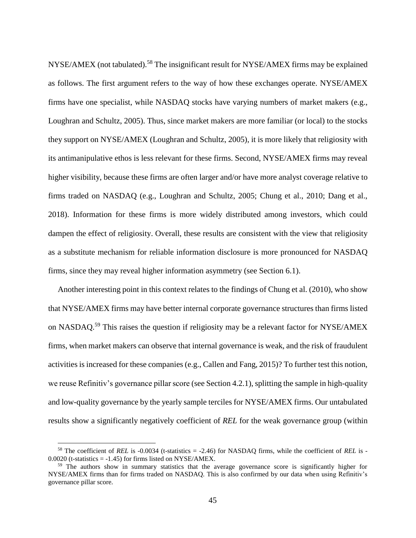NYSE/AMEX (not tabulated).<sup>58</sup> The insignificant result for NYSE/AMEX firms may be explained as follows. The first argument refers to the way of how these exchanges operate. NYSE/AMEX firms have one specialist, while NASDAQ stocks have varying numbers of market makers (e.g., Loughran and Schultz, 2005). Thus, since market makers are more familiar (or local) to the stocks they support on NYSE/AMEX (Loughran and Schultz, 2005), it is more likely that religiosity with its antimanipulative ethos is less relevant for these firms. Second, NYSE/AMEX firms may reveal higher visibility, because these firms are often larger and/or have more analyst coverage relative to firms traded on NASDAQ (e.g., Loughran and Schultz, 2005; Chung et al., 2010; Dang et al., 2018). Information for these firms is more widely distributed among investors, which could dampen the effect of religiosity. Overall, these results are consistent with the view that religiosity as a substitute mechanism for reliable information disclosure is more pronounced for NASDAQ firms, since they may reveal higher information asymmetry (see Section [6.1\)](#page-40-0).

Another interesting point in this context relates to the findings of Chung et al. (2010), who show that NYSE/AMEX firms may have better internal corporate governance structures than firms listed on NASDAQ.<sup>59</sup> This raises the question if religiosity may be a relevant factor for NYSE/AMEX firms, when market makers can observe that internal governance is weak, and the risk of fraudulent activities is increased for these companies (e.g., Callen and Fang, 2015)? To further test this notion, we reuse Refinitiv's governance pillar score (see Section [4.2.1\)](#page-24-0), splitting the sample in high-quality and low-quality governance by the yearly sample terciles for NYSE/AMEX firms. Our untabulated results show a significantly negatively coefficient of *REL* for the weak governance group (within

<sup>58</sup> The coefficient of *REL* is -0.0034 (t-statistics = -2.46) for NASDAQ firms, while the coefficient of *REL* is -  $0.0020$  (t-statistics = -1.45) for firms listed on NYSE/AMEX.

<sup>59</sup> The authors show in summary statistics that the average governance score is significantly higher for NYSE/AMEX firms than for firms traded on NASDAQ. This is also confirmed by our data when using Refinitiv's governance pillar score.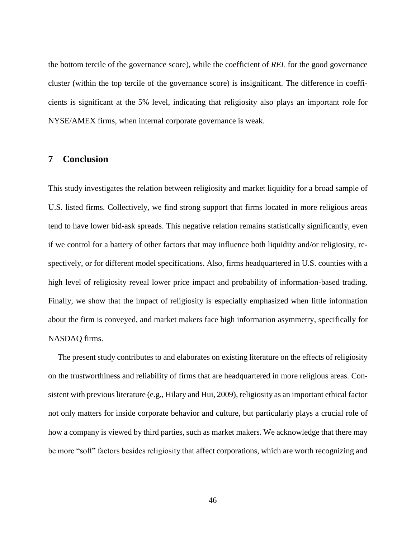the bottom tercile of the governance score), while the coefficient of *REL* for the good governance cluster (within the top tercile of the governance score) is insignificant. The difference in coefficients is significant at the 5% level, indicating that religiosity also plays an important role for NYSE/AMEX firms, when internal corporate governance is weak.

## **7 Conclusion**

This study investigates the relation between religiosity and market liquidity for a broad sample of U.S. listed firms. Collectively, we find strong support that firms located in more religious areas tend to have lower bid-ask spreads. This negative relation remains statistically significantly, even if we control for a battery of other factors that may influence both liquidity and/or religiosity, respectively, or for different model specifications. Also, firms headquartered in U.S. counties with a high level of religiosity reveal lower price impact and probability of information-based trading. Finally, we show that the impact of religiosity is especially emphasized when little information about the firm is conveyed, and market makers face high information asymmetry, specifically for NASDAQ firms.

The present study contributes to and elaborates on existing literature on the effects of religiosity on the trustworthiness and reliability of firms that are headquartered in more religious areas. Consistent with previous literature (e.g., Hilary and Hui, 2009), religiosity as an important ethical factor not only matters for inside corporate behavior and culture, but particularly plays a crucial role of how a company is viewed by third parties, such as market makers. We acknowledge that there may be more "soft" factors besides religiosity that affect corporations, which are worth recognizing and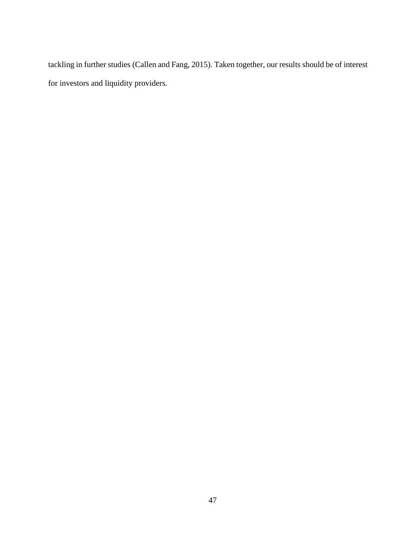tackling in further studies (Callen and Fang, 2015). Taken together, our results should be of interest for investors and liquidity providers.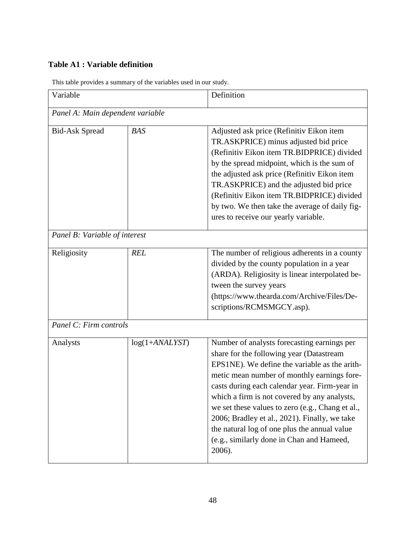# **Table A1 : Variable definition**

| Variable                         |                  | Definition                                                                                                                                                                                                                                                                                                                                                                                                                                                                                           |  |  |  |
|----------------------------------|------------------|------------------------------------------------------------------------------------------------------------------------------------------------------------------------------------------------------------------------------------------------------------------------------------------------------------------------------------------------------------------------------------------------------------------------------------------------------------------------------------------------------|--|--|--|
| Panel A: Main dependent variable |                  |                                                                                                                                                                                                                                                                                                                                                                                                                                                                                                      |  |  |  |
| <b>Bid-Ask Spread</b>            | <b>BAS</b>       | Adjusted ask price (Refinitiv Eikon item<br>TR.ASKPRICE) minus adjusted bid price<br>(Refinitiv Eikon item TR.BIDPRICE) divided<br>by the spread midpoint, which is the sum of<br>the adjusted ask price (Refinitiv Eikon item<br>TR.ASKPRICE) and the adjusted bid price<br>(Refinitiv Eikon item TR.BIDPRICE) divided<br>by two. We then take the average of daily fig-<br>ures to receive our yearly variable.                                                                                    |  |  |  |
| Panel B: Variable of interest    |                  |                                                                                                                                                                                                                                                                                                                                                                                                                                                                                                      |  |  |  |
| Religiosity                      | <b>REL</b>       | The number of religious adherents in a county<br>divided by the county population in a year<br>(ARDA). Religiosity is linear interpolated be-<br>tween the survey years<br>(https://www.thearda.com/Archive/Files/De-<br>scriptions/RCMSMGCY.asp).                                                                                                                                                                                                                                                   |  |  |  |
| Panel C: Firm controls           |                  |                                                                                                                                                                                                                                                                                                                                                                                                                                                                                                      |  |  |  |
| Analysts                         | $log(1+ANALYST)$ | Number of analysts forecasting earnings per<br>share for the following year (Datastream<br>EPS1NE). We define the variable as the arith-<br>metic mean number of monthly earnings fore-<br>casts during each calendar year. Firm-year in<br>which a firm is not covered by any analysts,<br>we set these values to zero (e.g., Chang et al.,<br>2006; Bradley et al., 2021). Finally, we take<br>the natural log of one plus the annual value<br>(e.g., similarly done in Chan and Hameed,<br>2006). |  |  |  |

This table provides a summary of the variables used in our study.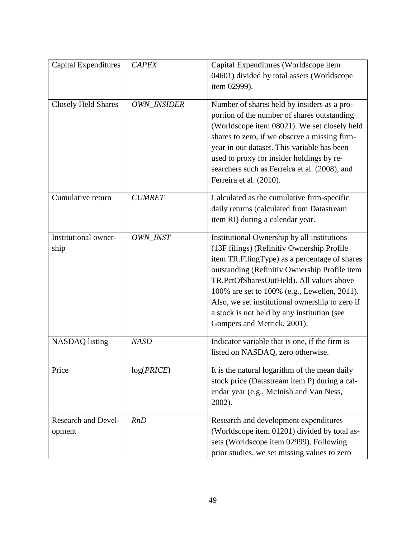| <b>Capital Expenditures</b>          | <b>CAPEX</b>       | Capital Expenditures (Worldscope item<br>04601) divided by total assets (Worldscope<br>item 02999).                                                                                                                                                                                                                                                                                                                      |
|--------------------------------------|--------------------|--------------------------------------------------------------------------------------------------------------------------------------------------------------------------------------------------------------------------------------------------------------------------------------------------------------------------------------------------------------------------------------------------------------------------|
| <b>Closely Held Shares</b>           | <b>OWN INSIDER</b> | Number of shares held by insiders as a pro-<br>portion of the number of shares outstanding<br>(Worldscope item 08021). We set closely held<br>shares to zero, if we observe a missing firm-<br>year in our dataset. This variable has been<br>used to proxy for insider holdings by re-<br>searchers such as Ferreira et al. (2008), and<br>Ferreira et al. (2010).                                                      |
| Cumulative return                    | <b>CUMRET</b>      | Calculated as the cumulative firm-specific<br>daily returns (calculated from Datastream<br>item RI) during a calendar year.                                                                                                                                                                                                                                                                                              |
| Institutional owner-<br>ship         | OWN_INST           | Institutional Ownership by all institutions<br>(13F filings) (Refinitiv Ownership Profile<br>item TR.FilingType) as a percentage of shares<br>outstanding (Refinitiv Ownership Profile item<br>TR.PctOfSharesOutHeld). All values above<br>100% are set to 100% (e.g., Lewellen, 2011).<br>Also, we set institutional ownership to zero if<br>a stock is not held by any institution (see<br>Gompers and Metrick, 2001). |
| <b>NASDAQ</b> listing                | <b>NASD</b>        | Indicator variable that is one, if the firm is<br>listed on NASDAQ, zero otherwise.                                                                                                                                                                                                                                                                                                                                      |
| Price                                | log(PRICE)         | It is the natural logarithm of the mean daily<br>stock price (Datastream item P) during a cal-<br>endar year (e.g., McInish and Van Ness,<br>2002).                                                                                                                                                                                                                                                                      |
| <b>Research and Devel-</b><br>opment | RnD                | Research and development expenditures<br>(Worldscope item 01201) divided by total as-<br>sets (Worldscope item 02999). Following<br>prior studies, we set missing values to zero                                                                                                                                                                                                                                         |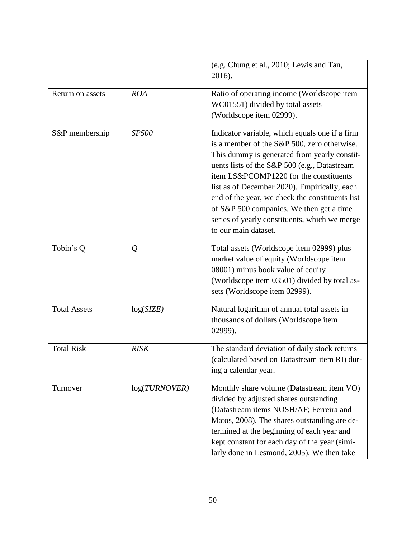|                     |               | (e.g. Chung et al., 2010; Lewis and Tan,<br>2016).                                                                                                                                                                                                                                                                                                                                                                                                              |
|---------------------|---------------|-----------------------------------------------------------------------------------------------------------------------------------------------------------------------------------------------------------------------------------------------------------------------------------------------------------------------------------------------------------------------------------------------------------------------------------------------------------------|
| Return on assets    | <b>ROA</b>    | Ratio of operating income (Worldscope item<br>WC01551) divided by total assets<br>(Worldscope item 02999).                                                                                                                                                                                                                                                                                                                                                      |
| S&P membership      | SP500         | Indicator variable, which equals one if a firm<br>is a member of the S&P 500, zero otherwise.<br>This dummy is generated from yearly constit-<br>uents lists of the S&P 500 (e.g., Datastream<br>item LS&PCOMP1220 for the constituents<br>list as of December 2020). Empirically, each<br>end of the year, we check the constituents list<br>of S&P 500 companies. We then get a time<br>series of yearly constituents, which we merge<br>to our main dataset. |
| Tobin's Q           | $\mathcal{Q}$ | Total assets (Worldscope item 02999) plus<br>market value of equity (Worldscope item<br>08001) minus book value of equity<br>(Worldscope item 03501) divided by total as-<br>sets (Worldscope item 02999).                                                                                                                                                                                                                                                      |
| <b>Total Assets</b> | log(SIZE)     | Natural logarithm of annual total assets in<br>thousands of dollars (Worldscope item<br>02999).                                                                                                                                                                                                                                                                                                                                                                 |
| <b>Total Risk</b>   | <b>RISK</b>   | The standard deviation of daily stock returns<br>(calculated based on Datastream item RI) dur-<br>ing a calendar year.                                                                                                                                                                                                                                                                                                                                          |
| Turnover            | log(TURNOVER) | Monthly share volume (Datastream item VO)<br>divided by adjusted shares outstanding<br>(Datastream items NOSH/AF; Ferreira and<br>Matos, 2008). The shares outstanding are de-<br>termined at the beginning of each year and<br>kept constant for each day of the year (simi-<br>larly done in Lesmond, 2005). We then take                                                                                                                                     |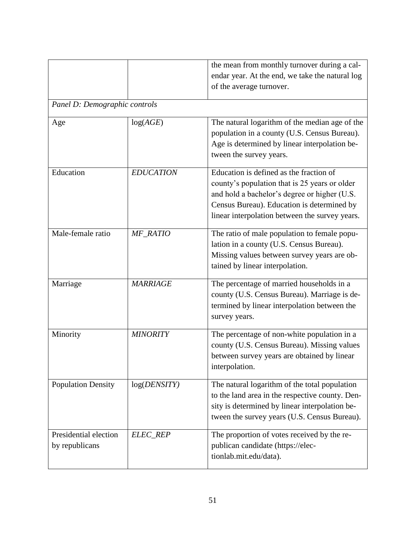|                                         |                  | the mean from monthly turnover during a cal-<br>endar year. At the end, we take the natural log<br>of the average turnover.                                                                                                              |  |  |  |  |
|-----------------------------------------|------------------|------------------------------------------------------------------------------------------------------------------------------------------------------------------------------------------------------------------------------------------|--|--|--|--|
| Panel D: Demographic controls           |                  |                                                                                                                                                                                                                                          |  |  |  |  |
| Age                                     | log(AGE)         | The natural logarithm of the median age of the<br>population in a county (U.S. Census Bureau).<br>Age is determined by linear interpolation be-<br>tween the survey years.                                                               |  |  |  |  |
| Education                               | <b>EDUCATION</b> | Education is defined as the fraction of<br>county's population that is 25 years or older<br>and hold a bachelor's degree or higher (U.S.<br>Census Bureau). Education is determined by<br>linear interpolation between the survey years. |  |  |  |  |
| Male-female ratio                       | MF_RATIO         | The ratio of male population to female popu-<br>lation in a county (U.S. Census Bureau).<br>Missing values between survey years are ob-<br>tained by linear interpolation.                                                               |  |  |  |  |
| Marriage                                | <b>MARRIAGE</b>  | The percentage of married households in a<br>county (U.S. Census Bureau). Marriage is de-<br>termined by linear interpolation between the<br>survey years.                                                                               |  |  |  |  |
| Minority                                | <b>MINORITY</b>  | The percentage of non-white population in a<br>county (U.S. Census Bureau). Missing values<br>between survey years are obtained by linear<br>interpolation.                                                                              |  |  |  |  |
| <b>Population Density</b>               | log(DENSITY)     | The natural logarithm of the total population<br>to the land area in the respective county. Den-<br>sity is determined by linear interpolation be-<br>tween the survey years (U.S. Census Bureau).                                       |  |  |  |  |
| Presidential election<br>by republicans | ELEC_REP         | The proportion of votes received by the re-<br>publican candidate (https://elec-<br>tionlab.mit.edu/data).                                                                                                                               |  |  |  |  |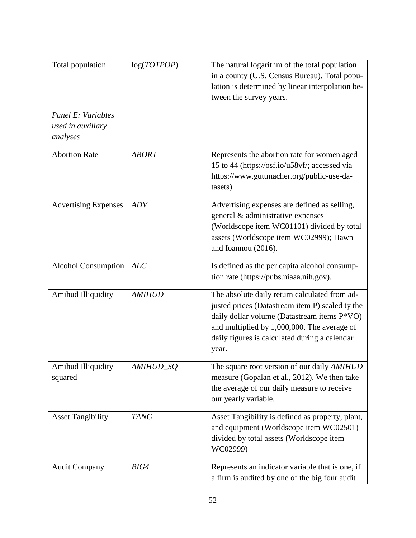| Total population                                    | log(TOTPOP)   | The natural logarithm of the total population<br>in a county (U.S. Census Bureau). Total popu-<br>lation is determined by linear interpolation be-<br>tween the survey years.                                                                            |
|-----------------------------------------------------|---------------|----------------------------------------------------------------------------------------------------------------------------------------------------------------------------------------------------------------------------------------------------------|
| Panel E: Variables<br>used in auxiliary<br>analyses |               |                                                                                                                                                                                                                                                          |
| <b>Abortion Rate</b>                                | <b>ABORT</b>  | Represents the abortion rate for women aged<br>15 to 44 (https://osf.io/u58vf/; accessed via<br>https://www.guttmacher.org/public-use-da-<br>tasets).                                                                                                    |
| <b>Advertising Expenses</b>                         | <b>ADV</b>    | Advertising expenses are defined as selling,<br>general & administrative expenses<br>(Worldscope item WC01101) divided by total<br>assets (Worldscope item WC02999); Hawn<br>and Ioannou (2016).                                                         |
| <b>Alcohol Consumption</b>                          | ALC           | Is defined as the per capita alcohol consump-<br>tion rate (https://pubs.niaaa.nih.gov).                                                                                                                                                                 |
| Amihud Illiquidity                                  | <b>AMIHUD</b> | The absolute daily return calculated from ad-<br>justed prices (Datastream item P) scaled ty the<br>daily dollar volume (Datastream items P*VO)<br>and multiplied by 1,000,000. The average of<br>daily figures is calculated during a calendar<br>year. |
| Amihud Illiquidity<br>squared                       | AMIHUD_SQ     | The square root version of our daily AMIHUD<br>measure (Gopalan et al., 2012). We then take<br>the average of our daily measure to receive<br>our yearly variable.                                                                                       |
| <b>Asset Tangibility</b>                            | <b>TANG</b>   | Asset Tangibility is defined as property, plant,<br>and equipment (Worldscope item WC02501)<br>divided by total assets (Worldscope item<br>WC02999)                                                                                                      |
| <b>Audit Company</b>                                | BIG4          | Represents an indicator variable that is one, if<br>a firm is audited by one of the big four audit                                                                                                                                                       |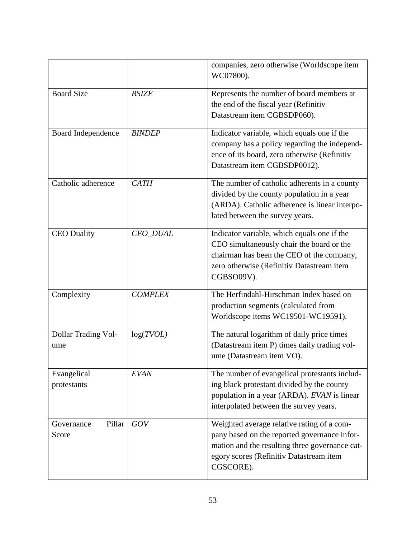|                               |                 | companies, zero otherwise (Worldscope item<br>WC07800).                                                                                                                                              |
|-------------------------------|-----------------|------------------------------------------------------------------------------------------------------------------------------------------------------------------------------------------------------|
| <b>Board Size</b>             | <b>BSIZE</b>    | Represents the number of board members at<br>the end of the fiscal year (Refinitiv<br>Datastream item CGBSDP060).                                                                                    |
| Board Independence            | <b>BINDEP</b>   | Indicator variable, which equals one if the<br>company has a policy regarding the independ-<br>ence of its board, zero otherwise (Refinitiv<br>Datastream item CGBSDP0012).                          |
| Catholic adherence            | <b>CATH</b>     | The number of catholic adherents in a county<br>divided by the county population in a year<br>(ARDA). Catholic adherence is linear interpo-<br>lated between the survey years.                       |
| <b>CEO</b> Duality            | <b>CEO_DUAL</b> | Indicator variable, which equals one if the<br>CEO simultaneously chair the board or the<br>chairman has been the CEO of the company,<br>zero otherwise (Refinitiv Datastream item<br>CGBSO09V).     |
| Complexity                    | <b>COMPLEX</b>  | The Herfindahl-Hirschman Index based on<br>production segments (calculated from<br>Worldscope items WC19501-WC19591).                                                                                |
| Dollar Trading Vol-<br>ume    | log(TVOL)       | The natural logarithm of daily price times<br>(Datastream item P) times daily trading vol-<br>ume (Datastream item VO).                                                                              |
| Evangelical<br>protestants    | <b>EVAN</b>     | The number of evangelical protestants includ-<br>ing black protestant divided by the county<br>population in a year (ARDA). EVAN is linear<br>interpolated between the survey years.                 |
| Pillar<br>Governance<br>Score | GOV             | Weighted average relative rating of a com-<br>pany based on the reported governance infor-<br>mation and the resulting three governance cat-<br>egory scores (Refinitiv Datastream item<br>CGSCORE). |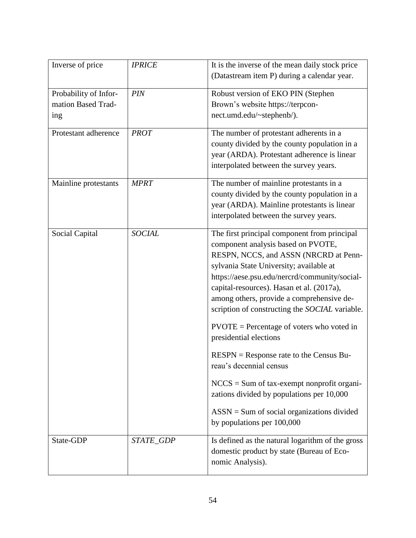| Inverse of price                                   | <b>IPRICE</b> | It is the inverse of the mean daily stock price<br>(Datastream item P) during a calendar year.                                                                                                                                                                                                                                                                                                                                                                                                                                                                                                                                                                                                   |
|----------------------------------------------------|---------------|--------------------------------------------------------------------------------------------------------------------------------------------------------------------------------------------------------------------------------------------------------------------------------------------------------------------------------------------------------------------------------------------------------------------------------------------------------------------------------------------------------------------------------------------------------------------------------------------------------------------------------------------------------------------------------------------------|
| Probability of Infor-<br>mation Based Trad-<br>ing | PIN           | Robust version of EKO PIN (Stephen<br>Brown's website https://terpcon-<br>nect.umd.edu/~stephenb/).                                                                                                                                                                                                                                                                                                                                                                                                                                                                                                                                                                                              |
| Protestant adherence                               | <b>PROT</b>   | The number of protestant adherents in a<br>county divided by the county population in a<br>year (ARDA). Protestant adherence is linear<br>interpolated between the survey years.                                                                                                                                                                                                                                                                                                                                                                                                                                                                                                                 |
| Mainline protestants                               | <b>MPRT</b>   | The number of mainline protestants in a<br>county divided by the county population in a<br>year (ARDA). Mainline protestants is linear<br>interpolated between the survey years.                                                                                                                                                                                                                                                                                                                                                                                                                                                                                                                 |
| Social Capital                                     | <b>SOCIAL</b> | The first principal component from principal<br>component analysis based on PVOTE,<br>RESPN, NCCS, and ASSN (NRCRD at Penn-<br>sylvania State University; available at<br>https://aese.psu.edu/nercrd/community/social-<br>capital-resources). Hasan et al. (2017a),<br>among others, provide a comprehensive de-<br>scription of constructing the SOCIAL variable.<br>$PVOTE = Percentage of voters who voted in$<br>presidential elections<br>$RESPN = Response$ rate to the Census Bu-<br>reau's decennial census<br>$NCCS = Sum of tax-exempt nonprofit organic-$<br>zations divided by populations per 10,000<br>$ASSN = Sum$ of social organizations divided<br>by populations per 100,000 |
| State-GDP                                          | STATE_GDP     | Is defined as the natural logarithm of the gross<br>domestic product by state (Bureau of Eco-<br>nomic Analysis).                                                                                                                                                                                                                                                                                                                                                                                                                                                                                                                                                                                |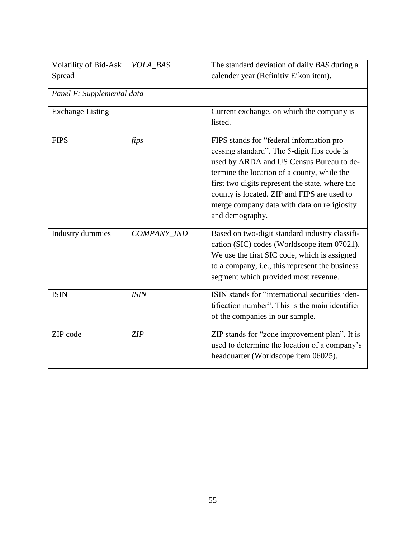| Volatility of Bid-Ask<br>Spread | VOLA BAS    | The standard deviation of daily BAS during a<br>calender year (Refinitiv Eikon item).                                                                                                                                                                                                                                                                   |  |  |  |  |  |
|---------------------------------|-------------|---------------------------------------------------------------------------------------------------------------------------------------------------------------------------------------------------------------------------------------------------------------------------------------------------------------------------------------------------------|--|--|--|--|--|
| Panel F: Supplemental data      |             |                                                                                                                                                                                                                                                                                                                                                         |  |  |  |  |  |
| <b>Exchange Listing</b>         |             | Current exchange, on which the company is<br>listed.                                                                                                                                                                                                                                                                                                    |  |  |  |  |  |
| <b>FIPS</b>                     | fips        | FIPS stands for "federal information pro-<br>cessing standard". The 5-digit fips code is<br>used by ARDA and US Census Bureau to de-<br>termine the location of a county, while the<br>first two digits represent the state, where the<br>county is located. ZIP and FIPS are used to<br>merge company data with data on religiosity<br>and demography. |  |  |  |  |  |
| <b>Industry dummies</b>         | COMPANY_IND | Based on two-digit standard industry classifi-<br>cation (SIC) codes (Worldscope item 07021).<br>We use the first SIC code, which is assigned<br>to a company, i.e., this represent the business<br>segment which provided most revenue.                                                                                                                |  |  |  |  |  |
| <b>ISIN</b>                     | <b>ISIN</b> | ISIN stands for "international securities iden-<br>tification number". This is the main identifier<br>of the companies in our sample.                                                                                                                                                                                                                   |  |  |  |  |  |
| ZIP code                        | ZIP         | ZIP stands for "zone improvement plan". It is<br>used to determine the location of a company's<br>headquarter (Worldscope item 06025).                                                                                                                                                                                                                  |  |  |  |  |  |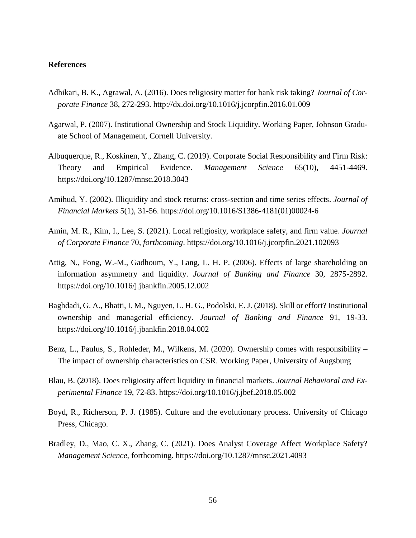### **References**

- Adhikari, B. K., Agrawal, A. (2016). Does religiosity matter for bank risk taking? *Journal of Corporate Finance* 38, 272-293. http://dx.doi.org/10.1016/j.jcorpfin.2016.01.009
- Agarwal, P. (2007). Institutional Ownership and Stock Liquidity. Working Paper, Johnson Graduate School of Management, Cornell University.
- Albuquerque, R., Koskinen, Y., Zhang, C. (2019). Corporate Social Responsibility and Firm Risk: Theory and Empirical Evidence. *Management Science* 65(10), 4451-4469. https://doi.org/10.1287/mnsc.2018.3043
- Amihud, Y. (2002). Illiquidity and stock returns: cross-section and time series effects. *Journal of Financial Markets* 5(1), 31-56. https://doi.org/10.1016/S1386-4181(01)00024-6
- Amin, M. R., Kim, I., Lee, S. (2021). Local religiosity, workplace safety, and firm value. *Journal of Corporate Finance* 70, *forthcoming*. https://doi.org/10.1016/j.jcorpfin.2021.102093
- Attig, N., Fong, W.-M., Gadhoum, Y., Lang, L. H. P. (2006). Effects of large shareholding on information asymmetry and liquidity. *Journal of Banking and Finance* 30, 2875-2892. https://doi.org/10.1016/j.jbankfin.2005.12.002
- Baghdadi, G. A., Bhatti, I. M., Nguyen, L. H. G., Podolski, E. J. (2018). Skill or effort? Institutional ownership and managerial efficiency. *Journal of Banking and Finance* 91, 19-33. https://doi.org/10.1016/j.jbankfin.2018.04.002
- Benz, L., Paulus, S., Rohleder, M., Wilkens, M. (2020). Ownership comes with responsibility The impact of ownership characteristics on CSR. Working Paper, University of Augsburg
- Blau, B. (2018). Does religiosity affect liquidity in financial markets. *Journal Behavioral and Experimental Finance* 19, 72-83. https://doi.org/10.1016/j.jbef.2018.05.002
- Boyd, R., Richerson, P. J. (1985). Culture and the evolutionary process. University of Chicago Press, Chicago.
- Bradley, D., Mao, C. X., Zhang, C. (2021). Does Analyst Coverage Affect Workplace Safety? *Management Science*, forthcoming. https://doi.org/10.1287/mnsc.2021.4093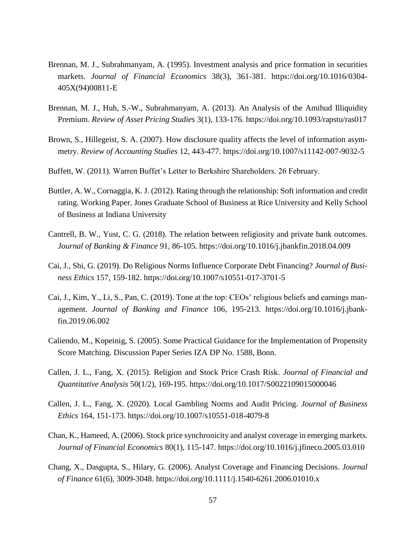- Brennan, M. J., Subrahmanyam, A. (1995). Investment analysis and price formation in securities markets. *Journal of Financial Economics* 38(3), 361-381. https://doi.org/10.1016/0304- 405X(94)00811-E
- Brennan, M. J., Huh, S.-W., Subrahmanyam, A. (2013). An Analysis of the Amihud Illiquidity Premium. *Review of Asset Pricing Studies* 3(1), 133-176. https://doi.org/10.1093/rapstu/ras017
- Brown, S., Hillegeist, S. A. (2007). How disclosure quality affects the level of information asymmetry. *Review of Accounting Studies* 12, 443-477. https://doi.org/10.1007/s11142-007-9032-5
- Buffett, W. (2011). Warren Buffet's Letter to Berkshire Shareholders. 26 February.
- Buttler, A. W., Cornaggia, K. J. (2012). Rating through the relationship: Soft information and credit rating. Working Paper. Jones Graduate School of Business at Rice University and Kelly School of Business at Indiana University
- Cantrell, B. W., Yust, C. G. (2018). The relation between religiosity and private bank outcomes. *Journal of Banking & Finance* 91, 86-105. https://doi.org/10.1016/j.jbankfin.2018.04.009
- Cai, J., Shi, G. (2019). Do Religious Norms Influence Corporate Debt Financing? *Journal of Business Ethics* 157, 159-182. https://doi.org/10.1007/s10551-017-3701-5
- Cai, J., Kim, Y., Li, S., Pan, C. (2019). Tone at the top: CEOs' religious beliefs and earnings management. *Journal of Banking and Finance* 106, 195-213. https://doi.org/10.1016/j.jbankfin.2019.06.002
- Caliendo, M., Kopeinig, S. (2005). Some Practical Guidance for the Implementation of Propensity Score Matching. Discussion Paper Series IZA DP No. 1588, Bonn.
- Callen, J. L., Fang, X. (2015). Religion and Stock Price Crash Risk. *Journal of Financial and Quantitative Analysis* 50(1/2), 169-195. https://doi.org/10.1017/S0022109015000046
- Callen, J. L., Fang, X. (2020). Local Gambling Norms and Audit Pricing. *Journal of Business Ethics* 164, 151-173. https://doi.org/10.1007/s10551-018-4079-8
- Chan, K., Hameed, A. (2006). Stock price synchronicity and analyst coverage in emerging markets. *Journal of Financial Economics* 80(1), 115-147. https://doi.org/10.1016/j.jfineco.2005.03.010
- Chang, X., Dasgupta, S., Hilary, G. (2006). Analyst Coverage and Financing Decisions. *Journal of Finance* 61(6), 3009-3048. https://doi.org/10.1111/j.1540-6261.2006.01010.x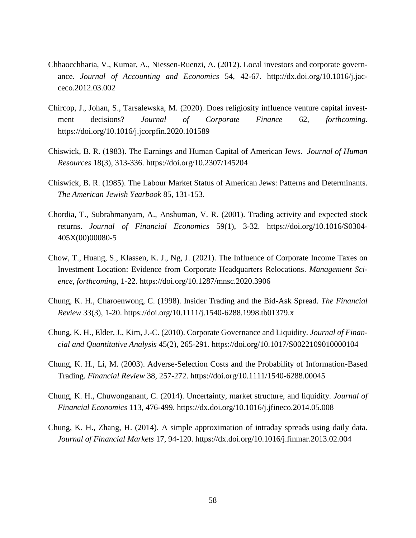- Chhaocchharia, V., Kumar, A., Niessen-Ruenzi, A. (2012). Local investors and corporate governance. *Journal of Accounting and Economics* 54, 42-67. http://dx.doi.org/10.1016/j.jacceco.2012.03.002
- Chircop, J., Johan, S., Tarsalewska, M. (2020). Does religiosity influence venture capital investment decisions? *Journal of Corporate Finance* 62, *forthcoming*. https://doi.org/10.1016/j.jcorpfin.2020.101589
- Chiswick, B. R. (1983). The Earnings and Human Capital of American Jews. *Journal of Human Resources* 18(3), 313-336. https://doi.org/10.2307/145204
- Chiswick, B. R. (1985). The Labour Market Status of American Jews: Patterns and Determinants. *The American Jewish Yearbook* 85, 131-153.
- Chordia, T., Subrahmanyam, A., Anshuman, V. R. (2001). Trading activity and expected stock returns. *Journal of Financial Economics* 59(1), 3-32. https://doi.org/10.1016/S0304- 405X(00)00080-5
- Chow, T., Huang, S., Klassen, K. J., Ng, J. (2021). The Influence of Corporate Income Taxes on Investment Location: Evidence from Corporate Headquarters Relocations. *Management Science, forthcoming,* 1-22. https://doi.org/10.1287/mnsc.2020.3906
- Chung, K. H., Charoenwong, C. (1998). Insider Trading and the Bid-Ask Spread. *The Financial Review* 33(3), 1-20. https://doi.org/10.1111/j.1540-6288.1998.tb01379.x
- Chung, K. H., Elder, J., Kim, J.-C. (2010). Corporate Governance and Liquidity. *Journal of Financial and Quantitative Analysis* 45(2), 265-291. https://doi.org/10.1017/S0022109010000104
- Chung, K. H., Li, M. (2003). Adverse-Selection Costs and the Probability of Information-Based Trading. *Financial Review* 38, 257-272. https://doi.org/10.1111/1540-6288.00045
- Chung, K. H., Chuwonganant, C. (2014). Uncertainty, market structure, and liquidity. *Journal of Financial Economics* 113, 476-499. https://dx.doi.org/10.1016/j.jfineco.2014.05.008
- Chung, K. H., Zhang, H. (2014). A simple approximation of intraday spreads using daily data. *Journal of Financial Markets* 17, 94-120. https://dx.doi.org/10.1016/j.finmar.2013.02.004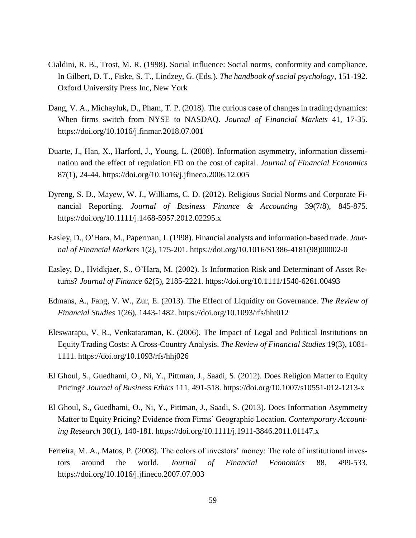- Cialdini, R. B., Trost, M. R. (1998). Social influence: Social norms, conformity and compliance. In Gilbert, D. T., Fiske, S. T., Lindzey, G. (Eds.). *The handbook of social psychology*, 151-192. Oxford University Press Inc, New York
- Dang, V. A., Michayluk, D., Pham, T. P. (2018). The curious case of changes in trading dynamics: When firms switch from NYSE to NASDAQ. *Journal of Financial Markets* 41, 17-35. https://doi.org/10.1016/j.finmar.2018.07.001
- Duarte, J., Han, X., Harford, J., Young, L. (2008). Information asymmetry, information dissemination and the effect of regulation FD on the cost of capital. *Journal of Financial Economics* 87(1), 24-44. https://doi.org/10.1016/j.jfineco.2006.12.005
- Dyreng, S. D., Mayew, W. J., Williams, C. D. (2012). Religious Social Norms and Corporate Financial Reporting. *Journal of Business Finance & Accounting* 39(7/8), 845-875. https://doi.org/10.1111/j.1468-5957.2012.02295.x
- Easley, D., O'Hara, M., Paperman, J. (1998). Financial analysts and information-based trade. *Journal of Financial Markets* 1(2), 175-201. https://doi.org/10.1016/S1386-4181(98)00002-0
- Easley, D., Hvidkjaer, S., O'Hara, M. (2002). Is Information Risk and Determinant of Asset Returns? *Journal of Finance* 62(5), 2185-2221. https://doi.org/10.1111/1540-6261.00493
- Edmans, A., Fang, V. W., Zur, E. (2013). The Effect of Liquidity on Governance. *The Review of Financial Studies* 1(26), 1443-1482. https://doi.org/10.1093/rfs/hht012
- Eleswarapu, V. R., Venkataraman, K. (2006). The Impact of Legal and Political Institutions on Equity Trading Costs: A Cross-Country Analysis. *The Review of Financial Studies* 19(3), 1081- 1111. https://doi.org/10.1093/rfs/hhj026
- El Ghoul, S., Guedhami, O., Ni, Y., Pittman, J., Saadi, S. (2012). Does Religion Matter to Equity Pricing? *Journal of Business Ethics* 111, 491-518. https://doi.org/10.1007/s10551-012-1213-x
- El Ghoul, S., Guedhami, O., Ni, Y., Pittman, J., Saadi, S. (2013). Does Information Asymmetry Matter to Equity Pricing? Evidence from Firms' Geographic Location. *Contemporary Accounting Research* 30(1), 140-181. https://doi.org/10.1111/j.1911-3846.2011.01147.x
- Ferreira, M. A., Matos, P. (2008). The colors of investors' money: The role of institutional investors around the world. *Journal of Financial Economics* 88, 499-533. https://doi.org/10.1016/j.jfineco.2007.07.003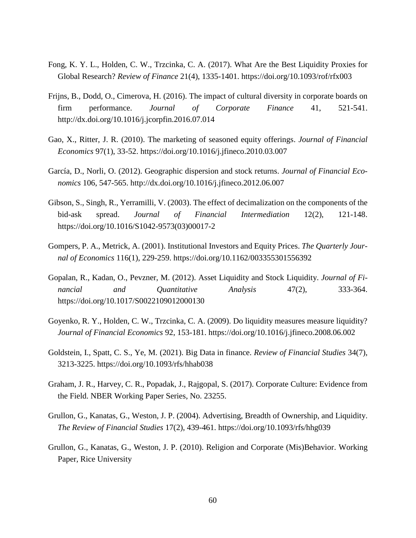- Fong, K. Y. L., Holden, C. W., Trzcinka, C. A. (2017). What Are the Best Liquidity Proxies for Global Research? *Review of Finance* 21(4), 1335-1401. https://doi.org/10.1093/rof/rfx003
- Frijns, B., Dodd, O., Cimerova, H. (2016). The impact of cultural diversity in corporate boards on firm performance. *Journal of Corporate Finance* 41, 521-541. http://dx.doi.org/10.1016/j.jcorpfin.2016.07.014
- Gao, X., Ritter, J. R. (2010). The marketing of seasoned equity offerings. *Journal of Financial Economics* 97(1), 33-52. https://doi.org/10.1016/j.jfineco.2010.03.007
- García, D., Norli, O. (2012). Geographic dispersion and stock returns. *Journal of Financial Economics* 106, 547-565. http://dx.doi.org/10.1016/j.jfineco.2012.06.007
- Gibson, S., Singh, R., Yerramilli, V. (2003). The effect of decimalization on the components of the bid-ask spread. *Journal of Financial Intermediation* 12(2), 121-148. https://doi.org/10.1016/S1042-9573(03)00017-2
- Gompers, P. A., Metrick, A. (2001). Institutional Investors and Equity Prices. *The Quarterly Journal of Economics* 116(1), 229-259. https://doi.org/10.1162/003355301556392
- Gopalan, R., Kadan, O., Pevzner, M. (2012). Asset Liquidity and Stock Liquidity. *Journal of Financial and Quantitative Analysis* 47(2), 333-364. https://doi.org/10.1017/S0022109012000130
- Goyenko, R. Y., Holden, C. W., Trzcinka, C. A. (2009). Do liquidity measures measure liquidity? *Journal of Financial Economics* 92, 153-181. https://doi.org/10.1016/j.jfineco.2008.06.002
- Goldstein, I., Spatt, C. S., Ye, M. (2021). Big Data in finance. *Review of Financial Studies* 34(7), 3213-3225. https://doi.org/10.1093/rfs/hhab038
- Graham, J. R., Harvey, C. R., Popadak, J., Rajgopal, S. (2017). Corporate Culture: Evidence from the Field. NBER Working Paper Series, No. 23255.
- Grullon, G., Kanatas, G., Weston, J. P. (2004). Advertising, Breadth of Ownership, and Liquidity. *The Review of Financial Studies* 17(2), 439-461. https://doi.org/10.1093/rfs/hhg039
- Grullon, G., Kanatas, G., Weston, J. P. (2010). Religion and Corporate (Mis)Behavior. Working Paper*,* Rice University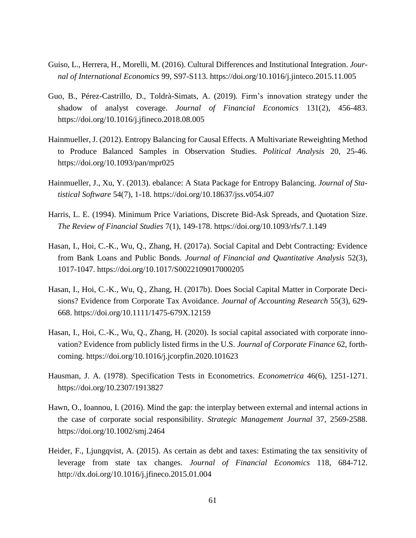- Guiso, L., Herrera, H., Morelli, M. (2016). Cultural Differences and Institutional Integration. *Journal of International Economics* 99*,* S97-S113. https://doi.org/10.1016/j.jinteco.2015.11.005
- Guo, B., Pérez-Castrillo, D., Toldrà-Simats, A. (2019). Firm's innovation strategy under the shadow of analyst coverage. *Journal of Financial Economics* 131(2)*,* 456-483. https://doi.org/10.1016/j.jfineco.2018.08.005
- Hainmueller, J. (2012). Entropy Balancing for Causal Effects. A Multivariate Reweighting Method to Produce Balanced Samples in Observation Studies. *Political Analysis* 20, 25-46. https://doi.org/10.1093/pan/mpr025
- Hainmueller, J., Xu, Y. (2013). ebalance: A Stata Package for Entropy Balancing. *Journal of Statistical Software* 54(7), 1-18. https://doi.org[/10.18637/jss.v054.i07](https://doi.org/10.18637/jss.v054.i07)
- Harris, L. E. (1994). Minimum Price Variations, Discrete Bid-Ask Spreads, and Quotation Size. *The Review of Financial Studies* 7(1), 149-178. https://doi.org/10.1093/rfs/7.1.149
- Hasan, I., Hoi, C.-K., Wu, Q., Zhang, H. (2017a). Social Capital and Debt Contracting: Evidence from Bank Loans and Public Bonds. *Journal of Financial and Quantitative Analysis* 52(3), 1017-1047. https://doi.org/10.1017/S0022109017000205
- Hasan, I., Hoi, C.-K., Wu, Q., Zhang, H. (2017b). Does Social Capital Matter in Corporate Decisions? Evidence from Corporate Tax Avoidance. *Journal of Accounting Research* 55(3), 629- 668. https://doi.org/10.1111/1475-679X.12159
- Hasan, I., Hoi, C.-K., Wu, Q., Zhang, H. (2020). Is social capital associated with corporate innovation? Evidence from publicly listed firms in the U.S. *Journal of Corporate Finance* 62, forthcoming. https://doi.org/10.1016/j.jcorpfin.2020.101623
- Hausman, J. A. (1978). Specification Tests in Econometrics. *Econometrica* 46(6), 1251-1271. https://doi.org/10.2307/1913827
- Hawn, O., Ioannou, I. (2016). Mind the gap: the interplay between external and internal actions in the case of corporate social responsibility. *Strategic Management Journal* 37, 2569-2588. https://doi.org/10.1002/smj.2464
- Heider, F., Ljungqvist, A. (2015). As certain as debt and taxes: Estimating the tax sensitivity of leverage from state tax changes. *Journal of Financial Economics* 118, 684-712. http://dx.doi.org/10.1016/j.jfineco.2015.01.004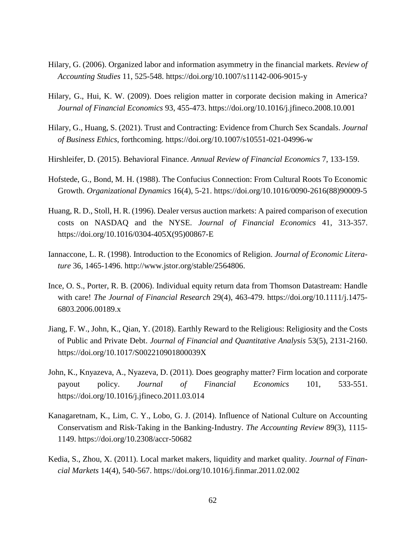- Hilary, G. (2006). Organized labor and information asymmetry in the financial markets. *Review of Accounting Studies* 11, 525-548. https://doi.org/10.1007/s11142-006-9015-y
- Hilary, G., Hui, K. W. (2009). Does religion matter in corporate decision making in America? *Journal of Financial Economics* 93, 455-473. https://doi.org/10.1016/j.jfineco.2008.10.001
- Hilary, G., Huang, S. (2021). Trust and Contracting: Evidence from Church Sex Scandals. *Journal of Business Ethics*, forthcoming. https://doi.org/10.1007/s10551-021-04996-w
- Hirshleifer, D. (2015). Behavioral Finance. *Annual Review of Financial Economics* 7, 133-159.
- Hofstede, G., Bond, M. H. (1988). The Confucius Connection: From Cultural Roots To Economic Growth. *Organizational Dynamics* 16(4), 5-21. https://doi.org/10.1016/0090-2616(88)90009-5
- Huang, R. D., Stoll, H. R. (1996). Dealer versus auction markets: A paired comparison of execution costs on NASDAQ and the NYSE. *Journal of Financial Economics* 41, 313-357. https://doi.org/10.1016/0304-405X(95)00867-E
- Iannaccone, L. R. (1998). Introduction to the Economics of Religion. *Journal of Economic Literature* 36, 1465-1496. http://www.jstor.org/stable/2564806.
- Ince, O. S., Porter, R. B. (2006). Individual equity return data from Thomson Datastream: Handle with care! *The Journal of Financial Research* 29(4), 463-479. https://doi.org/10.1111/j.1475- 6803.2006.00189.x
- Jiang, F. W., John, K., Qian, Y. (2018). Earthly Reward to the Religious: Religiosity and the Costs of Public and Private Debt. *Journal of Financial and Quantitative Analysis* 53(5), 2131-2160. https://doi.org/10.1017/S002210901800039X
- John, K., Knyazeva, A., Nyazeva, D. (2011). Does geography matter? Firm location and corporate payout policy. *Journal of Financial Economics* 101, 533-551. https://doi.org/10.1016/j.jfineco.2011.03.014
- Kanagaretnam, K., Lim, C. Y., Lobo, G. J. (2014). Influence of National Culture on Accounting Conservatism and Risk-Taking in the Banking-Industry. *The Accounting Review* 89(3), 1115- 1149. https://doi.org/10.2308/accr-50682
- Kedia, S., Zhou, X. (2011). Local market makers, liquidity and market quality. *Journal of Financial Markets* 14(4), 540-567. https://doi.org/10.1016/j.finmar.2011.02.002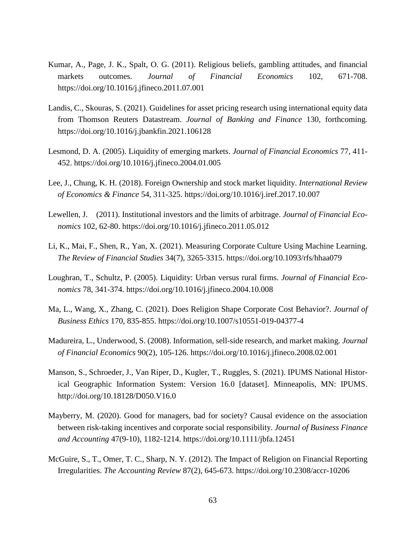- Kumar, A., Page, J. K., Spalt, O. G. (2011). Religious beliefs, gambling attitudes, and financial markets outcomes. *Journal of Financial Economics* 102, 671-708. https://doi.org/10.1016/j.jfineco.2011.07.001
- Landis, C., Skouras, S. (2021). Guidelines for asset pricing research using international equity data from Thomson Reuters Datastream. *Journal of Banking and Finance* 130, forthcoming. https://doi.org/10.1016/j.jbankfin.2021.106128
- Lesmond, D. A. (2005). Liquidity of emerging markets. *Journal of Financial Economics* 77, 411- 452. https://doi.org/10.1016/j.jfineco.2004.01.005
- Lee, J., Chung, K. H. (2018). Foreign Ownership and stock market liquidity. *International Review of Economics & Finance* 54, 311-325. https://doi.org/10.1016/j.iref.2017.10.007
- Lewellen, J. (2011). Institutional investors and the limits of arbitrage. *Journal of Financial Economics* 102, 62-80. https://doi.org/10.1016/j.jfineco.2011.05.012
- Li, K., Mai, F., Shen, R., Yan, X. (2021). Measuring Corporate Culture Using Machine Learning. *The Review of Financial Studies* 34(7), 3265-3315. https://doi.org/10.1093/rfs/hhaa079
- Loughran, T., Schultz, P. (2005). Liquidity: Urban versus rural firms. *Journal of Financial Economics* 78, 341-374. https://doi.org/10.1016/j.jfineco.2004.10.008
- Ma, L., Wang, X., Zhang, C. (2021). Does Religion Shape Corporate Cost Behavior?. *Journal of Business Ethics* 170, 835-855. https://doi.org/10.1007/s10551-019-04377-4
- Madureira, L., Underwood, S. (2008). Information, sell-side research, and market making. *Journal of Financial Economics* 90(2), 105-126. https://doi.org/10.1016/j.jfineco.2008.02.001
- Manson, S., Schroeder, J., Van Riper, D., Kugler, T., Ruggles, S. (2021). IPUMS National Historical Geographic Information System: Version 16.0 [dataset]. Minneapolis, MN: IPUMS. http://doi.org/10.18128/D050.V16.0
- Mayberry, M. (2020). Good for managers, bad for society? Causal evidence on the association between risk-taking incentives and corporate social responsibility. *Journal of Business Finance and Accounting* 47(9-10), 1182-1214. https://doi.org/10.1111/jbfa.12451
- McGuire, S., T., Omer, T. C., Sharp, N. Y. (2012). The Impact of Religion on Financial Reporting Irregularities. *The Accounting Review* 87(2), 645-673. https://doi.org/10.2308/accr-10206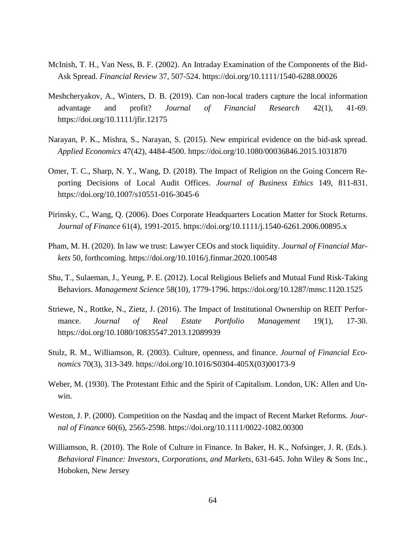- McInish, T. H., Van Ness, B. F. (2002). An Intraday Examination of the Components of the Bid-Ask Spread. *Financial Review* 37, 507-524. https://doi.org/10.1111/1540-6288.00026
- Meshcheryakov, A., Winters, D. B. (2019). Can non-local traders capture the local information advantage and profit? *Journal of Financial Research* 42(1), 41-69. https://doi.org/10.1111/jfir.12175
- Narayan, P. K., Mishra, S., Narayan, S. (2015). New empirical evidence on the bid-ask spread. *Applied Economics* 47(42), 4484-4500. https://doi.org/10.1080/00036846.2015.1031870
- Omer, T. C., Sharp, N. Y., Wang, D. (2018). The Impact of Religion on the Going Concern Reporting Decisions of Local Audit Offices. *Journal of Business Ethics* 149, 811-831. https://doi.org/10.1007/s10551-016-3045-6
- Pirinsky, C., Wang, Q. (2006). Does Corporate Headquarters Location Matter for Stock Returns. *Journal of Finance* 61(4), 1991-2015. https://doi.org/10.1111/j.1540-6261.2006.00895.x
- Pham, M. H. (2020). In law we trust: Lawyer CEOs and stock liquidity. *Journal of Financial Markets* 50, forthcoming. https://doi.org/10.1016/j.finmar.2020.100548
- Shu, T., Sulaeman, J., Yeung, P. E. (2012). Local Religious Beliefs and Mutual Fund Risk-Taking Behaviors. *Management Science* 58(10), 1779-1796. https://doi.org/10.1287/mnsc.1120.1525
- Striewe, N., Rottke, N., Zietz, J. (2016). The Impact of Institutional Ownership on REIT Performance. *Journal of Real Estate Portfolio Management* 19(1), 17-30. https://doi.org/10.1080/10835547.2013.12089939
- Stulz, R. M., Williamson, R. (2003). Culture, openness, and finance. *Journal of Financial Economics* 70(3), 313-349. https://doi.org/10.1016/S0304-405X(03)00173-9
- Weber, M. (1930). The Protestant Ethic and the Spirit of Capitalism. London, UK: Allen and Unwin.
- Weston, J. P. (2000). Competition on the Nasdaq and the impact of Recent Market Reforms. *Journal of Finance* 60(6), 2565-2598. https://doi.org/10.1111/0022-1082.00300
- Williamson, R. (2010). The Role of Culture in Finance. In Baker, H. K., Nofsinger, J. R. (Eds.). *Behavioral Finance: Investors, Corporations, and Markets*, 631-645. John Wiley & Sons Inc., Hoboken, New Jersey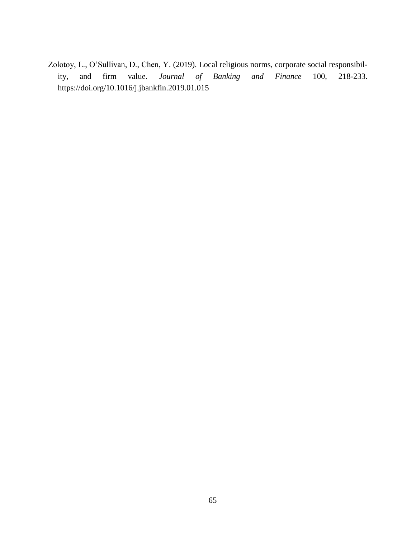Zolotoy, L., O'Sullivan, D., Chen, Y. (2019). Local religious norms, corporate social responsibility, and firm value. *Journal of Banking and Finance* 100, 218-233. https://doi.org/10.1016/j.jbankfin.2019.01.015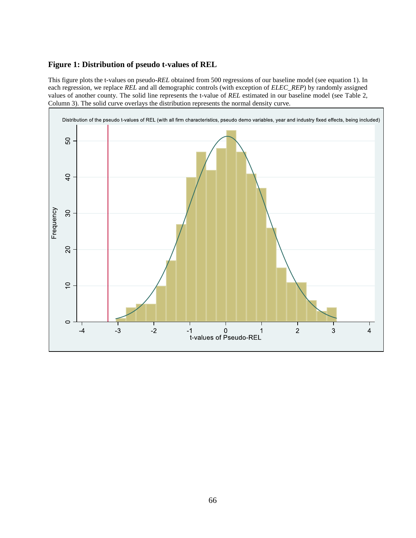# **Figure 1: Distribution of pseudo t-values of REL**

This figure plots the t-values on pseudo-*REL* obtained from 500 regressions of our baseline model (see equation 1). In each regression, we replace *REL* and all demographic controls (with exception of *ELEC\_REP*) by randomly assigned values of another county. The solid line represents the t-value of *REL* estimated in our baseline model (see [Table 2,](#page-68-0) Column 3). The solid curve overlays the distribution represents the normal density curve.

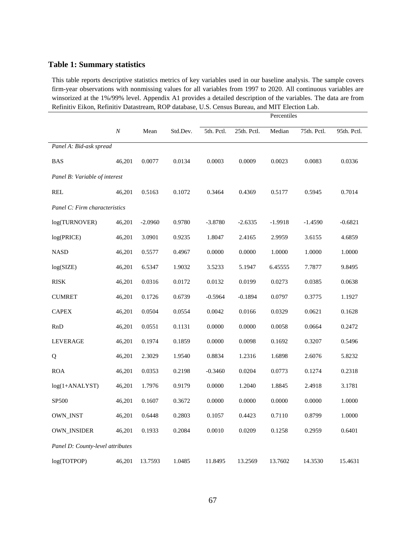## **Table 1: Summary statistics**

This table reports descriptive statistics metrics of key variables used in our baseline analysis. The sample covers firm-year observations with nonmissing values for all variables from 1997 to 2020. All continuous variables are winsorized at the 1%/99% level. Appendix A1 provides a detailed description of the variables. The data are from Refinitiv Eikon, Refinitiv Datastream, ROP database, U.S. Census Bureau, and MIT Election Lab.

|                                  |          |           |          | Percentiles |             |           |             |             |
|----------------------------------|----------|-----------|----------|-------------|-------------|-----------|-------------|-------------|
|                                  | $\cal N$ | Mean      | Std.Dev. | 5th. Pctl.  | 25th. Pctl. | Median    | 75th. Pctl. | 95th. Pctl. |
| Panel A: Bid-ask spread          |          |           |          |             |             |           |             |             |
| <b>BAS</b>                       | 46,201   | 0.0077    | 0.0134   | 0.0003      | 0.0009      | 0.0023    | 0.0083      | 0.0336      |
| Panel B: Variable of interest    |          |           |          |             |             |           |             |             |
| <b>REL</b>                       | 46,201   | 0.5163    | 0.1072   | 0.3464      | 0.4369      | 0.5177    | 0.5945      | 0.7014      |
| Panel C: Firm characteristics    |          |           |          |             |             |           |             |             |
| log(TURNOVER)                    | 46,201   | $-2.0960$ | 0.9780   | $-3.8780$   | $-2.6335$   | $-1.9918$ | $-1.4590$   | $-0.6821$   |
| log(PRICE)                       | 46,201   | 3.0901    | 0.9235   | 1.8047      | 2.4165      | 2.9959    | 3.6155      | 4.6859      |
| <b>NASD</b>                      | 46,201   | 0.5577    | 0.4967   | 0.0000      | 0.0000      | 1.0000    | 1.0000      | 1.0000      |
| log(SIZE)                        | 46,201   | 6.5347    | 1.9032   | 3.5233      | 5.1947      | 6.45555   | 7.7877      | 9.8495      |
| <b>RISK</b>                      | 46,201   | 0.0316    | 0.0172   | 0.0132      | 0.0199      | 0.0273    | 0.0385      | 0.0638      |
| <b>CUMRET</b>                    | 46,201   | 0.1726    | 0.6739   | $-0.5964$   | $-0.1894$   | 0.0797    | 0.3775      | 1.1927      |
| <b>CAPEX</b>                     | 46,201   | 0.0504    | 0.0554   | 0.0042      | 0.0166      | 0.0329    | 0.0621      | 0.1628      |
| RnD                              | 46,201   | 0.0551    | 0.1131   | 0.0000      | 0.0000      | 0.0058    | 0.0664      | 0.2472      |
| <b>LEVERAGE</b>                  | 46,201   | 0.1974    | 0.1859   | 0.0000      | 0.0098      | 0.1692    | 0.3207      | 0.5496      |
| Q                                | 46,201   | 2.3029    | 1.9540   | 0.8834      | 1.2316      | 1.6898    | 2.6076      | 5.8232      |
| <b>ROA</b>                       | 46,201   | 0.0353    | 0.2198   | $-0.3460$   | 0.0204      | 0.0773    | 0.1274      | 0.2318      |
| $log(1+ANALYST)$                 | 46,201   | 1.7976    | 0.9179   | 0.0000      | 1.2040      | 1.8845    | 2.4918      | 3.1781      |
| <b>SP500</b>                     | 46,201   | 0.1607    | 0.3672   | 0.0000      | 0.0000      | 0.0000    | 0.0000      | 1.0000      |
| OWN_INST                         | 46,201   | 0.6448    | 0.2803   | 0.1057      | 0.4423      | 0.7110    | 0.8799      | 1.0000      |
| <b>OWN_INSIDER</b>               | 46,201   | 0.1933    | 0.2084   | 0.0010      | 0.0209      | 0.1258    | 0.2959      | 0.6401      |
| Panel D: County-level attributes |          |           |          |             |             |           |             |             |
| log(TOTPOP)                      | 46,201   | 13.7593   | 1.0485   | 11.8495     | 13.2569     | 13.7602   | 14.3530     | 15.4631     |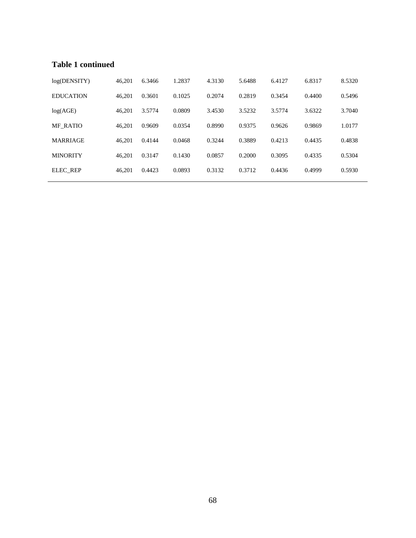## **Table 1 continued**

| log(DENSITY)     | 46.201 | 6.3466 | 1.2837 | 4.3130 | 5.6488 | 6.4127 | 6.8317 | 8.5320 |
|------------------|--------|--------|--------|--------|--------|--------|--------|--------|
| <b>EDUCATION</b> | 46.201 | 0.3601 | 0.1025 | 0.2074 | 0.2819 | 0.3454 | 0.4400 | 0.5496 |
| log(AGE)         | 46.201 | 3.5774 | 0.0809 | 3.4530 | 3.5232 | 3.5774 | 3.6322 | 3.7040 |
| <b>MF RATIO</b>  | 46.201 | 0.9609 | 0.0354 | 0.8990 | 0.9375 | 0.9626 | 0.9869 | 1.0177 |
| <b>MARRIAGE</b>  | 46.201 | 0.4144 | 0.0468 | 0.3244 | 0.3889 | 0.4213 | 0.4435 | 0.4838 |
| <b>MINORITY</b>  | 46.201 | 0.3147 | 0.1430 | 0.0857 | 0.2000 | 0.3095 | 0.4335 | 0.5304 |
| <b>ELEC REP</b>  | 46.201 | 0.4423 | 0.0893 | 0.3132 | 0.3712 | 0.4436 | 0.4999 | 0.5930 |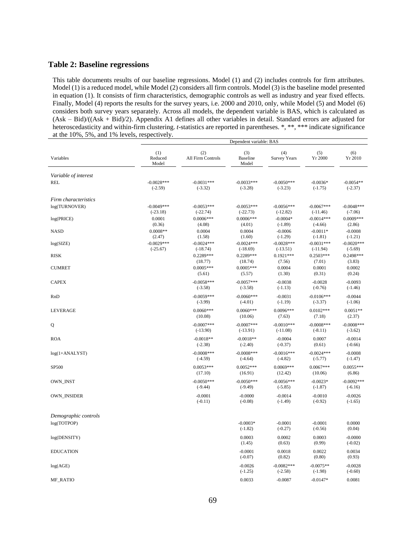#### <span id="page-68-0"></span>**Table 2: Baseline regressions**

This table documents results of our baseline regressions. Model (1) and (2) includes controls for firm attributes. Model (1) is a reduced model, while Model (2) considers all firm controls. Model (3) is the baseline model presented in equation (1). It consists of firm characteristics, demographic controls as well as industry and year fixed effects. Finally, Model (4) reports the results for the survey years, i.e. 2000 and 2010, only, while Model (5) and Model (6) considers both survey years separately. Across all models, the dependent variable is BAS, which is calculated as (Ask – Bid)/((Ask + Bid)/2). Appendix A1 defines all other variables in detail. Standard errors are adjusted for heteroscedasticity and within-firm clustering. *t*-statistics are reported in parentheses. \*, \*\*, \*\*\* indicate significance at the 10%, 5%, and 1% levels, respectively.

|                      |                            |                                 | Dependent variable: BAS    |                            |                            |                           |
|----------------------|----------------------------|---------------------------------|----------------------------|----------------------------|----------------------------|---------------------------|
| Variables            | (1)<br>Reduced<br>Model    | (2)<br><b>All Firm Controls</b> | (3)<br>Baseline<br>Model   | (4)<br><b>Survey Years</b> | (5)<br>Yr 2000             | (6)<br>Yr 2010            |
| Variable of interest |                            |                                 |                            |                            |                            |                           |
| <b>REL</b>           | $-0.0028***$<br>$(-2.59)$  | $-0.0031***$<br>$(-3.32)$       | $-0.0033***$<br>$(-3.28)$  | $-0.0050***$<br>$(-3.23)$  | $-0.0036*$<br>$(-1.75)$    | $-0.0054**$<br>$(-2.37)$  |
| Firm characteristics |                            |                                 |                            |                            |                            |                           |
| log(TURNOVER)        | $-0.0049***$<br>$(-23.18)$ | $-0.0053***$<br>$(-22.74)$      | $-0.0053***$<br>$(-22.73)$ | $-0.0056***$<br>$(-12.82)$ | $-0.0067***$<br>$(-11.46)$ | $-0.0048***$<br>$(-7.06)$ |
| log(PRICE)           | 0.0001<br>(0.36)           | $0.0006***$<br>(4.08)           | $0.0006***$<br>(4.01)      | $-0.0004*$<br>$(-1.89)$    | $-0.0014***$<br>$(-4.66)$  | $0.0009***$<br>(2.86)     |
| <b>NASD</b>          | $0.0008**$<br>(2.47)       | 0.0004<br>(1.58)                | 0.0004<br>(1.60)           | $-0.0006$<br>$(-1.29)$     | $-0.0011*$<br>$(-1.81)$    | $-0.0008$<br>$(-1.21)$    |
| log(SIZE)            | $-0.0029***$<br>$(-25.67)$ | $-0.0024***$<br>$(-18.74)$      | $-0.0024***$<br>$(-18.69)$ | $-0.0028***$<br>$(-13.51)$ | $-0.0031***$<br>$(-11.94)$ | $-0.0020***$<br>$(-5.69)$ |
| <b>RISK</b>          |                            | $0.2289***$<br>(18.77)          | $0.2289***$<br>(18.74)     | $0.1921***$<br>(7.56)      | $0.2503***$<br>(7.01)      | $0.2498***$<br>(3.83)     |
| <b>CUMRET</b>        |                            | $0.0005***$<br>(5.61)           | $0.0005***$<br>(5.57)      | 0.0004<br>(1.30)           | 0.0001<br>(0.31)           | 0.0002<br>(0.24)          |
| <b>CAPEX</b>         |                            | $-0.0058***$<br>$(-3.58)$       | $-0.0057***$<br>$(-3.58)$  | $-0.0038$<br>$(-1.13)$     | $-0.0028$<br>$(-0.76)$     | $-0.0093$<br>$(-1.46)$    |
| RnD                  |                            | $-0.0059***$<br>$(-3.99)$       | $-0.0060***$<br>$(-4.01)$  | $-0.0031$<br>$(-1.19)$     | $-0.0106***$<br>$(-3.37)$  | $-0.0044$<br>$(-1.06)$    |
| <b>LEVERAGE</b>      |                            | $0.0060***$<br>(10.08)          | $0.0060***$<br>(10.06)     | $0.0096***$<br>(7.63)      | $0.0102***$<br>(7.18)      | $0.0051**$<br>(2.37)      |
| Q                    |                            | $-0.0007***$<br>$(-13.90)$      | $-0.0007***$<br>$(-13.91)$ | $-0.0010***$<br>$(-11.08)$ | $-0.0008***$<br>$(-8.11)$  | $-0.0008***$<br>$(-3.62)$ |
| <b>ROA</b>           |                            | $-0.0018**$<br>$(-2.38)$        | $-0.0018**$<br>$(-2.40)$   | $-0.0004$<br>$(-0.37)$     | 0.0007<br>(0.61)           | $-0.0014$<br>$(-0.66)$    |
| $log(1+ANALYST)$     |                            | $-0.0008***$<br>$(-4.59)$       | $-0.0008***$<br>$(-4.64)$  | $-0.0016***$<br>$(-4.82)$  | $-0.0024***$<br>$(-5.77)$  | $-0.0008$<br>$(-1.47)$    |
| SP500                |                            | $0.0053***$<br>(17.10)          | $0.0052***$<br>(16.91)     | $0.0069***$<br>(12.42)     | $0.0067***$<br>(10.06)     | $0.0055***$<br>(6.86)     |
| <b>OWN INST</b>      |                            | $-0.0050***$<br>$(-9.44)$       | $-0.0050***$<br>$(-9.49)$  | $-0.0056***$<br>$(-5.85)$  | $-0.0023*$<br>$(-1.87)$    | $-0.0092***$<br>$(-6.16)$ |
| <b>OWN_INSIDER</b>   |                            | $-0.0001$<br>$(-0.11)$          | $-0.0000$<br>$(-0.08)$     | $-0.0014$<br>$(-1.49)$     | $-0.0010$<br>$(-0.92)$     | $-0.0026$<br>$(-1.65)$    |
| Demographic controls |                            |                                 |                            |                            |                            |                           |
| log(TOTPOP)          |                            |                                 | $-0.0003*$<br>$(-1.82)$    | $-0.0001$<br>$(-0.27)$     | $-0.0001$<br>$(-0.56)$     | 0.0000<br>(0.04)          |
| log(DENSITY)         |                            |                                 | 0.0003<br>(1.45)           | 0.0002<br>(0.63)           | 0.0003<br>(0.99)           | $-0.0000$<br>$(-0.02)$    |
| <b>EDUCATION</b>     |                            |                                 | $-0.0001$<br>$(-0.07)$     | 0.0018<br>(0.82)           | 0.0022<br>(0.80)           | 0.0034<br>(0.93)          |
| log(AGE)             |                            |                                 | $-0.0026$<br>$(-1.25)$     | $-0.0082***$<br>$(-2.58)$  | $-0.0075**$<br>$(-1.98)$   | $-0.0028$<br>$(-0.60)$    |
| <b>MF_RATIO</b>      |                            |                                 | 0.0033                     | $-0.0087$                  | $-0.0147*$                 | 0.0081                    |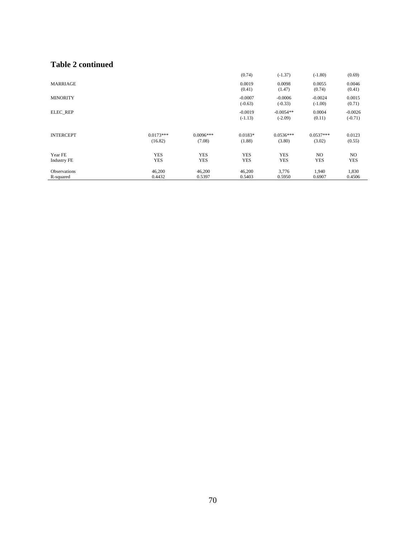## **Table 2 continued**

|                                  |                          |                          | (0.74)                   | $(-1.37)$                | $(-1.80)$              | (0.69)                 |
|----------------------------------|--------------------------|--------------------------|--------------------------|--------------------------|------------------------|------------------------|
| <b>MARRIAGE</b>                  |                          |                          | 0.0019<br>(0.41)         | 0.0098<br>(1.47)         | 0.0055<br>(0.74)       | 0.0046<br>(0.41)       |
| <b>MINORITY</b>                  |                          |                          | $-0.0007$<br>$(-0.63)$   | $-0.0006$<br>$(-0.33)$   | $-0.0024$<br>$(-1.00)$ | 0.0015<br>(0.71)       |
| <b>ELEC REP</b>                  |                          |                          | $-0.0019$<br>$(-1.13)$   | $-0.0054**$<br>$(-2.09)$ | 0.0004<br>(0.11)       | $-0.0026$<br>$(-0.71)$ |
| <b>INTERCEPT</b>                 | $0.0173***$<br>(16.82)   | $0.0096***$<br>(7.08)    | $0.0183*$<br>(1.88)      | $0.0536***$<br>(3.80)    | $0.0537***$<br>(3.02)  | 0.0123<br>(0.55)       |
| Year FE<br><b>Industry FE</b>    | <b>YES</b><br><b>YES</b> | <b>YES</b><br><b>YES</b> | <b>YES</b><br><b>YES</b> | <b>YES</b><br><b>YES</b> | NO.<br><b>YES</b>      | NO.<br><b>YES</b>      |
| <b>Observations</b><br>R-squared | 46,200<br>0.4432         | 46,200<br>0.5397         | 46,200<br>0.5403         | 3,776<br>0.5950          | 1,940<br>0.6907        | 1,830<br>0.4506        |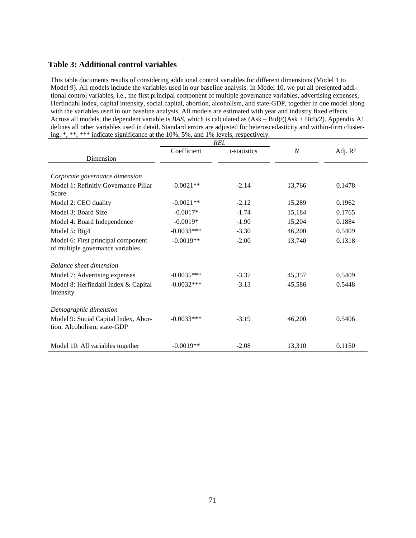### **Table 3: Additional control variables**

This table documents results of considering additional control variables for different dimensions (Model 1 to Model 9). All models include the variables used in our baseline analysis. In Model 10, we put all presented additional control variables, i.e., the first principal component of multiple governance variables, advertising expenses, Herfindahl index, capital intensity, social capital, abortion, alcoholism, and state-GDP, together in one model along with the variables used in our baseline analysis. All models are estimated with year and industry fixed effects. Across all models, the dependent variable is *BAS*, which is calculated as (Ask – Bid)/((Ask + Bid)/2). Appendix A1 defines all other variables used in detail. Standard errors are adjusted for heteroscedasticity and within-firm clustering. \*, \*\*, \*\*\* indicate significance at the 10%, 5%, and 1% levels, respectively.

|                                                                        | <b>REL</b>   |              |                |                     |
|------------------------------------------------------------------------|--------------|--------------|----------------|---------------------|
|                                                                        | Coefficient  | t-statistics | $\overline{N}$ | Adj. R <sup>2</sup> |
| Dimension                                                              |              |              |                |                     |
|                                                                        |              |              |                |                     |
| Corporate governance dimension                                         |              |              |                |                     |
| Model 1: Refinitiv Governance Pillar<br>Score                          | $-0.0021**$  | $-2.14$      | 13,766         | 0.1478              |
| Model 2: CEO duality                                                   | $-0.0021**$  | $-2.12$      | 15,289         | 0.1962              |
| Model 3: Board Size                                                    | $-0.0017*$   | $-1.74$      | 15,184         | 0.1765              |
| Model 4: Board Independence                                            | $-0.0019*$   | $-1.90$      | 15,204         | 0.1884              |
| Model 5: Big4                                                          | $-0.0033***$ | $-3.30$      | 46,200         | 0.5409              |
| Model 6: First principal component<br>of multiple governance variables | $-0.0019**$  | $-2.00$      | 13,740         | 0.1318              |
| <b>Balance</b> sheet dimension                                         |              |              |                |                     |
| Model 7: Advertising expenses                                          | $-0.0035***$ | $-3.37$      | 45,357         | 0.5409              |
| Model 8: Herfindahl Index & Capital<br>Intensity                       | $-0.0032***$ | $-3.13$      | 45,586         | 0.5448              |
| Demographic dimension                                                  |              |              |                |                     |
| Model 9: Social Capital Index, Abor-<br>tion, Alcoholism, state-GDP    | $-0.0033***$ | $-3.19$      | 46,200         | 0.5406              |
| Model 10: All variables together                                       | $-0.0019**$  | $-2.08$      | 13,310         | 0.1150              |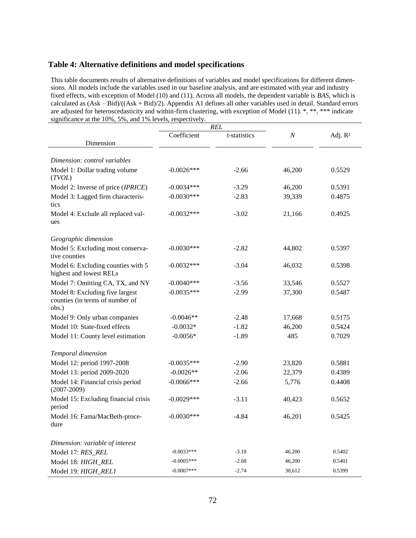## **Table 4: Alternative definitions and model specifications**

This table documents results of alternative definitions of variables and model specifications for different dimensions. All models include the variables used in our baseline analysis, and are estimated with year and industry fixed effects, with exception of Model (10) and (11). Across all models, the dependent variable is *BAS*, which is calculated as (Ask – Bid)/((Ask + Bid)/2). Appendix A1 defines all other variables used in detail. Standard errors are adjusted for heteroscedasticity and within-firm clustering, with exception of Model (11). \*, \*\*, \*\*\* indicate significance at the 10%, 5%, and 1% levels, respectively.

|                                                                             | <b>REL</b>    |              |                  |            |
|-----------------------------------------------------------------------------|---------------|--------------|------------------|------------|
|                                                                             | Coefficient   | t-statistics | $\boldsymbol{N}$ | Adj. $R^2$ |
| Dimension                                                                   |               |              |                  |            |
| Dimension: control variables                                                |               |              |                  |            |
|                                                                             |               | $-2.66$      |                  | 0.5529     |
| Model 1: Dollar trading volume<br>(TVOL)                                    | $-0.0026$ *** |              | 46,200           |            |
| Model 2: Inverse of price (IPRICE)                                          | $-0.0034***$  | $-3.29$      | 46,200           | 0.5391     |
| Model 3: Lagged firm characteris-<br>tics                                   | $-0.0030***$  | $-2.83$      | 39,339           | 0.4875     |
| Model 4: Exclude all replaced val-<br>ues                                   | $-0.0032***$  | $-3.02$      | 21,166           | 0.4925     |
| Geographic dimension                                                        |               |              |                  |            |
| Model 5: Excluding most conserva-<br>tive counties                          | $-0.0030***$  | $-2.82$      | 44,802           | 0.5397     |
| Model 6: Excluding counties with 5<br>highest and lowest RELs               | $-0.0032***$  | $-3.04$      | 46,032           | 0.5398     |
| Model 7: Omitting CA, TX, and NY                                            | $-0.0040***$  | $-3.56$      | 33,546           | 0.5527     |
| Model 8: Excluding five largest<br>counties (in terms of number of<br>obs.) | $-0.0035***$  | $-2.99$      | 37,300           | 0.5487     |
| Model 9: Only urban companies                                               | $-0.0046**$   | $-2.48$      | 17,668           | 0.5175     |
| Model 10: State-fixed effects                                               | $-0.0032*$    | $-1.82$      | 46,200           | 0.5424     |
| Model 11: County level estimation                                           | $-0.0056*$    | $-1.89$      | 485              | 0.7029     |
| Temporal dimension                                                          |               |              |                  |            |
| Model 12: period 1997-2008                                                  | $-0.0035***$  | $-2.90$      | 23,820           | 0.5881     |
| Model 13: period 2009-2020                                                  | $-0.0026**$   | $-2.06$      | 22,379           | 0.4389     |
| Model 14: Financial crisis period<br>$(2007 - 2009)$                        | $-0.0066$ *** | $-2.66$      | 5,776            | 0.4408     |
| Model 15: Excluding financial crisis<br>period                              | $-0.0029$ *** | $-3.11$      | 40,423           | 0.5652     |
| Model 16: Fama/MacBeth-proce-<br>dure                                       | $-0.0030***$  | $-4.84$      | 46,201           | 0.5425     |
| Dimension: variable of interest                                             |               |              |                  |            |
| Model 17: RES_REL                                                           | $-0.0033***$  | $-3.18$      | 46,200           | 0.5402     |
| Model 18: HIGH_REL                                                          | $-0.0005***$  | $-2.68$      | 46,200           | 0.5401     |
| Model 19: HIGH_REL1                                                         | $-0.0007***$  | $-2.74$      | 30,612           | 0.5399     |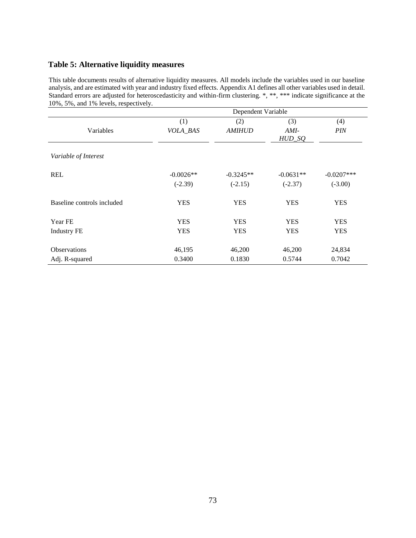# **Table 5: Alternative liquidity measures**

This table documents results of alternative liquidity measures. All models include the variables used in our baseline analysis, and are estimated with year and industry fixed effects. Appendix A1 defines all other variables used in detail. Standard errors are adjusted for heteroscedasticity and within-firm clustering. \*, \*\*, \*\*\* indicate significance at the 10%, 5%, and 1% levels, respectively.

| Dependent Variable         |             |               |                    |               |  |  |
|----------------------------|-------------|---------------|--------------------|---------------|--|--|
|                            | (1)         | (2)           | (3)                | (4)           |  |  |
| Variables                  | VOLA_BAS    | <b>AMIHUD</b> | $AMI-$<br>$HUD_SQ$ | <b>PIN</b>    |  |  |
| Variable of Interest       |             |               |                    |               |  |  |
| <b>REL</b>                 | $-0.0026**$ | $-0.3245**$   | $-0.0631**$        | $-0.0207$ *** |  |  |
|                            | $(-2.39)$   | $(-2.15)$     | $(-2.37)$          | $(-3.00)$     |  |  |
| Baseline controls included | <b>YES</b>  | <b>YES</b>    | <b>YES</b>         | <b>YES</b>    |  |  |
| Year FE                    | <b>YES</b>  | <b>YES</b>    | <b>YES</b>         | <b>YES</b>    |  |  |
| <b>Industry FE</b>         | <b>YES</b>  | <b>YES</b>    | <b>YES</b>         | <b>YES</b>    |  |  |
| <b>Observations</b>        | 46,195      | 46,200        | 46,200             | 24,834        |  |  |
| Adj. R-squared             | 0.3400      | 0.1830        | 0.5744             | 0.7042        |  |  |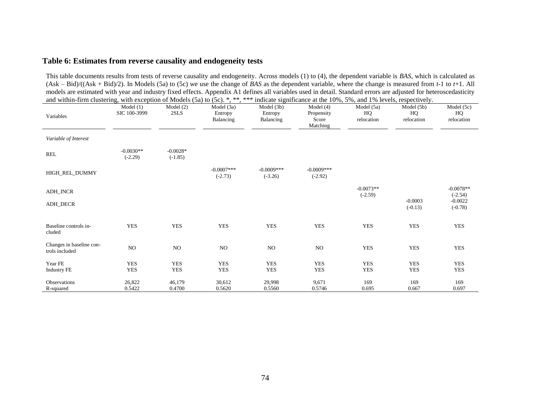### **Table 6: Estimates from reverse causality and endogeneity tests**

This table documents results from tests of reverse causality and endogeneity. Across models (1) to (4), the dependent variable is *BAS*, which is calculated as (Ask – Bid)/((Ask + Bid)/2). In Models (5a) to (5c) we use the change of *BAS* as the dependent variable, where the change is measured from *t*-1 to *t*+1. All models are estimated with year and industry fixed effects. Appendix A1 defines all variables used in detail. Standard errors are adjusted for heteroscedasticity and within-firm clustering, with exception of Models (5a) to (5c), \*, \*\*, \*\*\* indicate significance at the 10%, 5%, and 1% levels, respectively.

| and within their crustering, with exception of moders (3a) to (3c). $\,$ , $\,$ , |                          |                         |                                    |                                    | marcally significance at the 10%, $3\%$ , and 1% fevers, respectively. |                                |                               |                                |
|-----------------------------------------------------------------------------------|--------------------------|-------------------------|------------------------------------|------------------------------------|------------------------------------------------------------------------|--------------------------------|-------------------------------|--------------------------------|
| Variables                                                                         | Model(1)<br>SIC 100-3999 | Model (2)<br>2SLS       | Model (3a)<br>Entropy<br>Balancing | Model (3b)<br>Entropy<br>Balancing | Model $(4)$<br>Propensity<br>Score<br>Matching                         | Model (5a)<br>HQ<br>relocation | Model(5b)<br>HQ<br>relocation | Model (5c)<br>HQ<br>relocation |
| Variable of Interest                                                              |                          |                         |                                    |                                    |                                                                        |                                |                               |                                |
| <b>REL</b>                                                                        | $-0.0030**$<br>$(-2.29)$ | $-0.0028*$<br>$(-1.85)$ |                                    |                                    |                                                                        |                                |                               |                                |
| HIGH_REL_DUMMY                                                                    |                          |                         | $-0.0007$ ***<br>$(-2.73)$         | $-0.0009***$<br>$(-3.26)$          | $-0.0009***$<br>$(-2.92)$                                              |                                |                               |                                |
| <b>ADH_INCR</b>                                                                   |                          |                         |                                    |                                    |                                                                        | $-0.0073**$<br>$(-2.59)$       |                               | $-0.0078**$<br>$(-2.54)$       |
| ADH_DECR                                                                          |                          |                         |                                    |                                    |                                                                        |                                | $-0.0003$<br>$(-0.13)$        | $-0.0022$<br>$(-0.78)$         |
| Baseline controls in-<br>cluded                                                   | <b>YES</b>               | <b>YES</b>              | <b>YES</b>                         | <b>YES</b>                         | <b>YES</b>                                                             | <b>YES</b>                     | <b>YES</b>                    | YES                            |
| Changes in baseline con-<br>trols included                                        | NO                       | NO.                     | NO                                 | NO                                 | NO                                                                     | <b>YES</b>                     | <b>YES</b>                    | <b>YES</b>                     |
| Year FE                                                                           | <b>YES</b>               | <b>YES</b>              | <b>YES</b>                         | <b>YES</b>                         | <b>YES</b>                                                             | <b>YES</b>                     | <b>YES</b>                    | <b>YES</b>                     |
| <b>Industry FE</b>                                                                | <b>YES</b>               | <b>YES</b>              | <b>YES</b>                         | <b>YES</b>                         | <b>YES</b>                                                             | <b>YES</b>                     | YES                           | <b>YES</b>                     |
| <b>Observations</b>                                                               | 26,822                   | 46,179                  | 30,612                             | 29,998                             | 9,671                                                                  | 169                            | 169                           | 169                            |
| R-squared                                                                         | 0.5422                   | 0.4700                  | 0.5620                             | 0.5560                             | 0.5746                                                                 | 0.695                          | 0.667                         | 0.697                          |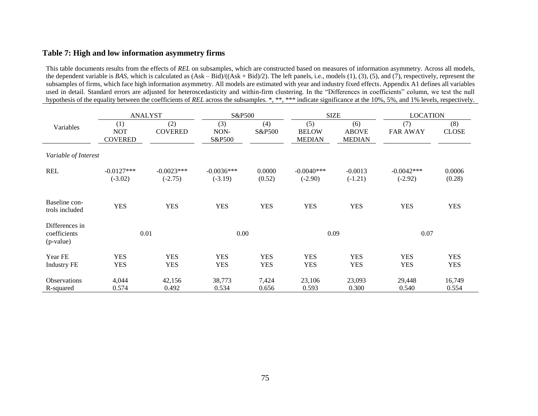### **Table 7: High and low information asymmetry firms**

This table documents results from the effects of *REL* on subsamples, which are constructed based on measures of information asymmetry. Across all models, the dependent variable is *BAS*, which is calculated as  $(Ask - Bid)/(Ask + Bid)/2$ . The left panels, i.e., models (1), (3), (5), and (7), respectively, represent the subsamples of firms, which face high information asymmetry. All models are estimated with year and industry fixed effects. Appendix A1 defines all variables used in detail. Standard errors are adjusted for heteroscedasticity and within-firm clustering. In the "Differences in coefficients" column, we test the null hypothesis of the equality between the coefficients of *REL* across the subsamples. \*, \*\*, \*\*\* indicate significance at the 10%, 5%, and 1% levels, respectively.

|                                             |                                     | <b>ANALYST</b>            | S&P500                    |                          | <b>SIZE</b>                          |                                      | <b>LOCATION</b>           |                          |
|---------------------------------------------|-------------------------------------|---------------------------|---------------------------|--------------------------|--------------------------------------|--------------------------------------|---------------------------|--------------------------|
| Variables                                   | (1)<br><b>NOT</b><br><b>COVERED</b> | (2)<br><b>COVERED</b>     | (3)<br>NON-<br>S&P500     | (4)<br>S&P500            | (5)<br><b>BELOW</b><br><b>MEDIAN</b> | (6)<br><b>ABOVE</b><br><b>MEDIAN</b> | (7)<br><b>FAR AWAY</b>    | (8)<br><b>CLOSE</b>      |
| Variable of Interest                        |                                     |                           |                           |                          |                                      |                                      |                           |                          |
| <b>REL</b>                                  | $-0.0127***$<br>$(-3.02)$           | $-0.0023***$<br>$(-2.75)$ | $-0.0036***$<br>$(-3.19)$ | 0.0000<br>(0.52)         | $-0.0040***$<br>$(-2.90)$            | $-0.0013$<br>$(-1.21)$               | $-0.0042***$<br>$(-2.92)$ | 0.0006<br>(0.28)         |
| Baseline con-<br>trols included             | <b>YES</b>                          | <b>YES</b>                | <b>YES</b>                | <b>YES</b>               | <b>YES</b>                           | <b>YES</b>                           | <b>YES</b>                | <b>YES</b>               |
| Differences in<br>coefficients<br>(p-value) | 0.01                                |                           | 0.00                      |                          | 0.09                                 |                                      | 0.07                      |                          |
| Year FE<br><b>Industry FE</b>               | <b>YES</b><br><b>YES</b>            | <b>YES</b><br><b>YES</b>  | <b>YES</b><br><b>YES</b>  | <b>YES</b><br><b>YES</b> | <b>YES</b><br><b>YES</b>             | <b>YES</b><br><b>YES</b>             | <b>YES</b><br><b>YES</b>  | <b>YES</b><br><b>YES</b> |
| <b>Observations</b><br>R-squared            | 4,044<br>0.574                      | 42,156<br>0.492           | 38,773<br>0.534           | 7,424<br>0.656           | 23,106<br>0.593                      | 23,093<br>0.300                      | 29,448<br>0.540           | 16,749<br>0.554          |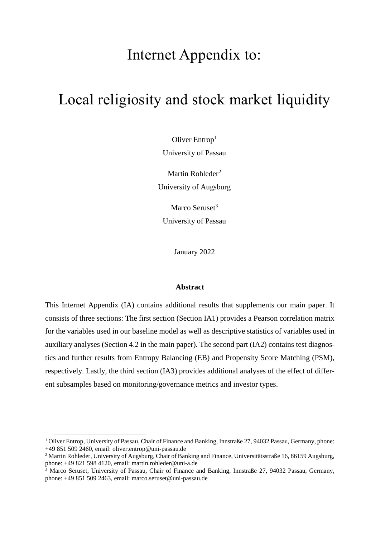# Internet Appendix to:

# Local religiosity and stock market liquidity

Oliver Entrop<sup>1</sup> University of Passau

Martin Rohleder<sup>2</sup> University of Augsburg

Marco Seruset<sup>3</sup> University of Passau

January 2022

### **Abstract**

This Internet Appendix (IA) contains additional results that supplements our main paper. It consists of three sections: The first section (Section IA1) provides a Pearson correlation matrix for the variables used in our baseline model as well as descriptive statistics of variables used in auxiliary analyses (Section 4.2 in the main paper). The second part (IA2) contains test diagnostics and further results from Entropy Balancing (EB) and Propensity Score Matching (PSM), respectively. Lastly, the third section (IA3) provides additional analyses of the effect of different subsamples based on monitoring/governance metrics and investor types.

 $\overline{a}$ 

<sup>&</sup>lt;sup>1</sup> Oliver Entrop, University of Passau, Chair of Finance and Banking, Innstraße 27, 94032 Passau, Germany, phone: +49 851 509 2460, email: oliver.entrop@uni-passau.de

<sup>&</sup>lt;sup>2</sup> Martin Rohleder, University of Augsburg, Chair of Banking and Finance, Universitätsstraße 16, 86159 Augsburg, phone: +49 821 598 4120, email: martin.rohleder@uni-a.de

<sup>&</sup>lt;sup>3</sup> Marco Seruset, University of Passau, Chair of Finance and Banking, Innstraße 27, 94032 Passau, Germany, phone: +49 851 509 2463, email: marco.seruset@uni-passau.de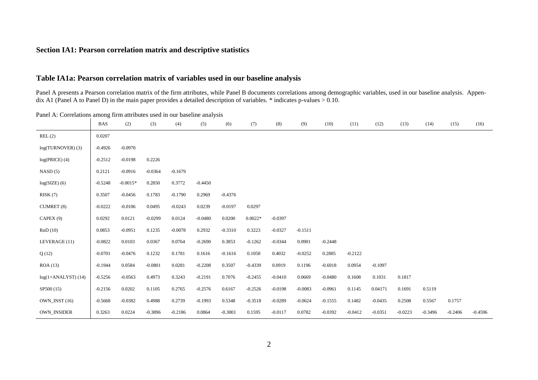### **Section IA1: Pearson correlation matrix and descriptive statistics**

### **Table IA1a: Pearson correlation matrix of variables used in our baseline analysis**

Panel A presents a Pearson correlation matrix of the firm attributes, while Panel B documents correlations among demographic variables, used in our baseline analysis. Appendix A1 (Panel A to Panel D) in the main paper provides a detailed description of variables.  $*$  indicates p-values  $> 0.10$ .

Panel A: Correlations among firm attributes used in our baseline analysis

|                       | <b>BAS</b> | (2)        | (3)       | (4)       | (5)       | (6)       | (7)       | (8)       | (9)       | (10)      | (11)      | (12)      | (13)      | (14)      | (15)      | (16)      |
|-----------------------|------------|------------|-----------|-----------|-----------|-----------|-----------|-----------|-----------|-----------|-----------|-----------|-----------|-----------|-----------|-----------|
| REL(2)                | 0.0207     |            |           |           |           |           |           |           |           |           |           |           |           |           |           |           |
| log(TURNOVER)(3)      | $-0.4926$  | $-0.0970$  |           |           |           |           |           |           |           |           |           |           |           |           |           |           |
| $log(PRICE)$ (4)      | $-0.2512$  | $-0.0198$  | 0.2226    |           |           |           |           |           |           |           |           |           |           |           |           |           |
| NASD(5)               | 0.2121     | $-0.0916$  | $-0.0364$ | $-0.1679$ |           |           |           |           |           |           |           |           |           |           |           |           |
| $log(SIZE)$ (6)       | $-0.5248$  | $-0.0015*$ | 0.2850    | 0.3772    | $-0.4450$ |           |           |           |           |           |           |           |           |           |           |           |
| RISK(7)               | 0.3507     | $-0.0456$  | 0.1783    | $-0.1790$ | 0.2969    | $-0.4376$ |           |           |           |           |           |           |           |           |           |           |
| CUMRET (8)            | $-0.0222$  | $-0.0106$  | 0.0495    | $-0.0243$ | 0.0239    | $-0.0197$ | 0.0297    |           |           |           |           |           |           |           |           |           |
| CAPEX (9)             | 0.0292     | 0.0121     | $-0.0299$ | 0.0124    | $-0.0480$ | 0.0200    | $0.0022*$ | $-0.0397$ |           |           |           |           |           |           |           |           |
| RnD(10)               | 0.0853     | $-0.0951$  | 0.1235    | $-0.0078$ | 0.2932    | $-0.3310$ | 0.3223    | $-0.0327$ | $-0.1511$ |           |           |           |           |           |           |           |
| LEVERAGE (11)         | $-0.0822$  | 0.0103     | 0.0367    | 0.0764    | $-0.2690$ | 0.3853    | $-0.1262$ | $-0.0344$ | 0.0901    | $-0.2448$ |           |           |           |           |           |           |
| Q(12)                 | $-0.0701$  | $-0.0476$  | 0.1232    | 0.1781    | 0.1616    | $-0.1616$ | 0.1058    | 0.4032    | $-0.0252$ | 0.2885    | $-0.2122$ |           |           |           |           |           |
| ROA(13)               | $-0.1944$  | 0.0584     | $-0.0801$ | 0.0281    | $-0.2208$ | 0.3507    | $-0.4339$ | 0.0919    | 0.1196    | $-0.6918$ | 0.0954    | $-0.1097$ |           |           |           |           |
| $log(1+ANALYST)$ (14) | $-0.5256$  | $-0.0563$  | 0.4973    | 0.3243    | $-0.2191$ | 0.7076    | $-0.2455$ | $-0.0410$ | 0.0669    | $-0.0480$ | 0.1608    | 0.1031    | 0.1817    |           |           |           |
| SP500 (15)            | $-0.2156$  | 0.0202     | 0.1105    | 0.2765    | $-0.2576$ | 0.6167    | $-0.2526$ | $-0.0198$ | $-0.0083$ | $-0.0961$ | 0.1145    | 0.04171   | 0.1691    | 0.5119    |           |           |
| OWN INST (16)         | $-0.5668$  | $-0.0382$  | 0.4988    | 0.2739    | $-0.1993$ | 0.5348    | $-0.3518$ | $-0.0289$ | $-0.0624$ | $-0.1555$ | 0.1482    | $-0.0435$ | 0.2508    | 0.5567    | 0.1757    |           |
| OWN_INSIDER           | 0.3263     | 0.0224     | $-0.3896$ | $-0.2186$ | 0.0864    | $-0.3001$ | 0.1595    | $-0.0117$ | 0.0782    | $-0.0392$ | $-0.0412$ | $-0.0351$ | $-0.0223$ | $-0.3496$ | $-0.2406$ | $-0.4596$ |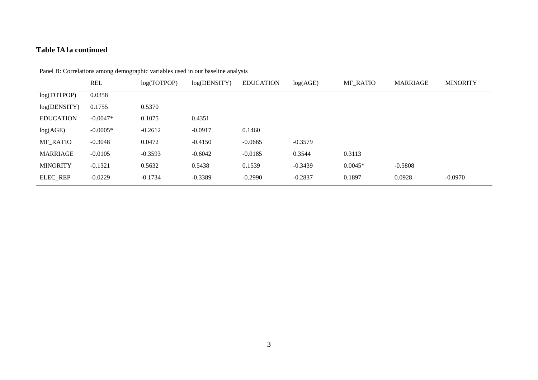## **Table IA1a continued**

|                  | <b>REL</b> | log(TOTPOP) | log(DENSITY) | <b>EDUCATION</b> | log(AGE)  | <b>MF RATIO</b> | MARRIAGE  | <b>MINORITY</b> |
|------------------|------------|-------------|--------------|------------------|-----------|-----------------|-----------|-----------------|
| log(TOTPOP)      | 0.0358     |             |              |                  |           |                 |           |                 |
| log(DENSITY)     | 0.1755     | 0.5370      |              |                  |           |                 |           |                 |
| <b>EDUCATION</b> | $-0.0047*$ | 0.1075      | 0.4351       |                  |           |                 |           |                 |
| log(AGE)         | $-0.0005*$ | $-0.2612$   | $-0.0917$    | 0.1460           |           |                 |           |                 |
| <b>MF_RATIO</b>  | $-0.3048$  | 0.0472      | $-0.4150$    | $-0.0665$        | $-0.3579$ |                 |           |                 |
| <b>MARRIAGE</b>  | $-0.0105$  | $-0.3593$   | $-0.6042$    | $-0.0185$        | 0.3544    | 0.3113          |           |                 |
| <b>MINORITY</b>  | $-0.1321$  | 0.5632      | 0.5438       | 0.1539           | $-0.3439$ | $0.0045*$       | $-0.5808$ |                 |
| ELEC_REP         | $-0.0229$  | $-0.1734$   | $-0.3389$    | $-0.2990$        | $-0.2837$ | 0.1897          | 0.0928    | $-0.0970$       |

Panel B: Correlations among demographic variables used in our baseline analysis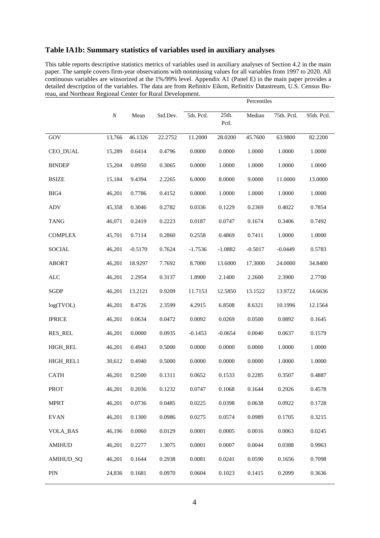## **Table IA1b: Summary statistics of variables used in auxiliary analyses**

This table reports descriptive statistics metrics of variables used in auxiliary analyses of Section 4.2 in the main paper. The sample covers firm-year observations with nonmissing values for all variables from 1997 to 2020. All continuous variables are winsorized at the 1%/99% level. Appendix A1 (Panel E) in the main paper provides a detailed description of the variables. The data are from Refinitiv Eikon, Refinitiv Datastream, U.S. Census Bureau, and Northeast Regional Center for Rural Development.

|                 |          |           |          |            |                | Percentiles |             |             |
|-----------------|----------|-----------|----------|------------|----------------|-------------|-------------|-------------|
|                 | $\cal N$ | Mean      | Std.Dev. | 5th. Pctl. | 25th.<br>Pctl. | Median      | 75th. Pctl. | 95th. Pctl. |
| GOV             | 13,766   | 46.1326   | 22.2752  | 11.2000    | 28.0200        | 45.7600     | 63.9800     | 82.2200     |
| CEO_DUAL        | 15,289   | 0.6414    | 0.4796   | 0.0000     | 0.0000         | 1.0000      | 1.0000      | 1.0000      |
| <b>BINDEP</b>   | 15,204   | 0.8950    | 0.3065   | 0.0000     | 1.0000         | 1.0000      | 1.0000      | 1.0000      |
| <b>BSIZE</b>    | 15,184   | 9.4394    | 2.2265   | 6.0000     | 8.0000         | 9.0000      | 11.0000     | 13.0000     |
| BIG4            | 46,201   | 0.7786    | 0.4152   | 0.0000     | 1.0000         | 1.0000      | 1.0000      | 1.0000      |
| ADV             | 45,358   | 0.3046    | 0.2782   | 0.0336     | 0.1229         | 0.2369      | 0.4022      | 0.7854      |
| <b>TANG</b>     | 46,071   | 0.2419    | 0.2223   | 0.0187     | 0.0747         | 0.1674      | 0.3406      | 0.7492      |
| <b>COMPLEX</b>  | 45,701   | 0.7114    | 0.2860   | 0.2558     | 0.4869         | 0.7411      | 1.0000      | 1.0000      |
| <b>SOCIAL</b>   | 46,201   | $-0.5170$ | 0.7624   | $-1.7536$  | $-1.0882$      | $-0.5017$   | $-0.0449$   | 0.5783      |
| <b>ABORT</b>    | 46,201   | 18.9297   | 7.7692   | 8.7000     | 13.6000        | 17.3000     | 24.0000     | 34.8400     |
| <b>ALC</b>      | 46,201   | 2.2954    | 0.3137   | 1.8900     | 2.1400         | 2.2600      | 2.3900      | 2.7700      |
| <b>SGDP</b>     | 46,201   | 13.2121   | 0.9209   | 11.7153    | 12.5850        | 13.1522     | 13.9722     | 14.6636     |
| log(TVOL)       | 46,201   | 8.4726    | 2.3599   | 4.2915     | 6.8508         | 8.6321      | 10.1996     | 12.1564     |
| <b>IPRICE</b>   | 46,201   | 0.0634    | 0.0472   | 0.0092     | 0.0269         | 0.0500      | 0.0892      | 0.1645      |
| <b>RES_REL</b>  | 46,201   | 0.0000    | 0.0935   | $-0.1453$  | $-0.0654$      | 0.0040      | 0.0637      | 0.1579      |
| <b>HIGH_REL</b> | 46,201   | 0.4943    | 0.5000   | 0.0000     | 0.0000         | 0.0000      | 1.0000      | 1.0000      |
| HIGH_REL1       | 30,612   | 0.4940    | 0.5000   | 0.0000     | 0.0000         | 0.0000      | 1.0000      | 1.0000      |
| <b>CATH</b>     | 46,201   | 0.2500    | 0.1311   | 0.0652     | 0.1533         | 0.2285      | 0.3507      | 0.4887      |
| <b>PROT</b>     | 46,201   | 0.2036    | 0.1232   | 0.0747     | 0.1068         | 0.1644      | 0.2926      | 0.4578      |
| <b>MPRT</b>     | 46,201   | 0.0736    | 0.0485   | 0.0225     | 0.0398         | 0.0638      | 0.0922      | 0.1728      |
| <b>EVAN</b>     | 46,201   | 0.1300    | 0.0986   | 0.0275     | 0.0574         | 0.0989      | 0.1705      | 0.3215      |
| <b>VOLA_BAS</b> | 46,196   | 0.0060    | 0.0129   | 0.0001     | 0.0005         | 0.0016      | 0.0063      | 0.0245      |
| <b>AMIHUD</b>   | 46,201   | 0.2277    | 1.3075   | 0.0001     | 0.0007         | 0.0044      | 0.0388      | 0.9963      |
| AMIHUD_SQ       | 46,201   | 0.1644    | 0.2938   | 0.0081     | 0.0241         | 0.0590      | 0.1656      | 0.7098      |
| $\rm PIN$       | 24,836   | 0.1681    | 0.0970   | 0.0604     | 0.1023         | 0.1415      | 0.2099      | 0.3636      |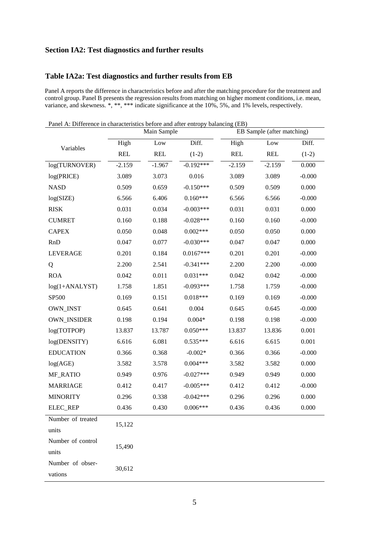### **Section IA2: Test diagnostics and further results**

### **Table IA2a: Test diagnostics and further results from EB**

Panel A reports the difference in characteristics before and after the matching procedure for the treatment and control group. Panel B presents the regression results from matching on higher moment conditions, i.e. mean, variance, and skewness. \*, \*\*, \*\*\* indicate significance at the 10%, 5%, and 1% levels, respectively.

Panel A: Difference in characteristics before and after entropy balancing (EB)

|                    | Main Sample |            |             | EB Sample (after matching) |            |          |  |
|--------------------|-------------|------------|-------------|----------------------------|------------|----------|--|
| Variables          | High        | Low        | Diff.       | High                       | Low        | Diff.    |  |
|                    | <b>REL</b>  | <b>REL</b> | $(1-2)$     | <b>REL</b>                 | <b>REL</b> | $(1-2)$  |  |
| log(TURNOVER)      | $-2.159$    | $-1.967$   | $-0.192***$ | $-2.159$                   | $-2.159$   | 0.000    |  |
| log(PRICE)         | 3.089       | 3.073      | 0.016       | 3.089                      | 3.089      | $-0.000$ |  |
| <b>NASD</b>        | 0.509       | 0.659      | $-0.150***$ | 0.509                      | 0.509      | 0.000    |  |
| log(SIZE)          | 6.566       | 6.406      | $0.160***$  | 6.566                      | 6.566      | $-0.000$ |  |
| <b>RISK</b>        | 0.031       | 0.034      | $-0.003***$ | 0.031                      | 0.031      | 0.000    |  |
| <b>CUMRET</b>      | 0.160       | 0.188      | $-0.028***$ | 0.160                      | 0.160      | $-0.000$ |  |
| <b>CAPEX</b>       | 0.050       | 0.048      | $0.002***$  | 0.050                      | 0.050      | 0.000    |  |
| <b>RnD</b>         | 0.047       | 0.077      | $-0.030***$ | 0.047                      | 0.047      | 0.000    |  |
| <b>LEVERAGE</b>    | 0.201       | 0.184      | $0.0167***$ | 0.201                      | 0.201      | $-0.000$ |  |
| Q                  | 2.200       | 2.541      | $-0.341***$ | 2.200                      | 2.200      | $-0.000$ |  |
| <b>ROA</b>         | 0.042       | 0.011      | $0.031***$  | 0.042                      | 0.042      | $-0.000$ |  |
| $log(1+ANALYST)$   | 1.758       | 1.851      | $-0.093***$ | 1.758                      | 1.759      | $-0.000$ |  |
| SP500              | 0.169       | 0.151      | $0.018***$  | 0.169                      | 0.169      | $-0.000$ |  |
| <b>OWN_INST</b>    | 0.645       | 0.641      | 0.004       | 0.645                      | 0.645      | $-0.000$ |  |
| <b>OWN_INSIDER</b> | 0.198       | 0.194      | $0.004*$    | 0.198                      | 0.198      | $-0.000$ |  |
| log(TOTPOP)        | 13.837      | 13.787     | $0.050***$  | 13.837                     | 13.836     | 0.001    |  |
| log(DENSITY)       | 6.616       | 6.081      | $0.535***$  | 6.616                      | 6.615      | 0.001    |  |
| <b>EDUCATION</b>   | 0.366       | 0.368      | $-0.002*$   | 0.366                      | 0.366      | $-0.000$ |  |
| log(AGE)           | 3.582       | 3.578      | $0.004***$  | 3.582                      | 3.582      | 0.000    |  |
| MF_RATIO           | 0.949       | 0.976      | $-0.027***$ | 0.949                      | 0.949      | 0.000    |  |
| <b>MARRIAGE</b>    | 0.412       | 0.417      | $-0.005***$ | 0.412                      | 0.412      | $-0.000$ |  |
| <b>MINORITY</b>    | 0.296       | 0.338      | $-0.042***$ | 0.296                      | 0.296      | 0.000    |  |
| ELEC_REP           | 0.436       | 0.430      | $0.006***$  | 0.436                      | 0.436      | 0.000    |  |
| Number of treated  | 15,122      |            |             |                            |            |          |  |
| units              |             |            |             |                            |            |          |  |
| Number of control  | 15,490      |            |             |                            |            |          |  |
| units              |             |            |             |                            |            |          |  |
| Number of obser-   | 30,612      |            |             |                            |            |          |  |
| vations            |             |            |             |                            |            |          |  |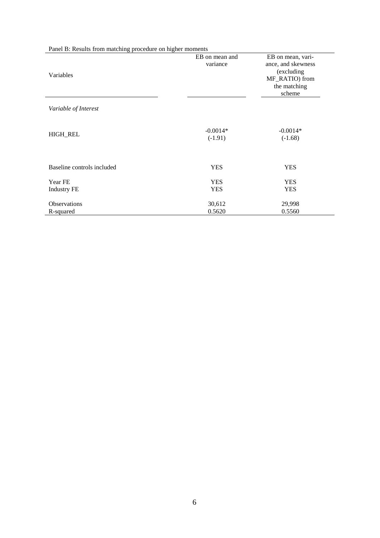| Panel B: Results from matching procedure on higher moments |                            |                                                                                                   |
|------------------------------------------------------------|----------------------------|---------------------------------------------------------------------------------------------------|
| Variables                                                  | EB on mean and<br>variance | EB on mean, vari-<br>ance, and skewness<br>(excluding<br>MF_RATIO) from<br>the matching<br>scheme |
| Variable of Interest                                       |                            |                                                                                                   |
| <b>HIGH_REL</b>                                            | $-0.0014*$<br>$(-1.91)$    | $-0.0014*$<br>$(-1.68)$                                                                           |
| Baseline controls included                                 | <b>YES</b>                 | <b>YES</b>                                                                                        |
| Year FE<br><b>Industry FE</b>                              | <b>YES</b><br><b>YES</b>   | <b>YES</b><br><b>YES</b>                                                                          |
| <b>Observations</b><br>R-squared                           | 30,612<br>0.5620           | 29,998<br>0.5560                                                                                  |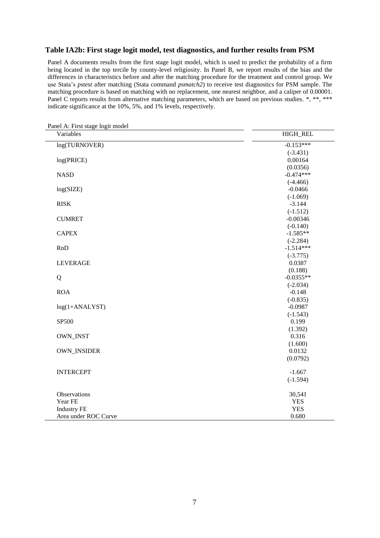### **Table IA2b: First stage logit model, test diagnostics, and further results from PSM**

Panel A documents results from the first stage logit model, which is used to predict the probability of a firm being located in the top tercile by county-level religiosity. In Panel B, we report results of the bias and the differences in characteristics before and after the matching procedure for the treatment and control group. We use Stata's *pstest* after matching (Stata command *psmatch2*) to receive test diagnostics for PSM sample. The matching procedure is based on matching with no replacement, one nearest neighbor, and a caliper of 0.00001. Panel C reports results from alternative matching parameters, which are based on previous studies. \*, \*\*, \*\*\* indicate significance at the 10%, 5%, and 1% levels, respectively.

| Panel A: First stage logit model<br>Variables | HIGH_REL    |
|-----------------------------------------------|-------------|
| log(TURNOVER)                                 | $-0.153***$ |
|                                               | $(-3.431)$  |
| log(PRICE)                                    | 0.00164     |
|                                               | (0.0356)    |
| <b>NASD</b>                                   | $-0.474***$ |
|                                               | $(-4.466)$  |
| log(SIZE)                                     | $-0.0466$   |
|                                               | $(-1.069)$  |
| <b>RISK</b>                                   | $-3.144$    |
|                                               | $(-1.512)$  |
| <b>CUMRET</b>                                 | $-0.00346$  |
|                                               | $(-0.140)$  |
| <b>CAPEX</b>                                  | $-1.585**$  |
|                                               | $(-2.284)$  |
| <b>RnD</b>                                    | $-1.514***$ |
|                                               | $(-3.775)$  |
| <b>LEVERAGE</b>                               | 0.0387      |
|                                               | (0.188)     |
| Q                                             | $-0.0355**$ |
|                                               | $(-2.034)$  |
| <b>ROA</b>                                    | $-0.148$    |
|                                               | $(-0.835)$  |
| log(1+ANALYST)                                | $-0.0987$   |
|                                               | $(-1.543)$  |
| SP500                                         | 0.199       |
|                                               | (1.392)     |
| OWN_INST                                      | 0.316       |
|                                               | (1.600)     |
| OWN_INSIDER                                   | 0.0132      |
|                                               | (0.0792)    |
| <b>INTERCEPT</b>                              | $-1.667$    |
|                                               | $(-1.594)$  |
|                                               |             |
| Observations                                  | 30,541      |
| Year FE                                       | <b>YES</b>  |
| <b>Industry FE</b>                            | <b>YES</b>  |
| Area under ROC Curve                          | 0.680       |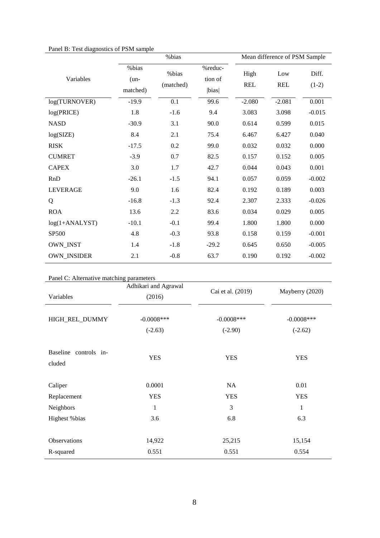|  |  | Panel B: Test diagnostics of PSM sample |  |
|--|--|-----------------------------------------|--|
|--|--|-----------------------------------------|--|

| r allel D. Test diagnosites of FSM sample |                             | %bias              |                             |                    | Mean difference of PSM Sample |                  |
|-------------------------------------------|-----------------------------|--------------------|-----------------------------|--------------------|-------------------------------|------------------|
| Variables                                 | %bias<br>$(un-$<br>matched) | %bias<br>(matched) | %reduc-<br>tion of<br> bias | High<br><b>REL</b> | Low<br><b>REL</b>             | Diff.<br>$(1-2)$ |
| log(TURNOVER)                             | $-19.9$                     | 0.1                | 99.6                        | $-2.080$           | $-2.081$                      | 0.001            |
| log(PRICE)                                | 1.8                         | $-1.6$             | 9.4                         | 3.083              | 3.098                         | $-0.015$         |
| <b>NASD</b>                               | $-30.9$                     | 3.1                | 90.0                        | 0.614              | 0.599                         | 0.015            |
| log(SIZE)                                 | 8.4                         | 2.1                | 75.4                        | 6.467              | 6.427                         | 0.040            |
| <b>RISK</b>                               | $-17.5$                     | 0.2                | 99.0                        | 0.032              | 0.032                         | 0.000            |
| <b>CUMRET</b>                             | $-3.9$                      | 0.7                | 82.5                        | 0.157              | 0.152                         | 0.005            |
| <b>CAPEX</b>                              | 3.0                         | 1.7                | 42.7                        | 0.044              | 0.043                         | 0.001            |
| <b>RnD</b>                                | $-26.1$                     | $-1.5$             | 94.1                        | 0.057              | 0.059                         | $-0.002$         |
| <b>LEVERAGE</b>                           | 9.0                         | 1.6                | 82.4                        | 0.192              | 0.189                         | 0.003            |
| Q                                         | $-16.8$                     | $-1.3$             | 92.4                        | 2.307              | 2.333                         | $-0.026$         |
| <b>ROA</b>                                | 13.6                        | 2.2                | 83.6                        | 0.034              | 0.029                         | 0.005            |
| $log(1+ANALYST)$                          | $-10.1$                     | $-0.1$             | 99.4                        | 1.800              | 1.800                         | 0.000            |
| <b>SP500</b>                              | 4.8                         | $-0.3$             | 93.8                        | 0.158              | 0.159                         | $-0.001$         |
| <b>OWN_INST</b>                           | 1.4                         | $-1.8$             | $-29.2$                     | 0.645              | 0.650                         | $-0.005$         |
| <b>OWN_INSIDER</b>                        | 2.1                         | $-0.8$             | 63.7                        | 0.190              | 0.192                         | $-0.002$         |

|  | Panel C: Alternative matching parameters |
|--|------------------------------------------|
|  |                                          |

|                                 | Adhikari and Agrawal       | Cai et al. (2019)          | Mayberry (2020)            |  |
|---------------------------------|----------------------------|----------------------------|----------------------------|--|
| Variables                       | (2016)                     |                            |                            |  |
| HIGH_REL_DUMMY                  | $-0.0008$ ***<br>$(-2.63)$ | $-0.0008$ ***<br>$(-2.90)$ | $-0.0008$ ***<br>$(-2.62)$ |  |
| Baseline controls in-<br>cluded | <b>YES</b>                 | <b>YES</b>                 | <b>YES</b>                 |  |
| Caliper                         | 0.0001                     | NA                         | 0.01                       |  |
| Replacement                     | <b>YES</b>                 | <b>YES</b>                 | <b>YES</b>                 |  |
| Neighbors                       | $\mathbf{1}$               | 3                          | $\mathbf{1}$               |  |
| Highest % bias                  | 3.6                        | 6.8                        | 6.3                        |  |
|                                 |                            |                            |                            |  |
| Observations                    | 14,922                     | 25,215                     | 15,154                     |  |
| R-squared                       | 0.551                      | 0.551                      | 0.554                      |  |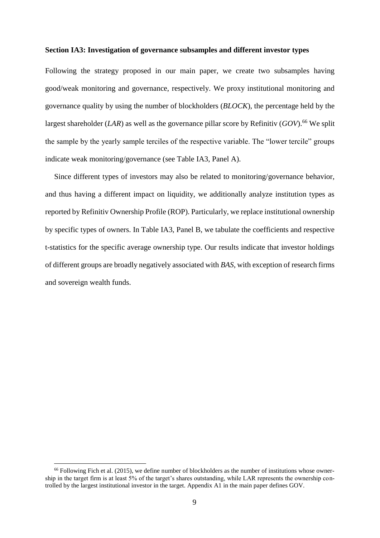#### **Section IA3: Investigation of governance subsamples and different investor types**

Following the strategy proposed in our main paper, we create two subsamples having good/weak monitoring and governance, respectively. We proxy institutional monitoring and governance quality by using the number of blockholders (*BLOCK*), the percentage held by the largest shareholder  $(LAR)$  as well as the governance pillar score by Refinitiv  $(GOV)$ .<sup>66</sup> We split the sample by the yearly sample terciles of the respective variable. The "lower tercile" groups indicate weak monitoring/governance (see Table IA3, Panel A).

Since different types of investors may also be related to monitoring/governance behavior, and thus having a different impact on liquidity, we additionally analyze institution types as reported by Refinitiv Ownership Profile (ROP). Particularly, we replace institutional ownership by specific types of owners. In Table IA3, Panel B, we tabulate the coefficients and respective t-statistics for the specific average ownership type. Our results indicate that investor holdings of different groups are broadly negatively associated with *BAS*, with exception of research firms and sovereign wealth funds.

 $\overline{a}$ 

 $66$  Following Fich et al. (2015), we define number of blockholders as the number of institutions whose ownership in the target firm is at least 5% of the target's shares outstanding, while LAR represents the ownership controlled by the largest institutional investor in the target. Appendix A1 in the main paper defines GOV.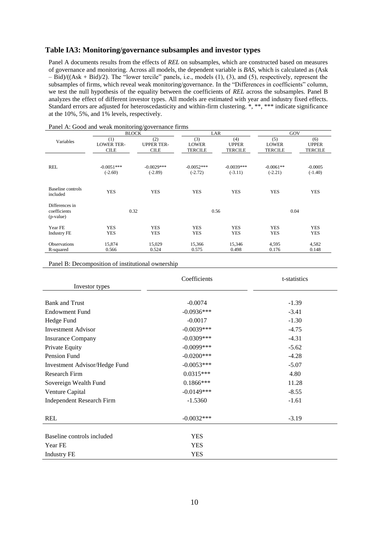#### **Table IA3: Monitoring/governance subsamples and investor types**

Panel A documents results from the effects of *REL* on subsamples, which are constructed based on measures of governance and monitoring. Across all models, the dependent variable is *BAS*, which is calculated as (Ask – Bid)/((Ask + Bid)/2). The "lower tercile" panels, i.e., models (1), (3), and (5), respectively, represent the subsamples of firms, which reveal weak monitoring/governance. In the "Differences in coefficients" column, we test the null hypothesis of the equality between the coefficients of *REL* across the subsamples. Panel B analyzes the effect of different investor types. All models are estimated with year and industry fixed effects. Standard errors are adjusted for heteroscedasticity and within-firm clustering. \*, \*\*, \*\*\* indicate significance at the 10%, 5%, and 1% levels, respectively.

|                                             | <b>BLOCK</b>      |                   | LAR            |                | GOV            |                |
|---------------------------------------------|-------------------|-------------------|----------------|----------------|----------------|----------------|
| Variables                                   | (1)               | (2)               | (3)            | (4)            | (5)            | (6)            |
|                                             | <b>LOWER TER-</b> | <b>UPPER TER-</b> | <b>LOWER</b>   | <b>UPPER</b>   | <b>LOWER</b>   | <b>UPPER</b>   |
|                                             | <b>CILE</b>       | <b>CILE</b>       | <b>TERCILE</b> | <b>TERCILE</b> | <b>TERCILE</b> | <b>TERCILE</b> |
| <b>REL</b>                                  | $-0.0051***$      | $-0.0029***$      | $-0.0052***$   | $-0.0039***$   | $-0.0061**$    | $-0.0005$      |
|                                             | $(-2.60)$         | $(-2.89)$         | $(-2.72)$      | $(-3.11)$      | $(-2.21)$      | $(-1.40)$      |
| Baseline controls<br>included               | <b>YES</b>        | <b>YES</b>        | <b>YES</b>     | <b>YES</b>     | <b>YES</b>     | <b>YES</b>     |
| Differences in<br>coefficients<br>(p-value) | 0.32              |                   | 0.56           |                | 0.04           |                |
| Year FE                                     | <b>YES</b>        | <b>YES</b>        | <b>YES</b>     | <b>YES</b>     | <b>YES</b>     | <b>YES</b>     |
| <b>Industry FE</b>                          | <b>YES</b>        | <b>YES</b>        | <b>YES</b>     | <b>YES</b>     | <b>YES</b>     | <b>YES</b>     |
| <b>Observations</b>                         | 15,874            | 15,029            | 15,366         | 15,346         | 4,595          | 4,582          |
| R-squared                                   | 0.566             | 0.524             | 0.575          | 0.498          | 0.176          | 0.148          |

Panel A: Good and weak monitoring/governance firms

Panel B: Decomposition of institutional ownership

|                                  | Coefficients  | t-statistics |
|----------------------------------|---------------|--------------|
| Investor types                   |               |              |
|                                  |               |              |
| <b>Bank and Trust</b>            | $-0.0074$     | $-1.39$      |
| <b>Endowment Fund</b>            | $-0.0936***$  | $-3.41$      |
| Hedge Fund                       | $-0.0017$     | $-1.30$      |
| <b>Investment Advisor</b>        | $-0.0039***$  | $-4.75$      |
| <b>Insurance Company</b>         | $-0.0309***$  | $-4.31$      |
| Private Equity                   | $-0.0099$ *** | $-5.62$      |
| Pension Fund                     | $-0.0200$ *** | $-4.28$      |
| Investment Advisor/Hedge Fund    | $-0.0053***$  | $-5.07$      |
| <b>Research Firm</b>             | $0.0315***$   | 4.80         |
| Sovereign Wealth Fund            | $0.1866***$   | 11.28        |
| Venture Capital                  | $-0.0149***$  | $-8.55$      |
| <b>Independent Research Firm</b> | $-1.5360$     | $-1.61$      |
| <b>REL</b>                       | $-0.0032***$  | $-3.19$      |
| Baseline controls included       | <b>YES</b>    |              |
| Year FE                          | <b>YES</b>    |              |
| <b>Industry FE</b>               | YES           |              |